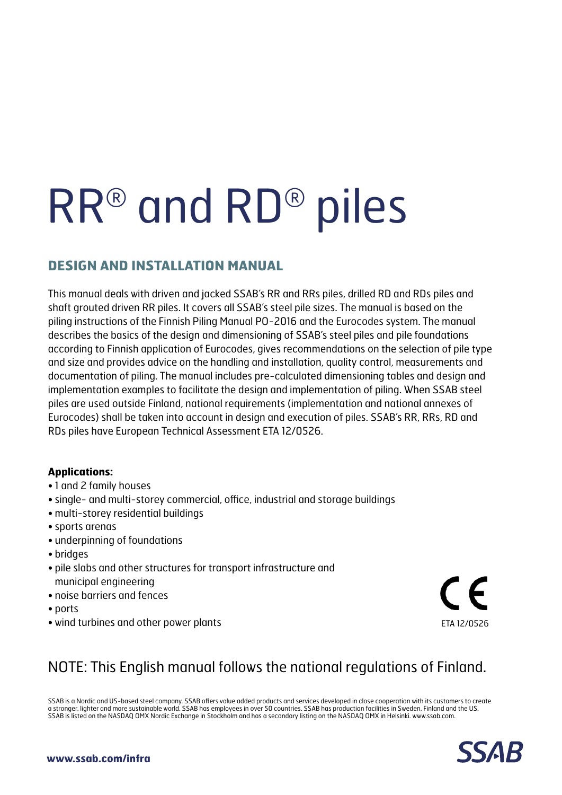# RR® and RD® piles

# **DESIGN AND INSTALLATION MANUAL**

This manual deals with driven and jacked SSAB's RR and RRs piles, drilled RD and RDs piles and shaft grouted driven RR piles. It covers all SSAB's steel pile sizes. The manual is based on the piling instructions of the Finnish Piling Manual PO-2016 and the Eurocodes system. The manual describes the basics of the design and dimensioning of SSAB's steel piles and pile foundations according to Finnish application of Eurocodes, gives recommendations on the selection of pile type and size and provides advice on the handling and installation, quality control, measurements and documentation of piling. The manual includes pre-calculated dimensioning tables and design and implementation examples to facilitate the design and implementation of piling. When SSAB steel piles are used outside Finland, national requirements (implementation and national annexes of Eurocodes) shall be taken into account in design and execution of piles. SSAB's RR, RRs, RD and RDs piles have European Technical Assessment ETA 12/0526.

# **Applications:**

- 1 and 2 family houses
- single- and multi-storey commercial, office, industrial and storage buildings
- multi-storey residential buildings
- sports arenas
- underpinning of foundations
- bridges
- pile slabs and other structures for transport infrastructure and municipal engineering
- noise barriers and fences
- ports
- wind turbines and other power plants ETA 12/0526

# NOTE: This English manual follows the national regulations of Finland.

SSAB is a Nordic and US-based steel company. SSAB offers value added products and services developed in close cooperation with its customers to create a stronger, lighter and more sustainable world. SSAB has employees in over 50 countries. SSAB has production facilities in Sweden, Finland and the US. SSAB is listed on the NASDAQ OMX Nordic Exchange in Stockholm and has a secondary listing on the NASDAQ OMX in Helsinki. www.ssab.com.

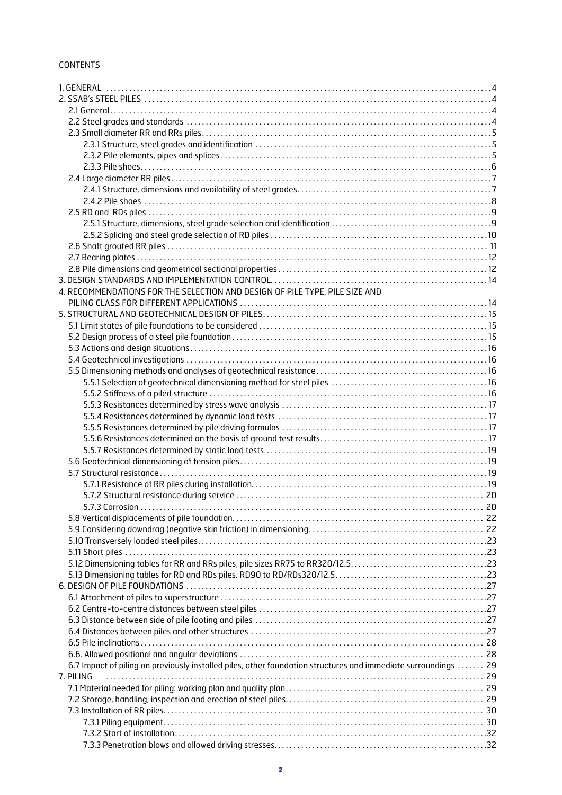# CONTENTS

| 4. RECOMMENDATIONS FOR THE SELECTION AND DESIGN OF PILE TYPE, PILE SIZE AND                                    |  |
|----------------------------------------------------------------------------------------------------------------|--|
|                                                                                                                |  |
|                                                                                                                |  |
|                                                                                                                |  |
|                                                                                                                |  |
|                                                                                                                |  |
|                                                                                                                |  |
|                                                                                                                |  |
|                                                                                                                |  |
|                                                                                                                |  |
|                                                                                                                |  |
|                                                                                                                |  |
|                                                                                                                |  |
|                                                                                                                |  |
|                                                                                                                |  |
|                                                                                                                |  |
|                                                                                                                |  |
|                                                                                                                |  |
|                                                                                                                |  |
|                                                                                                                |  |
|                                                                                                                |  |
|                                                                                                                |  |
|                                                                                                                |  |
|                                                                                                                |  |
|                                                                                                                |  |
|                                                                                                                |  |
|                                                                                                                |  |
|                                                                                                                |  |
|                                                                                                                |  |
|                                                                                                                |  |
|                                                                                                                |  |
|                                                                                                                |  |
|                                                                                                                |  |
| 6.7 Impact of piling on previously installed piles, other foundation structures and immediate surroundings  29 |  |
|                                                                                                                |  |
| 7. PILING                                                                                                      |  |
|                                                                                                                |  |
|                                                                                                                |  |
|                                                                                                                |  |
|                                                                                                                |  |
|                                                                                                                |  |
|                                                                                                                |  |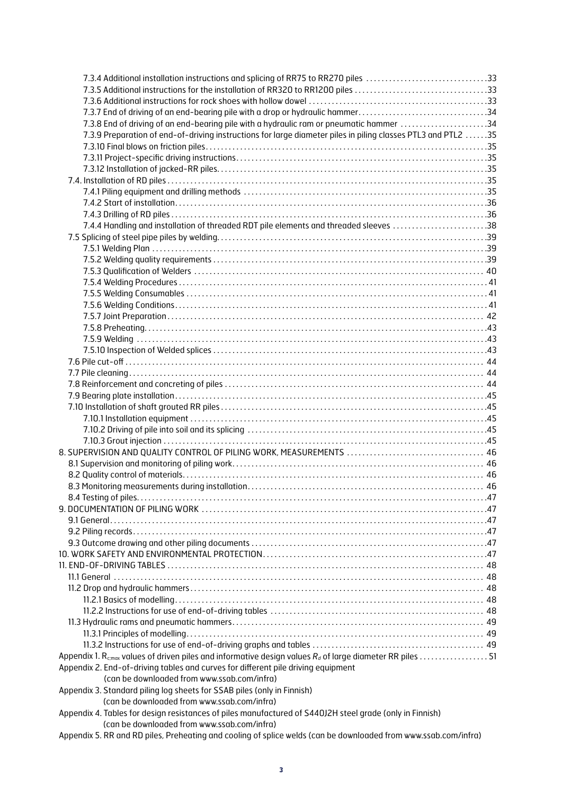| 7.3.4 Additional installation instructions and splicing of RR75 to RR270 piles 33                            |  |
|--------------------------------------------------------------------------------------------------------------|--|
| 7.3.5 Additional instructions for the installation of RR320 to RR1200 piles 33                               |  |
|                                                                                                              |  |
| 7.3.7 End of driving of an end-bearing pile with a drop or hydraulic hammer34                                |  |
| 7.3.8 End of driving of an end-bearing pile with a hydraulic ram or pneumatic hammer 34                      |  |
| 7.3.9 Preparation of end-of-driving instructions for large diameter piles in piling classes PTL3 and PTL2 35 |  |
|                                                                                                              |  |
|                                                                                                              |  |
|                                                                                                              |  |
|                                                                                                              |  |
|                                                                                                              |  |
|                                                                                                              |  |
|                                                                                                              |  |
| 7.4.4 Handling and installation of threaded RDT pile elements and threaded sleeves 38                        |  |
|                                                                                                              |  |
|                                                                                                              |  |
|                                                                                                              |  |
|                                                                                                              |  |
|                                                                                                              |  |
|                                                                                                              |  |
|                                                                                                              |  |
|                                                                                                              |  |
|                                                                                                              |  |
|                                                                                                              |  |
|                                                                                                              |  |
|                                                                                                              |  |
|                                                                                                              |  |
|                                                                                                              |  |
|                                                                                                              |  |
|                                                                                                              |  |
|                                                                                                              |  |
|                                                                                                              |  |
|                                                                                                              |  |
|                                                                                                              |  |
| 8. SUPERVISION AND QUALITY CONTROL OF PILING WORK, MEASUREMENTS  46                                          |  |
|                                                                                                              |  |
|                                                                                                              |  |
|                                                                                                              |  |
|                                                                                                              |  |
|                                                                                                              |  |
|                                                                                                              |  |
|                                                                                                              |  |
|                                                                                                              |  |
|                                                                                                              |  |
|                                                                                                              |  |
|                                                                                                              |  |
|                                                                                                              |  |
|                                                                                                              |  |
|                                                                                                              |  |
|                                                                                                              |  |
|                                                                                                              |  |
|                                                                                                              |  |
|                                                                                                              |  |
|                                                                                                              |  |
| Appendix 2. End-of-driving tables and curves for different pile driving equipment                            |  |
| (can be downloaded from www.ssab.com/infra)                                                                  |  |
| Appendix 3. Standard piling log sheets for SSAB piles (only in Finnish)                                      |  |
| (can be downloaded from www.ssab.com/infra)                                                                  |  |
| Appendix 4. Tables for design resistances of piles manufactured of S440J2H steel grade (only in Finnish)     |  |
| (can be downloaded from www.ssab.com/infra)                                                                  |  |

Appendix 5. RR and RD piles, Preheating and cooling of splice welds (can be downloaded from www.ssab.com/infra)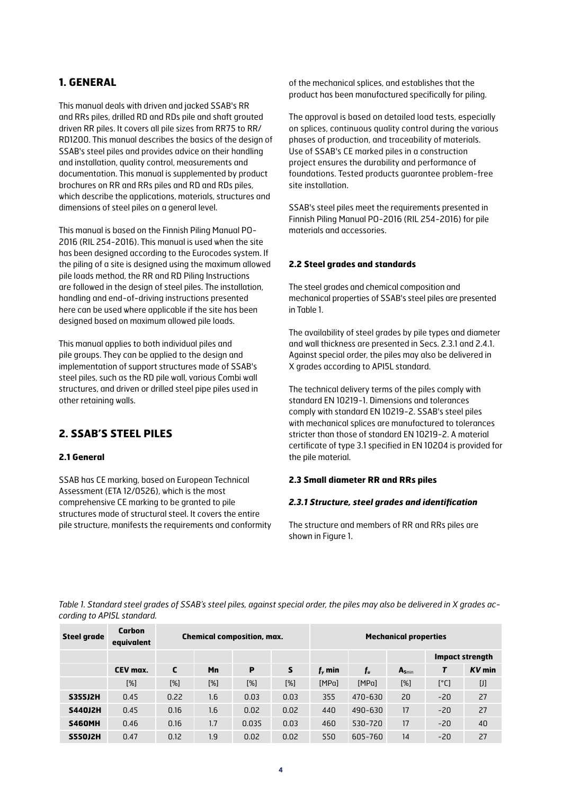# **1. GENERAL**

This manual deals with driven and jacked SSAB's RR and RRs piles, drilled RD and RDs pile and shaft grouted driven RR piles. It covers all pile sizes from RR75 to RR/ RD1200. This manual describes the basics of the design of SSAB's steel piles and provides advice on their handling and installation, quality control, measurements and documentation. This manual is supplemented by product brochures on RR and RRs piles and RD and RDs piles, which describe the applications, materials, structures and dimensions of steel piles on a general level.

This manual is based on the Finnish Piling Manual PO-2016 (RIL 254-2016). This manual is used when the site has been designed according to the Eurocodes system. If the piling of a site is designed using the maximum allowed pile loads method, the RR and RD Piling Instructions are followed in the design of steel piles. The installation, handling and end-of-driving instructions presented here can be used where applicable if the site has been designed based on maximum allowed pile loads.

This manual applies to both individual piles and pile groups. They can be applied to the design and implementation of support structures made of SSAB's steel piles, such as the RD pile wall, various Combi wall structures, and driven or drilled steel pipe piles used in other retaining walls.

# **2. SSAB'S STEEL PILES**

#### **2.1 General**

SSAB has CE marking, based on European Technical Assessment (ETA 12/0526), which is the most comprehensive CE marking to be granted to pile structures made of structural steel. It covers the entire pile structure, manifests the requirements and conformity of the mechanical splices, and establishes that the product has been manufactured specifically for piling.

The approval is based on detailed load tests, especially on splices, continuous quality control during the various phases of production, and traceability of materials. Use of SSAB's CE marked piles in a construction project ensures the durability and performance of foundations. Tested products guarantee problem-free site installation.

SSAB's steel piles meet the requirements presented in Finnish Piling Manual PO-2016 (RIL 254-2016) for pile materials and accessories.

#### **2.2 Steel grades and standards**

The steel grades and chemical composition and mechanical properties of SSAB's steel piles are presented in Table 1.

The availability of steel grades by pile types and diameter and wall thickness are presented in Secs. 2.3.1 and 2.4.1. Against special order, the piles may also be delivered in X grades according to API5L standard.

The technical delivery terms of the piles comply with standard EN 10219-1. Dimensions and tolerances comply with standard EN 10219-2. SSAB's steel piles with mechanical splices are manufactured to tolerances stricter than those of standard EN 10219-2. A material certificate of type 3.1 specified in EN 10204 is provided for the pile material.

#### **2.3 Small diameter RR and RRs piles**

#### *2.3.1 Structure, steel grades and identification*

The structure and members of RR and RRs piles are shown in Figure 1.

*Table 1. Standard steel grades of SSAB's steel piles, against special order, the piles may also be delivered in X grades according to API5L standard.*

| <b>Steel grade</b> | Carbon<br>equivalent | <b>Chemical composition, max.</b> |        |       |      | <b>Mechanical properties</b> |         |                   |       |                        |
|--------------------|----------------------|-----------------------------------|--------|-------|------|------------------------------|---------|-------------------|-------|------------------------|
|                    |                      |                                   |        |       |      |                              |         |                   |       | <b>Impact strength</b> |
|                    | CEV max.             | C                                 | Mn     | P     | S    | $f_{v}$ min                  | $f_u$   | $A_{\text{Smin}}$ |       | $KV$ min               |
|                    | [%]                  | $[\%]$                            | $[\%]$ | [%]   | [%]  | [MPa]                        | [MPa]   | [%]               | [°C]  | $[]$                   |
| <b>S355J2H</b>     | 0.45                 | 0.22                              | 1.6    | 0.03  | 0.03 | 355                          | 470-630 | 20                | $-20$ | 27                     |
| <b>S440J2H</b>     | 0.45                 | 0.16                              | 1.6    | 0.02  | 0.02 | 440                          | 490-630 | 17                | $-20$ | 27                     |
| <b>S460MH</b>      | 0.46                 | 0.16                              | 1.7    | 0.035 | 0.03 | 460                          | 530-720 | 17                | $-20$ | 40                     |
| <b>S550J2H</b>     | 0.47                 | 0.12                              | 1.9    | 0.02  | 0.02 | 550                          | 605-760 | 14                | $-20$ | 27                     |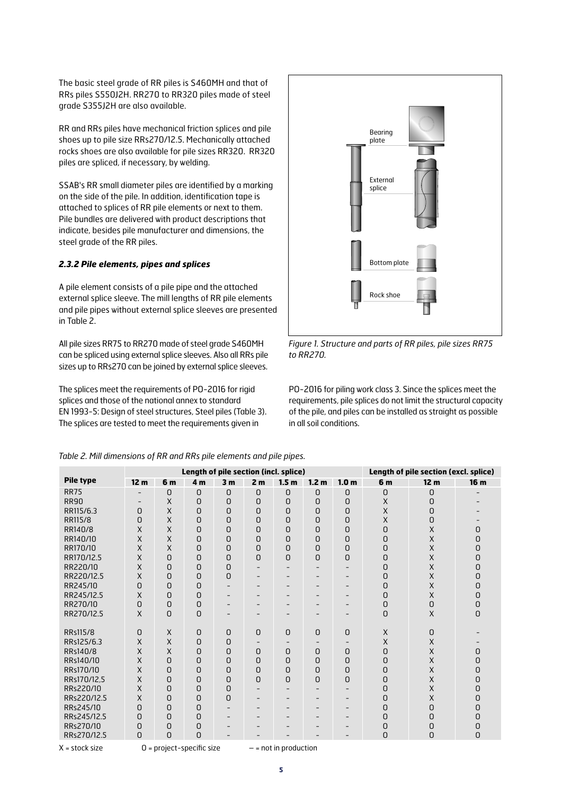The basic steel grade of RR piles is S460MH and that of RRs piles S550J2H. RR270 to RR320 piles made of steel grade S355J2H are also available.

RR and RRs piles have mechanical friction splices and pile shoes up to pile size RRs270/12.5. Mechanically attached rocks shoes are also available for pile sizes RR320. RR320 piles are spliced, if necessary, by welding.

SSAB's RR small diameter piles are identified by a marking on the side of the pile. In addition, identification tape is attached to splices of RR pile elements or next to them. Pile bundles are delivered with product descriptions that indicate, besides pile manufacturer and dimensions, the steel grade of the RR piles.

#### *2.3.2 Pile elements, pipes and splices*

A pile element consists of a pile pipe and the attached external splice sleeve. The mill lengths of RR pile elements and pile pipes without external splice sleeves are presented in Table 2.

All pile sizes RR75 to RR270 made of steel grade S460MH can be spliced using external splice sleeves. Also all RRs pile sizes up to RRs270 can be joined by external splice sleeves.

The splices meet the requirements of PO-2016 for rigid splices and those of the national annex to standard EN 1993-5: Design of steel structures, Steel piles (Table 3). The splices are tested to meet the requirements given in



*Figure 1. Structure and parts of RR piles, pile sizes RR75 to RR270.*

PO-2016 for piling work class 3. Since the splices meet the requirements, pile splices do not limit the structural capacity of the pile, and piles can be installed as straight as possible in all soil conditions.

|                  |                 |                | Length of pile section (incl. splice) |                          | Length of pile section (excl. splice) |                          |                  |                          |          |                 |                 |
|------------------|-----------------|----------------|---------------------------------------|--------------------------|---------------------------------------|--------------------------|------------------|--------------------------|----------|-----------------|-----------------|
| <b>Pile type</b> | 12 <sub>m</sub> | 6 <sub>m</sub> | 4 <sub>m</sub>                        | 3 <sub>m</sub>           | 2 <sub>m</sub>                        | 1.5 <sub>m</sub>         | 1.2 <sub>m</sub> | 1.0 <sub>m</sub>         | 6 m      | 12 <sub>m</sub> | 16 <sub>m</sub> |
| <b>RR75</b>      |                 | 0              | 0                                     | 0                        | 0                                     | 0                        | 0                | $\mathbf 0$              | 0        | 0               |                 |
| <b>RR90</b>      |                 | X              | 0                                     | 0                        | 0                                     | 0                        | 0                | $\Omega$                 | X        | 0               |                 |
| RR115/6.3        | 0               | X              | 0                                     | 0                        | 0                                     | 0                        | 0                | 0                        | X        | 0               |                 |
| RR115/8          | 0               | X              | 0                                     | 0                        | 0                                     | 0                        | 0                | 0                        | $\times$ | 0               |                 |
| RR140/8          | X               | X              | 0                                     | 0                        | 0                                     | 0                        | 0                | 0                        | 0        | X               | 0               |
| RR140/10         | X               | X              | 0                                     | 0                        | 0                                     | 0                        | 0                | 0                        | 0        | $\sf X$         | 0               |
| RR170/10         | X               | X              | 0                                     | 0                        | 0                                     | 0                        | 0                | 0                        | 0        | $\sf X$         | 0               |
| RR170/12.5       | X               | 0              | 0                                     | 0                        | $\Omega$                              | 0                        | 0                | 0                        | 0        | $\sf X$         | 0               |
| RR220/10         | X               | 0              | 0                                     | 0                        |                                       | $\qquad \qquad -$        |                  |                          | 0        | X               | 0               |
| RR220/12.5       | X               | 0              | 0                                     | 0                        |                                       |                          |                  |                          | 0        | $\times$        | n               |
| RR245/10         | 0               | 0              | 0                                     |                          |                                       |                          |                  | $\overline{\phantom{0}}$ | 0        | X               | 0               |
| RR245/12.5       | X               | 0              | 0                                     | $\qquad \qquad -$        |                                       |                          |                  |                          | 0        | X               | 0               |
| RR270/10         | 0               | 0              | 0                                     |                          |                                       |                          |                  |                          | 0        | 0               | 0               |
| RR270/12.5       | $\times$        | 0              | 0                                     |                          | -                                     |                          |                  |                          | 0        | X               | 0               |
|                  |                 |                |                                       |                          |                                       |                          |                  |                          |          |                 |                 |
| RRs115/8         | 0               | X              | 0                                     | 0                        | $\Omega$                              | 0                        | 0                | $\Omega$                 | X        | 0               |                 |
| RRs125/6.3       | X               | $\sf X$        | 0                                     | 0                        | $\overline{\phantom{a}}$              | $\overline{\phantom{a}}$ |                  | $\overline{\phantom{a}}$ | X        | X               |                 |
| RRs140/8         | X               | X              | 0                                     | 0                        | 0                                     | 0                        | 0                | $\Omega$                 | 0        | X               | 0               |
| RRs140/10        | X               | 0              | 0                                     | 0                        | 0                                     | 0                        | 0                | 0                        | 0        | X               | 0               |
| RRs170/10        | X               | 0              | 0                                     | 0                        | 0                                     | 0                        | 0                | 0                        | 0        | X               | 0               |
| RRs170/12.5      | $\sf X$         | 0              | 0                                     | 0                        | 0                                     | 0                        | 0                | 0                        | 0        | X               | 0               |
| RRs220/10        | X               | 0              | 0                                     | 0                        |                                       | $\qquad \qquad$          |                  |                          | 0        | X               | 0               |
| RRs220/12.5      | X               | 0              | 0                                     | 0                        |                                       |                          |                  |                          | 0        | X               | 0               |
| RRs245/10        | 0               | 0              | 0                                     |                          |                                       |                          |                  | $\overline{\phantom{0}}$ | 0        | 0               | 0               |
| RRs245/12.5      | O               | 0              | 0                                     | $\overline{\phantom{0}}$ |                                       |                          |                  | $\overline{\phantom{0}}$ | 0        | 0               | O               |
| RRs270/10        | 0               | 0              | 0                                     |                          |                                       | $\qquad \qquad$          |                  | $\overline{\phantom{0}}$ | 0        | 0               | 0               |
| RRs270/12.5      | 0               | 0              | O                                     |                          |                                       |                          |                  |                          | 0        | 0               | $\Omega$        |

*Table 2. Mill dimensions of RR and RRs pile elements and pile pipes.* 

 $X =$ stock size  $0 =$  project-specific size  $-$  = not in production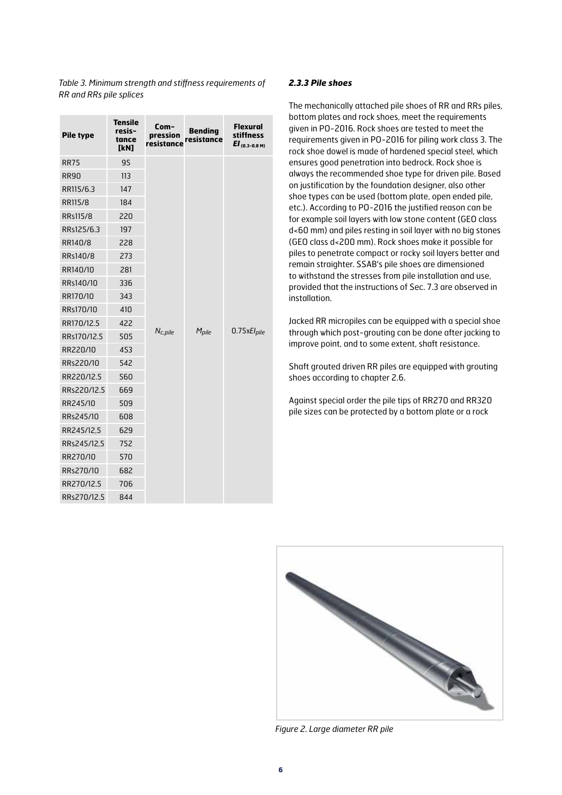| <b>Pile type</b> | <b>Tensile</b><br>resis-<br>tance<br>[kN] | Com-<br>pression<br>resistance | <b>Bending</b><br>resistance | <b>Flexural</b><br><b>stiffness</b><br>$EI_{(0.3-0.8 M)}$ |
|------------------|-------------------------------------------|--------------------------------|------------------------------|-----------------------------------------------------------|
| <b>RR75</b>      | 95                                        |                                |                              |                                                           |
| <b>RR90</b>      | 113                                       |                                |                              |                                                           |
| RR115/6.3        | 147                                       |                                |                              |                                                           |
| RR115/8          | 184                                       |                                |                              |                                                           |
| RRs115/8         | 220                                       |                                |                              |                                                           |
| RRs125/6.3       | 197                                       |                                |                              |                                                           |
| RR140/8          | 228                                       |                                |                              |                                                           |
| RRs140/8         | 273                                       |                                |                              |                                                           |
| RR140/10         | 281                                       |                                |                              |                                                           |
| RRs140/10        | 336                                       |                                |                              |                                                           |
| RR170/10         | 343                                       |                                |                              |                                                           |
| RRs170/10        | 410                                       |                                |                              |                                                           |
| RR170/12.5       | 422                                       |                                |                              |                                                           |
| RRs170/12.5      | 505                                       | $N_{c,pile}$                   | M <sub>pile</sub>            | $0.75xE1$ pile                                            |
| RR220/10         | 453                                       |                                |                              |                                                           |
| RRs220/10        | 542                                       |                                |                              |                                                           |
| RR220/12.5       | 560                                       |                                |                              |                                                           |
| RRs220/12.5      | 669                                       |                                |                              |                                                           |
| RR245/10         | 509                                       |                                |                              |                                                           |
| RRs245/10        | 608                                       |                                |                              |                                                           |
| RR245/12,5       | 629                                       |                                |                              |                                                           |
| RRs245/12,5      | 752                                       |                                |                              |                                                           |
| RR270/10         | 570                                       |                                |                              |                                                           |
| RRs270/10        | 682                                       |                                |                              |                                                           |
| RR270/12.5       | 706                                       |                                |                              |                                                           |
| RRs270/12.5      | 844                                       |                                |                              |                                                           |

*Table 3. Minimum strength and stiffness requirements of RR and RRs pile splices*

#### *2.3.3 Pile shoes*

The mechanically attached pile shoes of RR and RRs piles, bottom plates and rock shoes, meet the requirements given in PO-2016. Rock shoes are tested to meet the requirements given in PO-2016 for piling work class 3. The rock shoe dowel is made of hardened special steel, which ensures good penetration into bedrock. Rock shoe is always the recommended shoe type for driven pile. Based on justification by the foundation designer, also other shoe types can be used (bottom plate, open ended pile, etc.). According to PO-2016 the justified reason can be for example soil layers with low stone content (GEO class d<60 mm) and piles resting in soil layer with no big stones (GEO class d<200 mm). Rock shoes make it possible for piles to penetrate compact or rocky soil layers better and remain straighter. SSAB's pile shoes are dimensioned to withstand the stresses from pile installation and use, provided that the instructions of Sec. 7.3 are observed in installation.

Jacked RR micropiles can be equipped with a special shoe through which post-grouting can be done after jacking to improve point, and to some extent, shaft resistance.

Shaft grouted driven RR piles are equipped with grouting shoes according to chapter 2.6.

Against special order the pile tips of RR270 and RR320 pile sizes can be protected by a bottom plate or a rock



*Figure 2. Large diameter RR pile*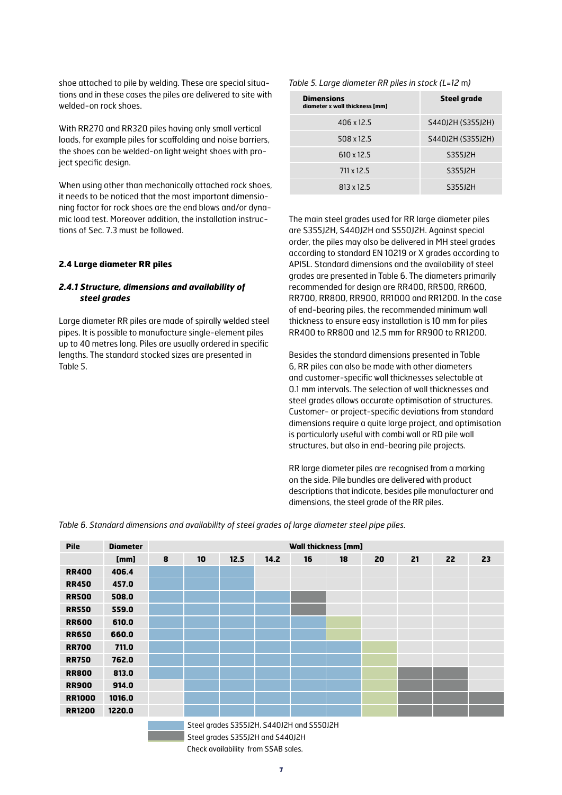shoe attached to pile by welding. These are special situations and in these cases the piles are delivered to site with welded-on rock shoes.

With RR270 and RR320 piles having only small vertical loads, for example piles for scaffolding and noise barriers, the shoes can be welded-on light weight shoes with project specific design.

When using other than mechanically attached rock shoes, it needs to be noticed that the most important dimensioning factor for rock shoes are the end blows and/or dynamic load test. Moreover addition, the installation instructions of Sec. 7.3 must be followed.

#### **2.4 Large diameter RR piles**

#### *2.4.1 Structure, dimensions and availability of steel grades*

Large diameter RR piles are made of spirally welded steel pipes. It is possible to manufacture single-element piles up to 40 metres long. Piles are usually ordered in specific lengths. The standard stocked sizes are presented in Table 5.

*Table 5. Large diameter RR piles in stock (L=12* m*)*

| <b>Dimensions</b><br>diameter x wall thickness [mm] | <b>Steel grade</b> |
|-----------------------------------------------------|--------------------|
| 406 x 12.5                                          | S440J2H (S355J2H)  |
| 508 x 12.5                                          | S440J2H (S355J2H)  |
| $610 \times 12.5$                                   | S355J2H            |
| 711 x 12.5                                          | S355J2H            |
| 813 x 12.5                                          | S355J2H            |

The main steel grades used for RR large diameter piles are S355J2H, S440J2H and S550J2H. Against special order, the piles may also be delivered in MH steel grades according to standard EN 10219 or X grades according to API5L. Standard dimensions and the availability of steel grades are presented in Table 6. The diameters primarily recommended for design are RR400, RR500, RR600, RR700, RR800, RR900, RR1000 and RR1200. In the case of end-bearing piles, the recommended minimum wall thickness to ensure easy installation is 10 mm for piles RR400 to RR800 and 12.5 mm for RR900 to RR1200.

Besides the standard dimensions presented in Table 6, RR piles can also be made with other diameters and customer-specific wall thicknesses selectable at 0.1 mm intervals. The selection of wall thicknesses and steel grades allows accurate optimisation of structures. Customer- or project-specific deviations from standard dimensions require a quite large project, and optimisation is particularly useful with combi wall or RD pile wall structures, but also in end-bearing pile projects.

RR large diameter piles are recognised from a marking on the side. Pile bundles are delivered with product descriptions that indicate, besides pile manufacturer and dimensions, the steel grade of the RR piles.

*Table 6. Standard dimensions and availability of steel grades of large diameter steel pipe piles.*

| <b>Pile</b>   | <b>Diameter</b>                  |   | <b>Wall thickness [mm]</b> |                                           |      |    |    |    |    |    |    |
|---------------|----------------------------------|---|----------------------------|-------------------------------------------|------|----|----|----|----|----|----|
|               | [mm]                             | 8 | 10                         | 12.5                                      | 14.2 | 16 | 18 | 20 | 21 | 22 | 23 |
| <b>RR400</b>  | 406.4                            |   |                            |                                           |      |    |    |    |    |    |    |
| <b>RR450</b>  | 457.0                            |   |                            |                                           |      |    |    |    |    |    |    |
| <b>RR500</b>  | 508.0                            |   |                            |                                           |      |    |    |    |    |    |    |
| <b>RR550</b>  | 559.0                            |   |                            |                                           |      |    |    |    |    |    |    |
| <b>RR600</b>  | 610.0                            |   |                            |                                           |      |    |    |    |    |    |    |
| <b>RR650</b>  | 660.0                            |   |                            |                                           |      |    |    |    |    |    |    |
| <b>RR700</b>  | 711.0                            |   |                            |                                           |      |    |    |    |    |    |    |
| <b>RR750</b>  | 762.0                            |   |                            |                                           |      |    |    |    |    |    |    |
| <b>RR800</b>  | 813.0                            |   |                            |                                           |      |    |    |    |    |    |    |
| <b>RR900</b>  | 914.0                            |   |                            |                                           |      |    |    |    |    |    |    |
| <b>RR1000</b> | 1016.0                           |   |                            |                                           |      |    |    |    |    |    |    |
| <b>RR1200</b> | 1220.0                           |   |                            |                                           |      |    |    |    |    |    |    |
|               |                                  |   |                            | Steel grades S355J2H, S440J2H and S550J2H |      |    |    |    |    |    |    |
|               | Steel grades S355J2H and S440J2H |   |                            |                                           |      |    |    |    |    |    |    |

Check availability from SSAB sales.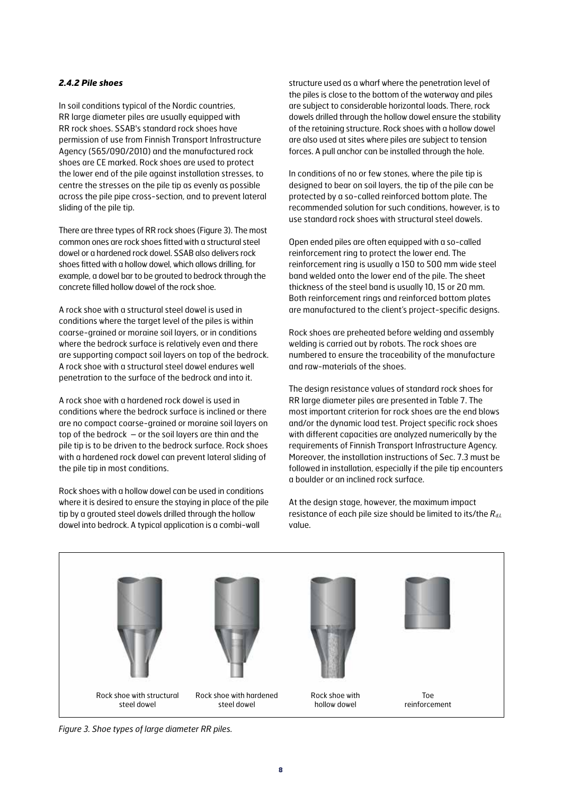#### *2.4.2 Pile shoes*

In soil conditions typical of the Nordic countries, RR large diameter piles are usually equipped with RR rock shoes. SSAB's standard rock shoes have permission of use from Finnish Transport Infrastructure Agency (565/090/2010) and the manufactured rock shoes are CE marked. Rock shoes are used to protect the lower end of the pile against installation stresses, to centre the stresses on the pile tip as evenly as possible across the pile pipe cross-section, and to prevent lateral sliding of the pile tip.

There are three types of RR rock shoes (Figure 3). The most common ones are rock shoes fitted with a structural steel dowel or a hardened rock dowel. SSAB also delivers rock shoes fitted with a hollow dowel, which allows drilling, for example, a dowel bar to be grouted to bedrock through the concrete filled hollow dowel of the rock shoe.

A rock shoe with a structural steel dowel is used in conditions where the target level of the piles is within coarse-grained or moraine soil layers, or in conditions where the bedrock surface is relatively even and there are supporting compact soil layers on top of the bedrock. A rock shoe with a structural steel dowel endures well penetration to the surface of the bedrock and into it.

A rock shoe with a hardened rock dowel is used in conditions where the bedrock surface is inclined or there are no compact coarse-grained or moraine soil layers on top of the bedrock – or the soil layers are thin and the pile tip is to be driven to the bedrock surface. Rock shoes with a hardened rock dowel can prevent lateral sliding of the pile tip in most conditions.

Rock shoes with a hollow dowel can be used in conditions where it is desired to ensure the staying in place of the pile tip by a grouted steel dowels drilled through the hollow dowel into bedrock. A typical application is a combi-wall

structure used as a wharf where the penetration level of the piles is close to the bottom of the waterway and piles are subject to considerable horizontal loads. There, rock dowels drilled through the hollow dowel ensure the stability of the retaining structure. Rock shoes with a hollow dowel are also used at sites where piles are subject to tension forces. A pull anchor can be installed through the hole.

In conditions of no or few stones, where the pile tip is designed to bear on soil layers, the tip of the pile can be protected by a so-called reinforced bottom plate. The recommended solution for such conditions, however, is to use standard rock shoes with structural steel dowels.

Open ended piles are often equipped with a so-called reinforcement ring to protect the lower end. The reinforcement ring is usually a 150 to 500 mm wide steel band welded onto the lower end of the pile. The sheet thickness of the steel band is usually 10, 15 or 20 mm. Both reinforcement rings and reinforced bottom plates are manufactured to the client's project-specific designs.

Rock shoes are preheated before welding and assembly welding is carried out by robots. The rock shoes are numbered to ensure the traceability of the manufacture and raw-materials of the shoes.

The design resistance values of standard rock shoes for RR large diameter piles are presented in Table 7. The most important criterion for rock shoes are the end blows and/or the dynamic load test. Project specific rock shoes with different capacities are analyzed numerically by the requirements of Finnish Transport Infrastructure Agency. Moreover, the installation instructions of Sec. 7.3 must be followed in installation, especially if the pile tip encounters a boulder or an inclined rock surface.

At the design stage, however, the maximum impact resistance of each pile size should be limited to its/the  $R_{dL}$ value.



*Figure 3. Shoe types of large diameter RR piles.*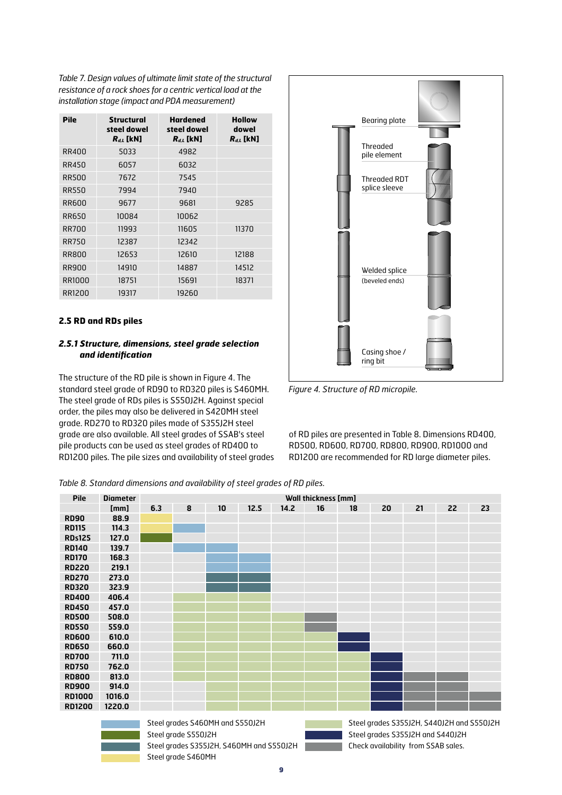*Table 7. Design values of ultimate limit state of the structural resistance of a rock shoes for a centric vertical load at the installation stage (impact and PDA measurement)*

| Pile         | Structural<br>steel dowel<br>$R_{dL}$ [kN] | <b>Hardened</b><br>steel dowel<br>$R_{dL}$ [kN] | <b>Hollow</b><br>dowel<br>$R_{dL}$ [kN] |
|--------------|--------------------------------------------|-------------------------------------------------|-----------------------------------------|
| RR400        | 5033                                       | 4982                                            |                                         |
| RR450        | 6057                                       | 6032                                            |                                         |
| <b>RR500</b> | 7672                                       | 7545                                            |                                         |
| <b>RR550</b> | 7994                                       | 7940                                            |                                         |
| RR600        | 9677                                       | 9681                                            | 9285                                    |
| <b>RR650</b> | 10084                                      | 10062                                           |                                         |
| <b>RR700</b> | 11993                                      | 11605                                           | 11370                                   |
| <b>RR750</b> | 12387                                      | 12342                                           |                                         |
| <b>RR800</b> | 12653                                      | 12610                                           | 12188                                   |
| RR900        | 14910                                      | 14887                                           | 14512                                   |
| RR1000       | 18751                                      | 15691                                           | 18371                                   |
| RR1200       | 19317                                      | 19260                                           |                                         |

#### **2.5 RD and RDs piles**

#### *2.5.1 Structure, dimensions, steel grade selection and identification*

The structure of the RD pile is shown in Figure 4. The standard steel grade of RD90 to RD320 piles is S460MH. The steel grade of RDs piles is S550J2H. Against special order, the piles may also be delivered in S420MH steel grade. RD270 to RD320 piles made of S355J2H steel grade are also available. All steel grades of SSAB's steel pile products can be used as steel grades of RD400 to RD1200 piles. The pile sizes and availability of steel grades



*Figure 4. Structure of RD micropile.*

of RD piles are presented in Table 8. Dimensions RD400, RD500, RD600, RD700, RD800, RD900, RD1000 and RD1200 are recommended for RD large diameter piles.

*Table 8. Standard dimensions and availability of steel grades of RD piles.*

Steel grade S460MH

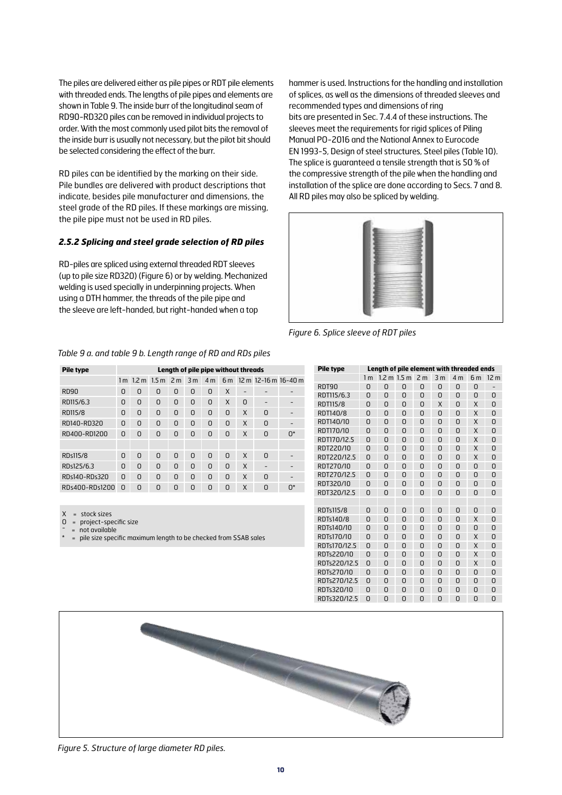The piles are delivered either as pile pipes or RDT pile elements with threaded ends. The lengths of pile pipes and elements are shown in Table 9. The inside burr of the longitudinal seam of RD90-RD320 piles can be removed in individual projects to order. With the most commonly used pilot bits the removal of the inside burr is usually not necessary, but the pilot bit should be selected considering the effect of the burr.

RD piles can be identified by the marking on their side. Pile bundles are delivered with product descriptions that indicate, besides pile manufacturer and dimensions, the steel grade of the RD piles. If these markings are missing, the pile pipe must not be used in RD piles.

#### *2.5.2 Splicing and steel grade selection of RD piles*

RD-piles are spliced using external threaded RDT sleeves (up to pile size RD320) (Figure 6) or by welding. Mechanized welding is used specially in underpinning projects. When using a DTH hammer, the threads of the pile pipe and the sleeve are left-handed, but right-handed when a top

hammer is used. Instructions for the handling and installation of splices, as well as the dimensions of threaded sleeves and recommended types and dimensions of ring bits are presented in Sec. 7.4.4 of these instructions. The sleeves meet the requirements for rigid splices of Piling Manual PO-2016 and the National Annex to Eurocode EN 1993-5, Design of steel structures, Steel piles (Table 10). The splice is guaranteed a tensile strength that is 50 % of the compressive strength of the pile when the handling and installation of the splice are done according to Secs. 7 and 8. All RD piles may also be spliced by welding.



*Figure 6. Splice sleeve of RDT piles*

#### *Table 9 a. and table 9 b. Length range of RD and RDs piles*

| <b>Pile type</b> |          | Length of pile pipe without threads |                       |   |          |                |   |              |                          |    |
|------------------|----------|-------------------------------------|-----------------------|---|----------|----------------|---|--------------|--------------------------|----|
|                  |          |                                     | $1m$ 1.2 m $1.5m$ 2 m |   | 3m       | 4 <sub>m</sub> |   |              | 6 m 12 m 12-16 m 16-40 m |    |
| <b>RD90</b>      | n        | O                                   | O                     | O | O        | O              | X |              |                          |    |
| RD115/6.3        | n        | O                                   | O                     | U | 0        | 0              | X | <sup>n</sup> |                          |    |
| RD115/8          | n        | O                                   | O                     | U | U        | 0              | O | X            | n                        |    |
| RD140-RD320      | O        | O                                   | O                     | O | O        | 0              | O | X            | n                        |    |
| RD400-RD1200     | O        | 0                                   | O                     | O | U        | 0              | O | X            | 0                        | n* |
|                  |          |                                     |                       |   |          |                |   |              |                          |    |
| RDs115/8         | $\Omega$ | $\Omega$                            | O                     | U | $\Omega$ | 0              | n | $\mathsf{X}$ | n                        |    |
| RDs125/6.3       | O        | O                                   | O                     | O | U        | 0              | O | X            |                          |    |
| RDs140-RDs320    | O        | O                                   | O                     | O | 0        | 0              | n | X            | n                        |    |
| RDs400-RDs1200   | n        | O                                   | 0                     | 0 | 0        | 0              | O | X            | O                        | n* |

X = stock sizes<br>O = project-sp

= project-specific size not available

pile size specific maximum length to be checked from SSAB sales

| <b>Pile type</b> |                | Length of pile element with threaded ends |               |                |                |                |                |                 |
|------------------|----------------|-------------------------------------------|---------------|----------------|----------------|----------------|----------------|-----------------|
|                  | 1 <sub>m</sub> |                                           | $1.2 m$ 1.5 m | 2 <sub>m</sub> | 3 <sub>m</sub> | 4 <sub>m</sub> | 6 <sub>m</sub> | 12 <sub>m</sub> |
| RDT90            | 0              | 0                                         | 0             | 0              | 0              | 0              | 0              |                 |
| RDT115/6.3       | U              | O                                         | U             | n              | O              | U              | U              | U               |
| RDT115/8         | U              | O                                         | U             | n              | X              | U              | X              | 0               |
| RDT140/8         | U              | O                                         | U             | n              | O              | U              | X              | O               |
| RDT140/10        | U              | O                                         | U             | n              | O              | U              | X              | O               |
| RDT170/10        | U              | O                                         | U             | n              | O              | U              | X              | U               |
| RDT170/12 5      | U              | O                                         | U             | n              | O              | U              | X              | U               |
| RDT220/10        | n              | O                                         | U             | n              | O              | U              | X              | O               |
| RDT220/12.5      | U              | O                                         | U             | n              | O              | U              | X              | U               |
| RDT270/10        | U              | O                                         | U             | n              | O              | U              | U              | 0               |
| RDT270/12 5      | U              | O                                         | U             | n              | O              | U              | U              | U               |
| RDT320/10        | U              | O                                         | U             | n              | O              | U              | U              | O               |
| RDT320/12.5      | U              | O                                         | U             | n              | O              | U              | U              | U               |
|                  |                |                                           |               |                |                |                |                |                 |
| RDTs115/8        | n              | O                                         | U             | n              | O              | U              | U              | O               |
| RDTs140/8        | U              | 0                                         | 0             | 0              | 0              | 0              | X              | 0               |
| RDTs140/10       | U              | O                                         | U             | n              | O              | U              | U              | U               |
| RDTs170/10       | U              | O                                         | U             | n              | O              | U              | x              | O               |
| RDTs170/12.5     | U              | O                                         | U             | O              | O              | U              | x              | U               |
| RDTs220/10       | U              | O                                         | U             | O              | U              | U              | Χ              | O               |
| RDTs220/12.5     | O              | U                                         | 0             | O              | U              | U              | X              | 0               |
| RDTs270/10       | O              | U                                         | U             | O              | U              | U              | O              | U               |
| RDTs270/12.5     | O              | U                                         | U             | O              | U              | U              | O              | U               |
| RDTs320/10       | O              | U                                         | U             | O              | U              | 0              | U              | 0               |
| RDTs320/12.5     | O              | U                                         | U             | O              | U              | U              | O              | U               |



*Figure 5. Structure of large diameter RD piles.*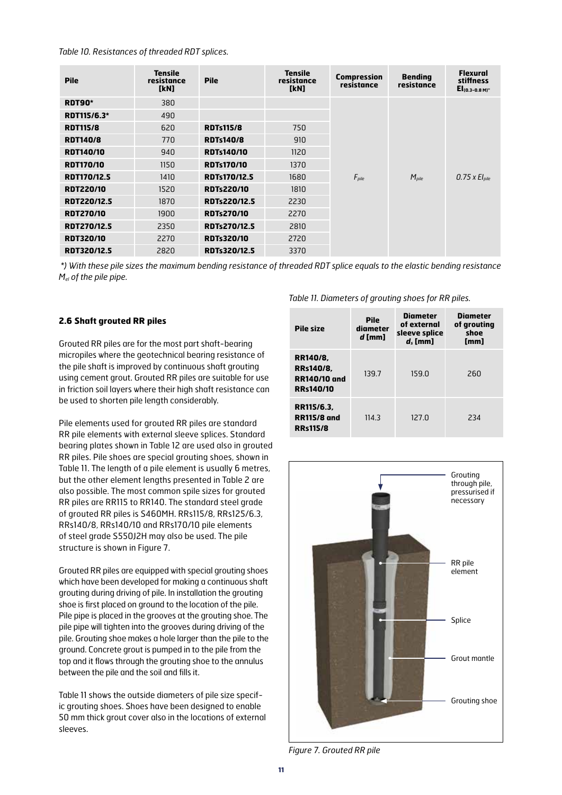*Table 10. Resistances of threaded RDT splices.*

| <b>Pile</b>        | <b>Tensile</b><br>resistance<br>[kN] | <b>Pile</b>         | <b>Tensile</b><br>resistance<br>[kN] | <b>Compression</b><br>resistance | <b>Bending</b><br>resistance | <b>Flexural</b><br>stiffness<br>$El(0.3-0.8 M)$ |
|--------------------|--------------------------------------|---------------------|--------------------------------------|----------------------------------|------------------------------|-------------------------------------------------|
| <b>RDT90*</b>      | 380                                  |                     |                                      |                                  |                              |                                                 |
| RDT115/6.3*        | 490                                  |                     |                                      |                                  | $M_{\text{pile}}$            |                                                 |
| <b>RDT115/8</b>    | 620                                  | <b>RDTs115/8</b>    | 750                                  |                                  |                              | $0.75 \times El_{\text{pile}}$                  |
| <b>RDT140/8</b>    | 770                                  | <b>RDTs140/8</b>    | 910                                  |                                  |                              |                                                 |
| <b>RDT140/10</b>   | 940                                  | <b>RDTs140/10</b>   | 1120                                 |                                  |                              |                                                 |
| <b>RDT170/10</b>   | 1150                                 | <b>RDTs170/10</b>   | 1370                                 |                                  |                              |                                                 |
| <b>RDT170/12.5</b> | 1410                                 | <b>RDTs170/12.5</b> | 1680                                 | $F_{\text{pile}}$                |                              |                                                 |
| <b>RDT220/10</b>   | 1520                                 | <b>RDTs220/10</b>   | 1810                                 |                                  |                              |                                                 |
| <b>RDT220/12.5</b> | 1870                                 | <b>RDTs220/12.5</b> | 2230                                 |                                  |                              |                                                 |
| <b>RDT270/10</b>   | 1900                                 | <b>RDTs270/10</b>   | 2270                                 |                                  |                              |                                                 |
| <b>RDT270/12.5</b> | 2350                                 | <b>RDTs270/12.5</b> | 2810                                 |                                  |                              |                                                 |
| <b>RDT320/10</b>   | 2270                                 | <b>RDTs320/10</b>   | 2720                                 |                                  |                              |                                                 |
| <b>RDT320/12.5</b> | 2820                                 | RDTs320/12.5        | 3370                                 |                                  |                              |                                                 |

 *\*) With these pile sizes the maximum bending resistance of threaded RDT splice equals to the elastic bending resistance Mel of the pile pipe.*

#### **2.6 Shaft grouted RR piles**

Grouted RR piles are for the most part shaft-bearing micropiles where the geotechnical bearing resistance of the pile shaft is improved by continuous shaft grouting using cement grout. Grouted RR piles are suitable for use in friction soil layers where their high shaft resistance can be used to shorten pile length considerably.

Pile elements used for grouted RR piles are standard RR pile elements with external sleeve splices. Standard bearing plates shown in Table 12 are used also in grouted RR piles. Pile shoes are special grouting shoes, shown in Table 11. The length of a pile element is usually 6 metres, but the other element lengths presented in Table 2 are also possible. The most common spile sizes for grouted RR piles are RR115 to RR140. The standard steel grade of grouted RR piles is S460MH. RRs115/8, RRs125/6.3, RRs140/8, RRs140/10 and RRs170/10 pile elements of steel grade S550J2H may also be used. The pile structure is shown in Figure 7.

Grouted RR piles are equipped with special grouting shoes which have been developed for making a continuous shaft grouting during driving of pile. In installation the grouting shoe is first placed on ground to the location of the pile. Pile pipe is placed in the grooves at the grouting shoe. The pile pipe will tighten into the grooves during driving of the pile. Grouting shoe makes a hole larger than the pile to the ground. Concrete grout is pumped in to the pile from the top and it flows through the grouting shoe to the annulus between the pile and the soil and fills it.

Table 11 shows the outside diameters of pile size specific grouting shoes. Shoes have been designed to enable 50 mm thick grout cover also in the locations of external sleeves.

*Table 11. Diameters of grouting shoes for RR piles.*

| <b>Pile size</b>                                                        | Pile<br>diameter<br>d [mm] | <b>Diameter</b><br>of external<br>sleeve splice<br>$d$ , [mm] | <b>Diameter</b><br>of grouting<br>shoe<br>[mm] |
|-------------------------------------------------------------------------|----------------------------|---------------------------------------------------------------|------------------------------------------------|
| RR140/8.<br><b>RRs140/8.</b><br><b>RR140/10 and</b><br><b>RRs140/10</b> | 139.7                      | 159.0                                                         | 260                                            |
| RR115/6.3.<br><b>RR115/8 and</b><br><b>RRs115/8</b>                     | 114.3                      | 127.0                                                         | 234                                            |



*Figure 7. Grouted RR pile*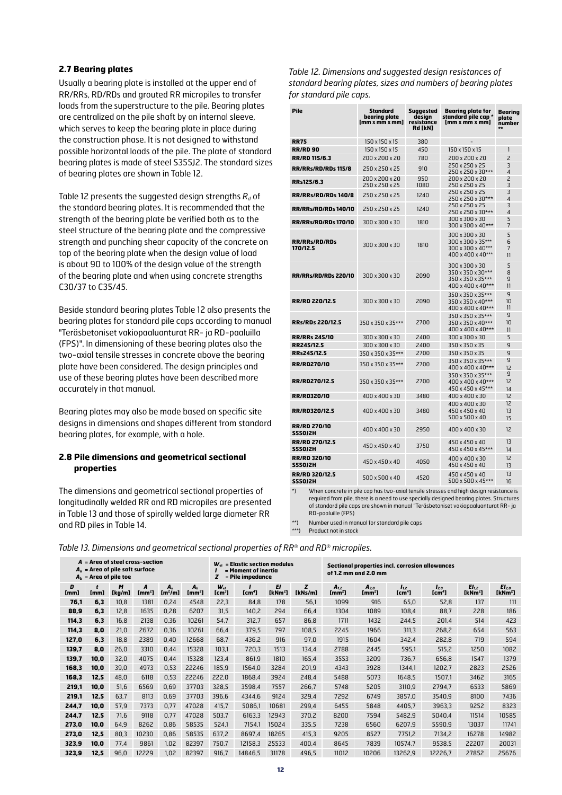#### **2.7 Bearing plates**

Usually a bearing plate is installed at the upper end of RR/RRs, RD/RDs and grouted RR micropiles to transfer loads from the superstructure to the pile. Bearing plates are centralized on the pile shaft by an internal sleeve, which serves to keep the bearing plate in place during the construction phase. It is not designed to withstand possible horizontal loads of the pile. The plate of standard bearing plates is made of steel S355J2. The standard sizes of bearing plates are shown in Table 12.

Table 12 presents the suggested design strengths  $R_d$  of the standard bearing plates. It is recommended that the strength of the bearing plate be verified both as to the steel structure of the bearing plate and the compressive strength and punching shear capacity of the concrete on top of the bearing plate when the design value of load is about 90 to 100% of the design value of the strength of the bearing plate and when using concrete strengths C30/37 to C35/45.

Beside standard bearing plates Table 12 also presents the bearing plates for standard pile caps according to manual "Teräsbetoniset vakiopaaluanturat RR- ja RD-paaluilla (FPS)". In dimensioning of these bearing plates also the two-axial tensile stresses in concrete above the bearing plate have been considered. The design principles and use of these bearing plates have been described more accurately in that manual.

Bearing plates may also be made based on specific site designs in dimensions and shapes different from standard bearing plates, for example, with a hole.

#### **2.8 Pile dimensions and geometrical sectional properties**

The dimensions and geometrical sectional properties of longitudinally welded RR and RD micropiles are presented in Table 13 and those of spirally welded large diameter RR and RD piles in Table 14.

*Table 12. Dimensions and suggested design resistances of standard bearing plates, sizes and numbers of bearing plates for standard pile caps.*

| Pile                                    | <b>Standard</b><br>bearing plate<br>[mm x mm x mm] | Suggested<br>design<br>resistance<br>Rd [kN] | <b>Bearing plate for</b><br>standard pile cap *<br>$[mm \times mm \times mm]$ | Bearing<br>plate<br>number<br>$\star\star$  |
|-----------------------------------------|----------------------------------------------------|----------------------------------------------|-------------------------------------------------------------------------------|---------------------------------------------|
| <b>RR75</b>                             | 150 x 150 x 15                                     | 380                                          |                                                                               |                                             |
| <b>RR/RD 90</b>                         | 150 x 150 x 15                                     | 450                                          | 150 x 150 x 15                                                                | 1                                           |
| <b>RR/RD 115/6.3</b>                    | 200 x 200 x 20                                     | 780                                          | 200 x 200 x 20                                                                | $\overline{\phantom{0}}$                    |
| RR/RRs/RD/RDs 115/8                     | 250 x 250 x 25                                     | 910                                          | 250 x 250 x 25                                                                | 3                                           |
|                                         |                                                    |                                              | 250 x 250 x 30***                                                             | $\overline{4}$                              |
| RRs125/6.3                              | 200 x 200 x 20<br>250 x 250 x 25                   | 950<br>1080                                  | 200 x 200 x 20<br>250 x 250 x 25                                              | $\overline{c}$<br>3                         |
| <b>RR/RRs/RD/RDs 140/8</b>              | 250 x 250 x 25                                     | 1240                                         | 250 x 250 x 25<br>250 x 250 x 30***                                           | 3<br>4                                      |
| <b>RR/RRs/RD/RDs 140/10</b>             | 250 x 250 x 25                                     | 1240                                         | 250 x 250 x 25<br>250 x 250 x 30***                                           | 3<br>$\overline{4}$                         |
| <b>RR/RRs/RD/RDs 170/10</b>             | 300 x 300 x 30                                     | 1810                                         | 300 x 300 x 30<br>300 x 300 x 40***                                           | 5<br>7                                      |
| <b>RR/RRs/RD/RDs</b><br>170/12.5        | 300 x 300 x 30                                     | 1810                                         | 300 x 300 x 30<br>300 x 300 x 35***<br>300 x 300 x 40***<br>400 x 400 x 40*** | 5<br>6<br>$\overline{7}$<br>$\overline{11}$ |
| <b>RR/RRs/RD/RDs 220/10</b>             | 300 x 300 x 30                                     | 2090                                         | 300 x 300 x 30<br>350 x 350 x 30***<br>350 x 350 x 35***<br>400 x 400 x 40*** | 5<br>8<br>9<br>11                           |
| <b>RR/RD 220/12.5</b>                   | 300 x 300 x 30                                     | 2090                                         | 350 x 350 x 35***<br>350 x 350 x 40***<br>$400 \times 400 \times 40$ ***      | 9<br>10<br>11                               |
| <b>RRs/RDs 220/12.5</b>                 | $350 \times 350 \times 35***$                      | 2700                                         | 350 x 350 x 35***<br>350 x 350 x 40***<br>$400 \times 400 \times 40$ ***      | 9<br>10<br>11                               |
| <b>RR/RRs 245/10</b>                    | 300 x 300 x 30                                     | 2400                                         | 300 x 300 x 30                                                                | 5                                           |
| RR245/12.5                              | 300 x 300 x 30                                     | 2400                                         | 350 x 350 x 35                                                                | 9                                           |
| RRs245/12.5                             | $350 \times 350 \times 35***$                      | 2700                                         | 350 x 350 x 35                                                                | $\overline{g}$                              |
| <b>RR/RD270/10</b>                      | 350 x 350 x 35***                                  | 2700                                         | 350 x 350 x 35***<br>400 x 400 x 40***                                        | 9<br>12                                     |
| <b>RR/RD270/12.5</b>                    | 350 x 350 x 35***                                  | 2700                                         | 350 x 350 x 35***<br>400 x 400 x 40***<br>450 x 450 x 45***                   | 9<br>12<br>14                               |
| <b>RR/RD320/10</b>                      | 400 x 400 x 30                                     | 3480                                         | 400 x 400 x 30                                                                | 12                                          |
| RR/RD320/12.5                           | 400 x 400 x 30                                     | 3480                                         | 400 x 400 x 30<br>450 x 450 x 40<br>500 x 500 x 40                            | 12<br>13<br>15                              |
| <b>RR/RD 270/10</b><br><b>S550J2H</b>   | 400 x 400 x 30                                     | 2950                                         | 400 x 400 x 30                                                                | 12                                          |
| <b>RR/RD 270/12.5</b><br><b>S550J2H</b> | 450 x 450 x 40                                     | 3750                                         | 450 x 450 x 40<br>450 x 450 x 45***                                           | 13<br>14                                    |
| <b>RR/RD 320/10</b><br><b>S550J2H</b>   | 450 x 450 x 40                                     | 4050                                         | 400 x 400 x 30<br>450 x 450 x 40                                              | 12<br>13                                    |
| <b>RR/RD 320/12.5</b><br><b>S550J2H</b> | 500 x 500 x 40                                     | 4520                                         | 450 x 450 x 40<br>500 x 500 x 45***                                           | 13<br>16                                    |

\*) When concrete in pile cap has two-axial tensile stresses and high design resistance is required from pile, there is a need to use specially designed bearing plates. Structures of standard pile caps are shown in manual "Teräsbetoniset vakiopaaluanturat RR- ja RD-paaluille (FPS)

Number used in manual for standard pile caps

\*\*\*) Product not in stock

*Table 13. Dimensions and geometrical sectional properties of RR® and RD® micropiles.* 

|           |           | $A = Area$ of steel cross-section<br>$W_{el}$ = Elastic section modulus<br>$A_u$ = Area of pile saft surface<br>$=$ Moment of inertia<br>z<br>$A_b$ = Area of pile toe<br>= Pile impedance |                         |                              |                                      |                                | <b>Sectional properties incl. corrosion allowances</b><br>of 1.2 mm and 2.0 mm |                           |              |                                        |                                        |                                 |                                 |                                          |                                          |
|-----------|-----------|--------------------------------------------------------------------------------------------------------------------------------------------------------------------------------------------|-------------------------|------------------------------|--------------------------------------|--------------------------------|--------------------------------------------------------------------------------|---------------------------|--------------|----------------------------------------|----------------------------------------|---------------------------------|---------------------------------|------------------------------------------|------------------------------------------|
| D<br>[mm] | t<br>[mm] | M<br>[kg/m]                                                                                                                                                                                | A<br>[mm <sup>2</sup> ] | $A_u$<br>[m <sup>2</sup> /m] | A <sub>b</sub><br>[mm <sup>2</sup> ] | $W_{el}$<br>[cm <sup>3</sup> ] | [cm <sup>4</sup> ]                                                             | EI<br>[kNm <sup>2</sup> ] | z<br>[kNs/m] | $A_{1,2}$<br>$\mathbf{Im}\mathbf{m}^2$ | $A_{2.0}$<br>$\mathbf{Im}\mathbf{m}^2$ | $I_{1,2}$<br>[cm <sup>4</sup> ] | $I_{2,0}$<br>[cm <sup>4</sup> ] | EI <sub>1.2</sub><br>[kNm <sup>2</sup> ] | EI <sub>2.0</sub><br>[kNm <sup>2</sup> ] |
| 76,1      | 6,3       | 10,8                                                                                                                                                                                       | 1381                    | 0,24                         | 4548                                 | 22,3                           | 84,8                                                                           | 178                       | 56,1         | 1099                                   | 916                                    | 65,0                            | 52,8                            | 137                                      | 111                                      |
| 88,9      | 6,3       | 12,8                                                                                                                                                                                       | 1635                    | 0,28                         | 6207                                 | 31,5                           | 140,2                                                                          | 294                       | 66,4         | 1304                                   | 1089                                   | 108,4                           | 88,7                            | 228                                      | 186                                      |
| 114,3     | 6,3       | 16,8                                                                                                                                                                                       | 2138                    | 0,36                         | 10261                                | 54,7                           | 312,7                                                                          | 657                       | 86,8         | 1711                                   | 1432                                   | 244,5                           | 201,4                           | 514                                      | 423                                      |
| 114,3     | 8,0       | 21,0                                                                                                                                                                                       | 2672                    | 0,36                         | 10261                                | 66,4                           | 379,5                                                                          | 797                       | 108,5        | 2245                                   | 1966                                   | 311,3                           | 268,2                           | 654                                      | 563                                      |
| 127,0     | 6,3       | 18,8                                                                                                                                                                                       | 2389                    | 0,40                         | 12668                                | 68,7                           | 436,2                                                                          | 916                       | 97,0         | 1915                                   | 1604                                   | 342,4                           | 282,8                           | 719                                      | 594                                      |
| 139,7     | 8,0       | 26,0                                                                                                                                                                                       | 3310                    | 0,44                         | 15328                                | 103,1                          | 720,3                                                                          | 1513                      | 134,4        | 2788                                   | 2445                                   | 595,1                           | 515,2                           | 1250                                     | 1082                                     |
| 139,7     | 10,0      | 32,0                                                                                                                                                                                       | 4075                    | 0,44                         | 15328                                | 123,4                          | 861,9                                                                          | 1810                      | 165,4        | 3553                                   | 3209                                   | 736,7                           | 656,8                           | 1547                                     | 1379                                     |
| 168,3     | 10,0      | 39,0                                                                                                                                                                                       | 4973                    | 0,53                         | 22246                                | 185,9                          | 1564,0                                                                         | 3284                      | 201,9        | 4343                                   | 3928                                   | 1344,1                          | 1202,7                          | 2823                                     | 2526                                     |
| 168,3     | 12,5      | 48,0                                                                                                                                                                                       | 6118                    | 0,53                         | 22246                                | 222,0                          | 1868,4                                                                         | 3924                      | 248,4        | 5488                                   | 5073                                   | 1648,5                          | 1507,1                          | 3462                                     | 3165                                     |
| 219,1     | 10,0      | 51,6                                                                                                                                                                                       | 6569                    | 0,69                         | 37703                                | 328,5                          | 3598,4                                                                         | 7557                      | 266,7        | 5748                                   | 5205                                   | 3110,9                          | 2794,7                          | 6533                                     | 5869                                     |
| 219,1     | 12,5      | 63,7                                                                                                                                                                                       | 8113                    | 0,69                         | 37703                                | 396,6                          | 4344,6                                                                         | 9124                      | 329,4        | 7292                                   | 6749                                   | 3857,0                          | 3540,9                          | 8100                                     | 7436                                     |
| 244,7     | 10,0      | 57,9                                                                                                                                                                                       | 7373                    | 0,77                         | 47028                                | 415,7                          | 5086,1                                                                         | 10681                     | 299,4        | 6455                                   | 5848                                   | 4405,7                          | 3963,3                          | 9252                                     | 8323                                     |
| 244.7     | 12,5      | 71,6                                                                                                                                                                                       | 9118                    | 0,77                         | 47028                                | 503,7                          | 6163,3                                                                         | 12943                     | 370,2        | 8200                                   | 7594                                   | 5482,9                          | 5040,4                          | 11514                                    | 10585                                    |
| 273,0     | 10,0      | 64,9                                                                                                                                                                                       | 8262                    | 0,86                         | 58535                                | 524,1                          | 7154,1                                                                         | 15024                     | 335,5        | 7238                                   | 6560                                   | 6207,9                          | 5590,9                          | 13037                                    | 11741                                    |
| 273,0     | 12,5      | 80,3                                                                                                                                                                                       | 10230                   | 0,86                         | 58535                                | 637,2                          | 8697,4                                                                         | 18265                     | 415,3        | 9205                                   | 8527                                   | 7751,2                          | 7134,2                          | 16278                                    | 14982                                    |
| 323,9     | 10,0      | 77,4                                                                                                                                                                                       | 9861                    | 1,02                         | 82397                                | 750,7                          | 12158,3                                                                        | 25533                     | 400,4        | 8645                                   | 7839                                   | 10574,7                         | 9538,5                          | 22207                                    | 20031                                    |
| 323,9     | 12,5      | 96,0                                                                                                                                                                                       | 12229                   | 1,02                         | 82397                                | 916,7                          | 14846,5                                                                        | 31178                     | 496,5        | 11012                                  | 10206                                  | 13262,9                         | 12226,7                         | 27852                                    | 25676                                    |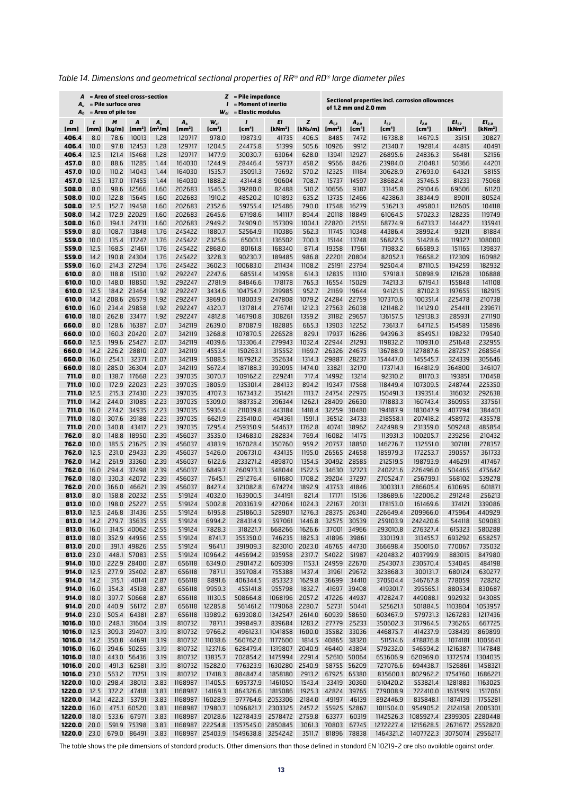| Table 14. Dimensions and geometrical sectional properties of RR® and RD® large diameter piles |  |  |
|-----------------------------------------------------------------------------------------------|--|--|
|                                                                                               |  |  |

| A<br>$A_u$<br>$A_{b}$ |              | = Area of steel cross-section<br>= Pile surface area<br>$=$ Area of pile toe |                            |                                                |                              | $W_{el}$                    | = Pile impedance<br>z<br><b>Sectional properties incl. corrosion allowances</b><br>= Moment of inertia<br>of 1.2 mm and 2.0 mm<br>= Elastic modulus |                              |                            |                    |                            |                                                                                                                       |                                        |                              |                              |
|-----------------------|--------------|------------------------------------------------------------------------------|----------------------------|------------------------------------------------|------------------------------|-----------------------------|-----------------------------------------------------------------------------------------------------------------------------------------------------|------------------------------|----------------------------|--------------------|----------------------------|-----------------------------------------------------------------------------------------------------------------------|----------------------------------------|------------------------------|------------------------------|
| D                     |              | M                                                                            | A                          | $A_u$                                          | A <sub>b</sub>               | $W_{el}$                    |                                                                                                                                                     | EI                           | z                          | $A_{1,2}$          | $A_{2,0}$                  | $I_{1,2}$                                                                                                             | $I_{2,0}$                              | EI <sub>1,2</sub>            | El <sub>2,0</sub>            |
| [mm]<br>406.4         | [mm]<br>8.0  | [kg/m]<br>78.6                                                               | 10013                      | [mm <sup>2</sup> ] [m <sup>2</sup> /m]<br>1.28 | [mm <sup>2</sup> ]<br>129717 | [cm <sup>3</sup> ]<br>978.0 | [cm <sup>4</sup> ]<br>19873.9                                                                                                                       | [kNm <sup>2</sup> ]<br>41735 | [kNs/m]<br>406.5           | $[mm^2]$<br>8485   | [cm <sup>4</sup> ]<br>7472 | [cm <sup>4</sup> ]<br>16738.8                                                                                         | [cm <sup>4</sup> ]<br>14679.5          | [kNm <sup>2</sup> ]<br>35151 | [kNm <sup>2</sup> ]<br>30827 |
| 406.4                 | 10.0         | 97.8                                                                         | 12453                      | 1.28                                           | 129717                       | 1204.5                      | 24475.8                                                                                                                                             | 51399                        | 505.6                      | 10926              | 9912                       | 21340.7                                                                                                               | 19281.4                                | 44815                        | 40491                        |
| 406.4                 | 12.5         | 121.4                                                                        | 15468                      | 1.28                                           | 129717                       | 1477.9                      | 30030.7                                                                                                                                             | 63064                        | 628.0                      | 13941              | 12927                      | 26895.6                                                                                                               | 24836.3                                | 56481                        | 52156                        |
| 457.0<br>457.0        | 8.0          | 88.6                                                                         | 11285                      | 1.44                                           | 164030<br>164030             | 1244.9<br>1535.7            | 28446.4                                                                                                                                             | 59737<br>73692               | 458.2                      | 9566<br>12325      | 8426                       | 23984.0                                                                                                               | 21048.1<br>27693.0                     | 50366                        | 44201                        |
| 457.0                 | 10.0<br>12.5 | 110.2<br>137.0                                                               | 14043<br>17455             | 1.44<br>1.44                                   | 164030                       | 1888.2                      | 35091.3<br>43144.8                                                                                                                                  | 90604                        | 570.2<br>708.7             | 15737              | 11184<br>14597             | 30628.9<br>38682.4                                                                                                    | 35746.5                                | 64321<br>81233               | 58155<br>75068               |
| 508.0                 | 8.0          | 98.6                                                                         | 12566                      | 1.60                                           | 202683                       | 1546.5                      | 39280.0                                                                                                                                             | 82488                        | 510.2                      | 10656              | 9387                       | 33145.8                                                                                                               | 29104.6                                | 69606                        | 61120                        |
| 508.0                 | 10.0         | 122.8                                                                        | 15645                      | 1.60                                           | 202683                       | 1910.2                      | 48520.2                                                                                                                                             | 101893                       | 635.2                      | 13735              | 12466                      | 42386.1                                                                                                               | 38344.9                                | 89011                        | 80524                        |
| 508.0<br>508.0        | 12.5<br>14.2 | 152.7<br>172.9                                                               | 19458<br>22029             | 1.60<br>1.60                                   | 202683<br>202683             | 2352.6<br>2645.6            | 59755.4<br>67198.6                                                                                                                                  | 125486<br>141117             | 790.0<br>894.4             | 17548<br>20118     | 16279<br>18849             | 53621.3<br>61064.5                                                                                                    | 49580.1<br>57023.3                     | 112605<br>128235             | 104118<br>119749             |
| 508.0                 | 16.0         | 194.1                                                                        | 24731                      | 1.60                                           | 202683                       | 2949.2                      | 74909.0                                                                                                                                             | 157309                       | 1004.1                     | 22820              | 21551                      | 68774.9                                                                                                               | 64733.7                                | 144427                       | 135941                       |
| 559.0                 | 8.0          | 108.7                                                                        | 13848                      | 1.76                                           | 245422                       | 1880.7                      | 52564.9                                                                                                                                             | 110386                       | 562.3                      | 11745              | 10348                      | 44386.4                                                                                                               | 38992.4                                | 93211                        | 81884                        |
| 559.0                 | 10.0         | 135.4                                                                        | 17247                      | 1.76                                           | 245422                       | 2325.6                      | 65001.1                                                                                                                                             | 136502                       | 700.3                      | 15144              | 13748                      | 56822.5                                                                                                               | 51428.6                                | 119327                       | 108000                       |
| 559.0<br>559.0        | 12.5<br>14.2 | 168.5<br>190.8                                                               | 21461<br>24304             | 1.76<br>1.76                                   | 245422<br>245422             | 2868.0<br>3228.3            | 80161.8<br>90230.7                                                                                                                                  | 168340<br>189485             | 871.4<br>986.8             | 19358<br>22201     | 17961<br>20804             | 71983.2<br>82052.1                                                                                                    | 66589.3<br>76658.2                     | 151165<br>172309             | 139837<br>160982             |
| 559.0                 | 16.0         | 214.3                                                                        | 27294                      | 1.76                                           | 245422                       | 3602.3                      | 100683.0                                                                                                                                            | 211434                       | 1108.2                     | 25191              | 23794                      | 92504.4                                                                                                               | 87110.5                                | 194259                       | 182932                       |
| 610.0                 | 8.0          | 118.8                                                                        | 15130                      | 1.92                                           | 292247                       | 2247.6                      | 68551.4                                                                                                                                             | 143958                       | 614.3                      | 12835              | 11310                      | 57918.1                                                                                                               | 50898.9                                | 121628                       | 106888                       |
| 610.0                 | 10.0         | 148.0                                                                        | 18850                      | 1.92                                           | 292247                       | 2781.9                      | 84846.6                                                                                                                                             | 178178                       | 765.3                      | 16554              | 15029                      | 74213.3                                                                                                               | 67194.1                                | 155848                       | 141108                       |
| 610.0                 | 12.5         | 184.2                                                                        | 23464                      | 1.92                                           | 292247                       | 3434.6                      | 104754.7                                                                                                                                            | 219985                       | 952.7                      | 21169              | 19644                      | 94121.5                                                                                                               | 87102.3                                | 197655                       | 182915                       |
| 610.0<br>610.0        | 14.2<br>16.0 | 208.6<br>234.4                                                               | 26579<br>29858             | 1.92<br>1.92                                   | 292247<br>292247             | 3869.0<br>4320.7            | 118003.9<br>131781.4                                                                                                                                | 247808<br>276741             | 1079.2<br>1212.3           | 24284<br>27563     | 22759<br>26038             | 107370.6<br>121148.2                                                                                                  | 100351.4<br>114129.0                   | 225478<br>254411             | 210738<br>239671             |
| 610.0                 | 18.0         | 262.8                                                                        | 33477                      | 1.92                                           | 292247                       | 4812.8                      | 146790.8                                                                                                                                            | 308261                       | 1359.2                     | 31182              | 29657                      | 136157.5                                                                                                              | 129138.3                               | 285931                       | 271190                       |
| 660.0                 | 8.0          | 128.6                                                                        | 16387                      | 2.07                                           | 342119                       | 2639.0                      | 87087.9                                                                                                                                             | 182885                       | 665.3                      | 13903              | 12252                      | 73613.7                                                                                                               | 64712.5                                | 154589                       | 135896                       |
| 660.0                 | 10.0         |                                                                              | 160.3 20420                | 2.07                                           | 342119                       | 3268.8                      | 107870.5                                                                                                                                            | 226528                       | 829.1                      | 17937              | 16286                      | 94396.3                                                                                                               | 85495.1                                | 198232                       | 179540                       |
| 660.0<br>660.0        | 12.5<br>14.2 | 199.6<br>226.2                                                               | 25427<br>28810             | 2.07<br>2.07                                   | 342119<br>342119             | 4039.6<br>4553.4            | 133306.4<br>150263.1                                                                                                                                | 279943<br>315552             | 1032.4<br>1169.7           | 22944<br>26326     | 21293<br>24675             | 119832.2<br>136788.9                                                                                                  | 110931.0<br>127887.6                   | 251648<br>287257             | 232955<br>268564             |
| 660.0                 | 16.0         | 254.1                                                                        | 32371                      | 2.07                                           | 342119                       | 5088.5                      | 167921.2                                                                                                                                            | 352634                       | 1314.3                     | 29887              | 28237                      | 154447.0                                                                                                              | 145545.7                               | 324339                       | 305646                       |
| 660.0                 | 18.0         | 285.0                                                                        | 36304                      | 2.07                                           | 342119                       | 5672.4                      | 187188.3                                                                                                                                            | 393095                       | 1474.0                     | 33821              | 32170                      | 173714.1                                                                                                              | 164812.9                               | 364800                       | 346107                       |
| 711.0                 | 8.0          | 138.7                                                                        | 17668                      | 2.23                                           | 397035                       | 3070.7                      | 109162.2                                                                                                                                            | 229241                       | 717.4                      | 14992              | 13214                      | 92310.2                                                                                                               | 81170.3                                | 193851                       | 170458                       |
| 711.0                 | 10.0         | 172.9                                                                        | 22023                      | 2.23                                           | 397035                       | 3805.9                      | 135301.4                                                                                                                                            | 284133                       | 894.2                      | 19347              | 17568                      | 118449.4                                                                                                              | 107309.5                               | 248744                       | 225350                       |
| 711.0<br>711.0        | 12.5<br>14.2 | 215.3<br>244.0                                                               | 27430<br>31085             | 2.23<br>2.23                                   | 397035<br>397035             | 4707.3<br>5309.0            | 167343.2<br>188735.2                                                                                                                                | 351421<br>396344             | 1113.7<br>1262.1           | 24754<br>28409     | 22975<br>26630             | 150491.3<br>171883.3                                                                                                  | 139351.4<br>160743.4                   | 316032<br>360955             | 292638<br>337561             |
| 711.0                 | 16.0         | 274.2                                                                        | 34935                      | 2.23                                           | 397035                       | 5936.4                      | 211039.8                                                                                                                                            | 443184                       | 1418.4                     | 32259              | 30480                      | 194187.9                                                                                                              | 183047.9                               | 407794                       | 384401                       |
| 711.0                 | 18.0         | 307.6                                                                        | 39188                      | 2.23                                           | 397035                       | 6621.9                      | 235410.0                                                                                                                                            | 494361                       | 1591.1                     | 36512              | 34733                      | 218558.1                                                                                                              | 207418.2                               | 458972                       | 435578                       |
| 711.0                 | 20.0         | 340.8                                                                        | 43417                      | 2.23                                           | 397035                       | 7295.4                      | 259350.9                                                                                                                                            | 544637                       | 1762.8                     | 40741              | 38962                      | 242498.9                                                                                                              | 231359.0                               | 509248                       | 485854                       |
| 762.0<br>762.0        | 8.0<br>10.0  | 148.8<br>185.5                                                               | 18950<br>23625             | 2.39<br>2.39                                   | 456037<br>456037             | 3535.0<br>4383.9            | 134683.0<br>167028.4                                                                                                                                | 282834<br>350760             | 769.4<br>959.2             | 16082<br>20757     | 14175<br>18850             | 113931.3<br>146276.7                                                                                                  | 100205.7<br>132551.0                   | 239256<br>307181             | 210432<br>278357             |
| 762.0                 | 12.5         | 231.0                                                                        | 29433                      | 2.39                                           | 456037                       | 5426.0                      | 206731.0                                                                                                                                            | 434135                       | 1195.0                     | 26565              | 24658                      | 185979.3                                                                                                              | 172253.7                               | 390557                       | 361733                       |
| 762.0                 | 14.2         | 261.9                                                                        | 33360                      | 2.39                                           | 456037                       | 6122.6                      | 233271.2                                                                                                                                            | 489870                       | 1354.5                     |                    | 30492 28585                | 212519.5                                                                                                              | 198793.9                               | 446291                       | 417467                       |
| 762.0                 | 16.0         | 294.4                                                                        | 37498                      | 2.39                                           | 456037                       | 6849.7                      | 260973.3                                                                                                                                            | 548044                       | 1522.5                     | 34630              | 32723                      | 240221.6                                                                                                              | 226496.0                               | 504465                       | 475642                       |
| 762.0<br>762.0        | 18.0<br>20.0 | 366.0                                                                        | 330.3 42072<br>46621       | 2.39<br>2.39                                   | 456037<br>456037             | 7645.1<br>8427.4            | 291276.4<br>321082.8                                                                                                                                | 611680<br>674274             | 1708.2<br>1892.9           | 39204<br>43753     | 37297<br>41846             | 270524.7<br>300331.1                                                                                                  | 256799.1<br>286605.4                   | 568102<br>630695             | 539278<br>601871             |
| 813.0                 | 8.0          |                                                                              | 158.8 20232                | 2.55                                           | 519124                       | 4032.0                      | 163900.5                                                                                                                                            | 344191                       | 821.4                      | 17171              | 15136                      | 138689.6                                                                                                              | 122006.2                               | 291248                       | 256213                       |
| 813.0                 | 10.0         |                                                                              | 198.0 25227                | 2.55                                           | 519124                       | 5002.8                      | 203363.9                                                                                                                                            | 427064                       | 1024.3                     | 22167              | 20131                      | 178153.0                                                                                                              | 161469.6                               | 374121                       | 339086                       |
| 813.0                 | 12.5         | 246.8                                                                        | 31436                      | 2.55                                           | 519124                       | 6195.8                      | 251860.3                                                                                                                                            | 528907                       | 1276.3                     | 28375              | 26340                      | 226649.4                                                                                                              | 209966.0                               | 475964                       | 440929                       |
| 813.0<br>813.0        | 14.2<br>16.0 |                                                                              | 279.7 35635<br>314.5 40062 | 2.55<br>2.55                                   | 519124<br>519124             | 6994.2<br>7828.3            | 284314.9<br>318221.7                                                                                                                                | 668266                       | 597061 1446.8<br>1626.6    |                    | 32575 30539<br>37001 34966 | 259103.9<br>293010.8                                                                                                  | 242420.6<br>276327.4                   | 544118<br>615323             | 509083<br>580288             |
| 813.0                 | 18.0         |                                                                              | 352.9 44956                | 2.55                                           | 519124                       | 8741.7                      | 355350.0                                                                                                                                            | 746235                       | 1825.3                     | 41896              | 39861                      | 330139.1                                                                                                              | 313455.7                               | 693292                       | 658257                       |
| 813.0                 | 20.0         |                                                                              | 391.1 49826                | 2.55                                           | 519124                       | 9641.1                      | 391909.3                                                                                                                                            |                              | 823010 2023.0              | 46765 44730        |                            | 366698.4                                                                                                              | 350015.0                               | 770067                       | 735032                       |
| 813.0                 | 23.0         |                                                                              | 448.1 57083                | 2.55                                           | 519124                       | 10964.2                     | 445694.2                                                                                                                                            | 935958                       | 2317.7                     |                    | 54022 51987                | 420483.2                                                                                                              | 403799.9                               | 883015                       | 847980                       |
| 914.0<br>914.0        | 10.0<br>12.5 |                                                                              | 222.9 28400<br>277.9 35402 | 2.87<br>2.87                                   | 656118<br>656118             | 6349.0<br>7871.1            | 290147.2<br>359708.4                                                                                                                                | 609309<br>755388             | 1437.4                     | 1153.1 24959 22670 | 31961 29672                | 254307.1<br>323868.3                                                                                                  | 230570.4<br>300131.7                   | 534045<br>680124             | 484198<br>630277             |
| 914.0                 | 14.2         |                                                                              | 315.1 40141                | 2.87                                           | 656118                       | 8891.6                      | 406344.5                                                                                                                                            | 853323                       |                            | 1629.8 36699       | 34410                      | 370504.4                                                                                                              | 346767.8                               | 778059                       | 728212                       |
| 914.0                 | 16.0         |                                                                              | 354.3 45138                | 2.87                                           | 656118                       | 9959.3                      | 455141.8                                                                                                                                            | 955798                       | 1832.7                     |                    | 41697 39408                | 419301.7                                                                                                              | 395565.1                               | 880534                       | 830687                       |
| 914.0                 | 18.0         |                                                                              | 397.7 50668                | 2.87                                           | 656118                       | 11130.5                     | 508664.8                                                                                                                                            |                              | 1068196 2057.2 47226 44937 |                    |                            | 472824.7                                                                                                              | 449088.1                               | 992932                       | 943085                       |
| 914.0<br>914.0        | 20.0<br>23.0 | 505.4                                                                        | 440.9 56172<br>64381       | 2.87<br>2.87                                   | 656118<br>656118             | 12285.8<br>13989.2          | 561461.2<br>639308.0                                                                                                                                | 1179068 2280.7<br>1342547    |                            | 2614.0 60939 58650 | 52731 50441                | 525621.1<br>603467.9                                                                                                  | 501884.5<br>579731.3                   | 1103804<br>1267283           | 1053957<br>1217436           |
| 1016.0                | 10.0         | 248.1                                                                        | 31604                      | 3.19                                           | 810732                       | 7871.1                      | 399849.7                                                                                                                                            | 839684                       | 1283.2                     | 27779 25233        |                            | 350602.3                                                                                                              | 317964.5                               | 736265                       | 667725                       |
| 1016.0                | 12.5         |                                                                              | 309.3 39407                | 3.19                                           | 810732                       | 9766.2                      | 496123.1                                                                                                                                            |                              | 1041858 1600.0             |                    | 35582 33036                | 446875.7                                                                                                              | 414237.9                               | 938439                       | 869899                       |
| 1016.0                | 14.2         |                                                                              | 350.8 44691                | 3.19                                           | 810732                       | 11038.6                     | 560762.0                                                                                                                                            | 1177600                      |                            | 1814.5 40865 38320 |                            | 511514.6                                                                                                              | 478876.8                               | 1074181                      | 1005641                      |
| 1016.0<br>1016.0      | 16.0<br>18.0 |                                                                              | 394.6 50265<br>443.0 56436 | 3.19<br>3.19                                   | 810732<br>810732             | 12371.6<br>13835.7          | 628479.4<br>702854.2                                                                                                                                | 1475994                      | 1319807 2040.9<br>2291.4   | 46440 43894        | 52610 50064                | 579232.0<br>653606.9                                                                                                  | 546594.2<br>620969.0                   | 1216387<br>1372574           | 1147848<br>1304035           |
| 1016.0                | 20.0         |                                                                              | 491.3 62581                | 3.19                                           |                              | 810732 15282.0              | 776323.9                                                                                                                                            | 1630280 2540.9               |                            |                    | 58755 56209                | 727076.6                                                                                                              | 694438.7                               | 1526861                      | 1458321                      |
| 1016.0                | 23.0         | 563.2                                                                        | 71751                      | 3.19                                           | 810732                       | 17418.3                     | 884847.4                                                                                                                                            | 1858180                      |                            | 2913.2 67925 65380 |                            | 835600.1                                                                                                              | 802962.2                               | 1754760                      | 1686221                      |
| 1220.0                | 10.0         | 298.4                                                                        | 38013                      | 3.83                                           | 1168987                      | 11405.5                     | 695737.9                                                                                                                                            | 1461050                      | 1543.4                     |                    | 33419 30360                | 610420.2                                                                                                              | 553821.4                               | 1281883                      | 1163025                      |
| 1220.0                | 12.5         | 372.2                                                                        | 47418                      | 3.83                                           | 1168987                      | 14169.3                     | 864326.6                                                                                                                                            | 1815086                      |                            | 1925.3 42824 39765 |                            | 779008.9                                                                                                              | 722410.0                               | 1635919                      | 1517061                      |
| 1220.0<br>1220.0      | 14.2<br>16.0 |                                                                              | 422.3 53791<br>475.1 60520 | 3.83<br>3.83                                   | 1168987 16028.9              | 1168987 17980.7             | 1096821.7 2303325 2457.2                                                                                                                            | 977764.6 2053306             | 2184.0                     |                    | 49197 46139<br>55925 52867 | 892446.9<br>1011504.0                                                                                                 | 835848.1<br>954905.2                   | 1874139                      | 1755281<br>2124158 2005301   |
| 1220.0                | 18.0         |                                                                              | 533.6 67971                | 3.83                                           |                              | 1168987 20128.6             | 1227843.9 2578472 2759.8 63377 60319                                                                                                                |                              |                            |                    |                            |                                                                                                                       | 1142526.3 1085927.4 2399305 2280448    |                              |                              |
| 1220.0 20.0           |              |                                                                              | 591.9 75398                |                                                | 3.83 1168987 22254.8         |                             | 1357545.0 2850845                                                                                                                                   |                              |                            | 3061.3 70803 67745 |                            |                                                                                                                       | 1272227.4  1215628.5  2671677  2552820 |                              |                              |
|                       |              |                                                                              |                            |                                                |                              |                             |                                                                                                                                                     |                              |                            |                    |                            | 1220.0 23.0 679.0 86491 3.83 1168987 25403.9 1549638.8 3254242 3511.7 81896 78838 1464321.2 1407722.3 3075074 2956217 |                                        |                              |                              |

The table shows the pile dimensions of standard products. Other dimensions than those defined in standard EN 10219-2 are also available against order.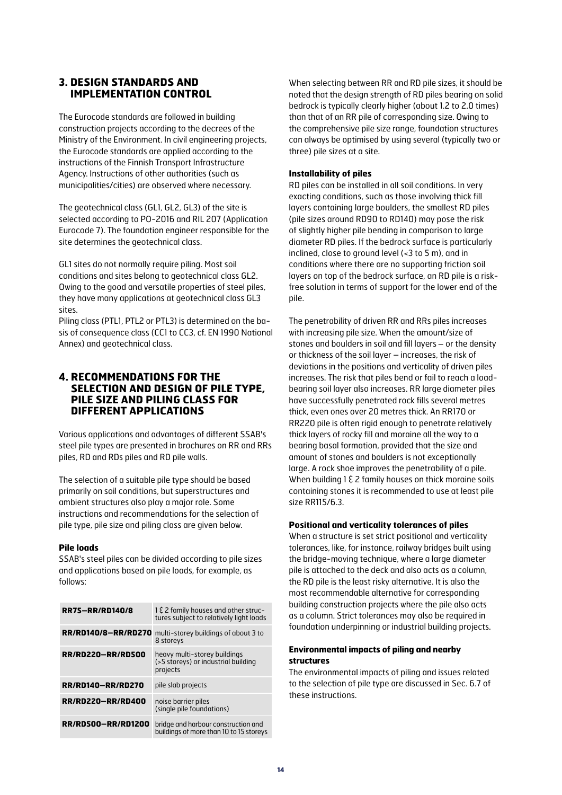# **3. DESIGN STANDARDS AND IMPLEMENTATION CONTROL**

The Eurocode standards are followed in building construction projects according to the decrees of the Ministry of the Environment. In civil engineering projects, the Eurocode standards are applied according to the instructions of the Finnish Transport Infrastructure Agency. Instructions of other authorities (such as municipalities/cities) are observed where necessary.

The geotechnical class (GL1, GL2, GL3) of the site is selected according to PO-2016 and RIL 207 (Application Eurocode 7). The foundation engineer responsible for the site determines the geotechnical class.

GL1 sites do not normally require piling. Most soil conditions and sites belong to geotechnical class GL2. Owing to the good and versatile properties of steel piles, they have many applications at geotechnical class GL3 sites.

Piling class (PTL1, PTL2 or PTL3) is determined on the basis of consequence class (CC1 to CC3, cf. EN 1990 National Annex) and geotechnical class.

# **4. RECOMMENDATIONS FOR THE SELECTION AND DESIGN OF PILE TYPE, PILE SIZE AND PILING CLASS FOR DIFFERENT APPLICATIONS**

Various applications and advantages of different SSAB's steel pile types are presented in brochures on RR and RRs piles, RD and RDs piles and RD pile walls.

The selection of a suitable pile type should be based primarily on soil conditions, but superstructures and ambient structures also play a major role. Some instructions and recommendations for the selection of pile type, pile size and piling class are given below.

#### **Pile loads**

SSAB's steel piles can be divided according to pile sizes and applications based on pile loads, for example, as follows:

| <b>RR75-RR/RD140/8</b>    | 1 & 2 family houses and other struc-<br>tures subject to relatively light loads |
|---------------------------|---------------------------------------------------------------------------------|
| RR/RD140/8-RR/RD270       | multi-storey buildings of about 3 to<br>8 storeys                               |
| <b>RR/RD220-RR/RD500</b>  | heavy multi-storey buildings<br>(>5 storeys) or industrial building<br>projects |
| <b>RR/RD140-RR/RD270</b>  | pile slab projects                                                              |
| <b>RR/RD220-RR/RD400</b>  | noise barrier piles<br>(single pile foundations)                                |
| <b>RR/RD500-RR/RD1200</b> | bridge and harbour construction and<br>buildings of more than 10 to 15 storeys  |

When selecting between RR and RD pile sizes, it should be noted that the design strength of RD piles bearing on solid bedrock is typically clearly higher (about 1.2 to 2.0 times) than that of an RR pile of corresponding size. Owing to the comprehensive pile size range, foundation structures can always be optimised by using several (typically two or three) pile sizes at a site.

#### **Installability of piles**

RD piles can be installed in all soil conditions. In very exacting conditions, such as those involving thick fill layers containing large boulders, the smallest RD piles (pile sizes around RD90 to RD140) may pose the risk of slightly higher pile bending in comparison to large diameter RD piles. If the bedrock surface is particularly inclined, close to ground level (<3 to 5 m), and in conditions where there are no supporting friction soil layers on top of the bedrock surface, an RD pile is a riskfree solution in terms of support for the lower end of the pile.

The penetrability of driven RR and RRs piles increases with increasing pile size. When the amount/size of stones and boulders in soil and fill layers – or the density or thickness of the soil layer – increases, the risk of deviations in the positions and verticality of driven piles increases. The risk that piles bend or fail to reach a loadbearing soil layer also increases. RR large diameter piles have successfully penetrated rock fills several metres thick, even ones over 20 metres thick. An RR170 or RR220 pile is often rigid enough to penetrate relatively thick layers of rocky fill and moraine all the way to a bearing basal formation, provided that the size and amount of stones and boulders is not exceptionally large. A rock shoe improves the penetrability of a pile. When building 1  $\xi$  2 family houses on thick moraine soils containing stones it is recommended to use at least pile size RR115/6.3.

#### **Positional and verticality tolerances of piles**

When a structure is set strict positional and verticality tolerances, like, for instance, railway bridges built using the bridge-moving technique, where a large diameter pile is attached to the deck and also acts as a column, the RD pile is the least risky alternative. It is also the most recommendable alternative for corresponding building construction projects where the pile also acts as a column. Strict tolerances may also be required in foundation underpinning or industrial building projects.

#### **Environmental impacts of piling and nearby structures**

The environmental impacts of piling and issues related to the selection of pile type are discussed in Sec. 6.7 of these instructions.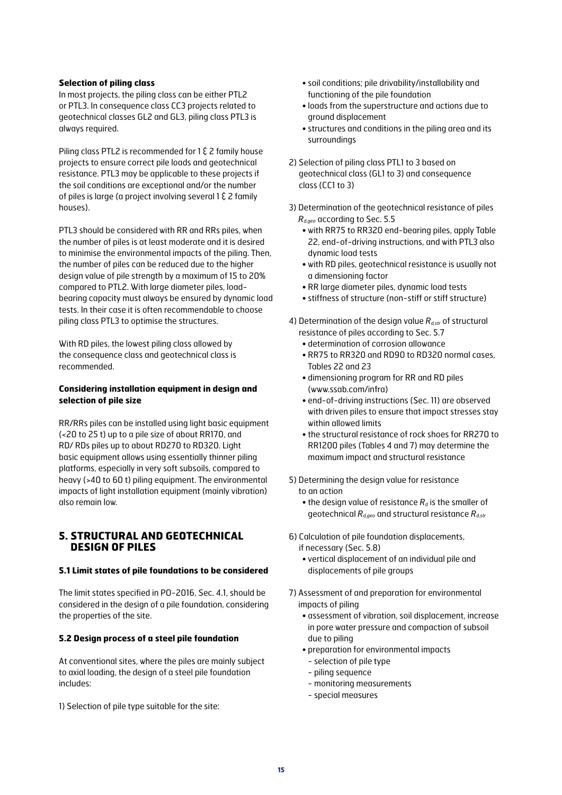#### **Selection of piling class**

In most projects, the piling class can be either PTL2 or PTL3. In consequence class CC3 projects related to geotechnical classes GL2 and GL3, piling class PTL3 is always required.

Piling class PTL2 is recommended for 1  $\epsilon$  2 family house projects to ensure correct pile loads and geotechnical resistance. PTL3 may be applicable to these projects if the soil conditions are exceptional and/or the number of piles is large (a project involving several  $1 \, \xi$  2 family houses).

PTL3 should be considered with RR and RRs piles, when the number of piles is at least moderate and it is desired to minimise the environmental impacts of the piling. Then, the number of piles can be reduced due to the higher design value of pile strength by a maximum of 15 to 20% compared to PTL2. With large diameter piles, loadbearing capacity must always be ensured by dynamic load tests. In their case it is often recommendable to choose piling class PTL3 to optimise the structures.

With RD piles, the lowest piling class allowed by the consequence class and geotechnical class is recommended.

#### **Considering installation equipment in design and selection of pile size**

RR/RRs piles can be installed using light basic equipment (<20 to 25 t) up to a pile size of about RR170, and RD/ RDs piles up to about RD270 to RD320. Light basic equipment allows using essentially thinner piling platforms, especially in very soft subsoils, compared to heavy (>40 to 60 t) piling equipment. The environmental impacts of light installation equipment (mainly vibration) also remain low.

#### **5. STRUCTURAL AND GEOTECHNICAL DESIGN OF PILES**

#### **5.1 Limit states of pile foundations to be considered**

The limit states specified in PO-2016, Sec. 4.1, should be considered in the design of a pile foundation, considering the properties of the site.

#### **5.2 Design process of a steel pile foundation**

At conventional sites, where the piles are mainly subject to axial loading, the design of a steel pile foundation includes:

1) Selection of pile type suitable for the site:

- soil conditions; pile drivability/installability and functioning of the pile foundation
- loads from the superstructure and actions due to ground displacement
- structures and conditions in the piling area and its surroundings
- 2) Selection of piling class PTL1 to 3 based on geotechnical class (GL1 to 3) and consequence class (CC1 to 3)
- 3) Determination of the geotechnical resistance of piles *Rd,geo* according to Sec. 5.5
	- with RR75 to RR320 end-bearing piles, apply Table 22, end-of-driving instructions, and with PTL3 also dynamic load tests
	- with RD piles, geotechnical resistance is usually not a dimensioning factor
	- RR large diameter piles, dynamic load tests
	- stiffness of structure (non-stiff or stiff structure)
- 4) Determination of the design value *Rd,str* of structural resistance of piles according to Sec. 5.7
	- determination of corrosion allowance
	- RR75 to RR320 and RD90 to RD320 normal cases, Tables 22 and 23
	- dimensioning program for RR and RD piles (www.ssab.com/infra)
	- end-of-driving instructions (Sec. 11) are observed with driven piles to ensure that impact stresses stay within allowed limits
	- the structural resistance of rock shoes for RR270 to RR1200 piles (Tables 4 and 7) may determine the maximum impact and structural resistance
- 5) Determining the design value for resistance to an action
	- the design value of resistance  $R_d$  is the smaller of geotechnical *Rd,geo* and structural resistance *Rd,str*
- 6) Calculation of pile foundation displacements, if necessary (Sec. 5.8)
	- vertical displacement of an individual pile and displacements of pile groups
- 7) Assessment of and preparation for environmental impacts of piling
	- assessment of vibration, soil displacement, increase in pore water pressure and compaction of subsoil due to piling
	- preparation for environmental impacts
		- selection of pile type
	- piling sequence
	- monitoring measurements
	- special measures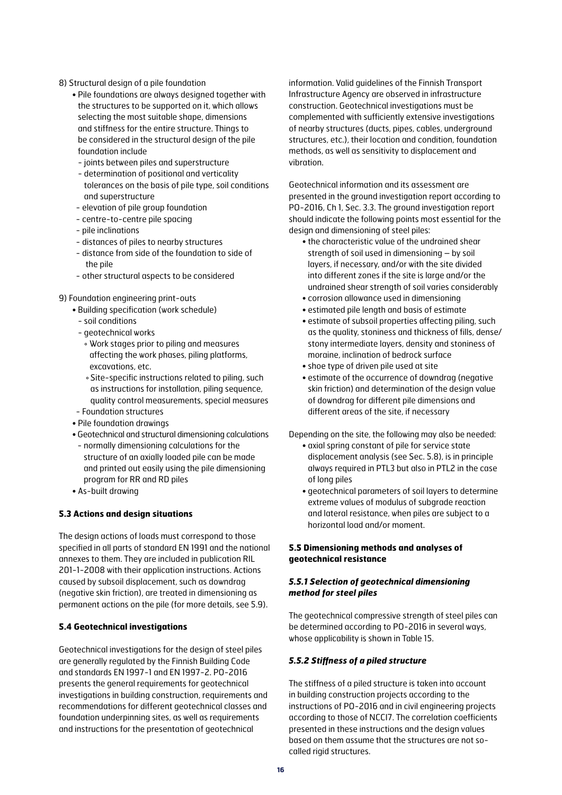- 8) Structural design of a pile foundation
	- Pile foundations are always designed together with the structures to be supported on it, which allows selecting the most suitable shape, dimensions and stiffness for the entire structure. Things to be considered in the structural design of the pile foundation include
		- joints between piles and superstructure
		- determination of positional and verticality tolerances on the basis of pile type, soil conditions and superstructure
	- elevation of pile group foundation
	- centre-to-centre pile spacing
	- pile inclinations
	- distances of piles to nearby structures
	- distance from side of the foundation to side of the pile
	- other structural aspects to be considered
- 9) Foundation engineering print-outs
	- Building specification (work schedule)
		- soil conditions
		- geotechnical works
			- ° Work stages prior to piling and measures affecting the work phases, piling platforms, excavations, etc.
			- °Site-specific instructions related to piling, such as instructions for installation, piling sequence, quality control measurements, special measures
		- Foundation structures
	- Pile foundation drawings
	- Geotechnical and structural dimensioning calculations
	- normally dimensioning calculations for the structure of an axially loaded pile can be made and printed out easily using the pile dimensioning program for RR and RD piles
	- As-built drawing

#### **5.3 Actions and design situations**

The design actions of loads must correspond to those specified in all parts of standard EN 1991 and the national annexes to them. They are included in publication RIL 201-1-2008 with their application instructions. Actions caused by subsoil displacement, such as downdrag (negative skin friction), are treated in dimensioning as permanent actions on the pile (for more details, see 5.9).

## **5.4 Geotechnical investigations**

Geotechnical investigations for the design of steel piles are generally regulated by the Finnish Building Code and standards EN 1997-1 and EN 1997-2. PO-2016 presents the general requirements for geotechnical investigations in building construction, requirements and recommendations for different geotechnical classes and foundation underpinning sites, as well as requirements and instructions for the presentation of geotechnical

information. Valid guidelines of the Finnish Transport Infrastructure Agency are observed in infrastructure construction. Geotechnical investigations must be complemented with sufficiently extensive investigations of nearby structures (ducts, pipes, cables, underground structures, etc.), their location and condition, foundation methods, as well as sensitivity to displacement and vibration.

Geotechnical information and its assessment are presented in the ground investigation report according to PO-2016, Ch 1, Sec. 3.3. The ground investigation report should indicate the following points most essential for the design and dimensioning of steel piles:

- the characteristic value of the undrained shear strength of soil used in dimensioning – by soil layers, if necessary, and/or with the site divided into different zones if the site is large and/or the undrained shear strength of soil varies considerably
- corrosion allowance used in dimensioning • estimated pile length and basis of estimate
- estimate of subsoil properties affecting piling, such as the quality, stoniness and thickness of fills, dense/ stony intermediate layers, density and stoniness of moraine, inclination of bedrock surface
- shoe type of driven pile used at site
- estimate of the occurrence of downdrag (negative skin friction) and determination of the design value of downdrag for different pile dimensions and different areas of the site, if necessary

Depending on the site, the following may also be needed: • axial spring constant of pile for service state

- displacement analysis (see Sec. 5.8), is in principle always required in PTL3 but also in PTL2 in the case of long piles
- geotechnical parameters of soil layers to determine extreme values of modulus of subgrade reaction and lateral resistance, when piles are subject to a horizontal load and/or moment.

#### **5.5 Dimensioning methods and analyses of geotechnical resistance**

#### *5.5.1 Selection of geotechnical dimensioning method for steel piles*

The geotechnical compressive strength of steel piles can be determined according to PO-2016 in several ways, whose applicability is shown in Table 15.

#### *5.5.2 Stiffness of a piled structure*

The stiffness of a piled structure is taken into account in building construction projects according to the instructions of PO-2016 and in civil engineering projects according to those of NCCI7. The correlation coefficients presented in these instructions and the design values based on them assume that the structures are not socalled rigid structures.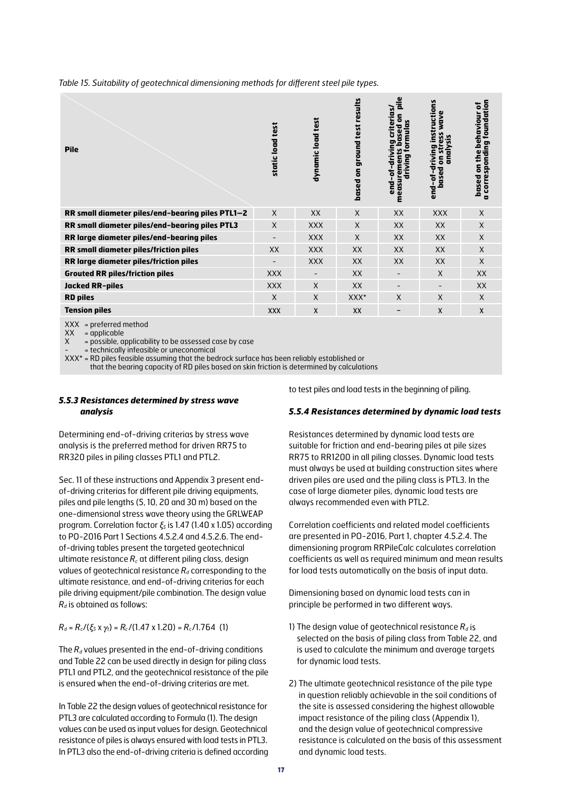| <b>Pile</b>                                      | static load test | test<br>dynamic load | based on ground test results | ë<br>riterias.<br>sed on<br>formulas<br>٥<br>easurements b<br>driving<br>ᇹ<br>end-of<br>٤ | instructions<br>wave<br>S<br>Sis<br>ë,<br>analy<br>riving<br>류<br>등<br>end-of-d<br>based | foundation<br>ቴ<br>ehaviour<br>ខ្ទ<br>ĕ<br><b>a</b> correspondi<br>Ĕ<br>5<br>based |
|--------------------------------------------------|------------------|----------------------|------------------------------|-------------------------------------------------------------------------------------------|------------------------------------------------------------------------------------------|------------------------------------------------------------------------------------|
| RR small diameter piles/end-bearing piles PTL1-2 | $\mathsf{X}$     | XX                   | $\times$                     | XX                                                                                        | <b>XXX</b>                                                                               | $\mathsf{X}$                                                                       |
| RR small diameter piles/end-bearing piles PTL3   | $\times$         | <b>XXX</b>           | X                            | XX                                                                                        | XX                                                                                       | $\mathsf{X}$                                                                       |
| RR large diameter piles/end-bearing piles        |                  | <b>XXX</b>           | X                            | <b>XX</b>                                                                                 | XX                                                                                       | $\mathsf{X}$                                                                       |
| RR small diameter piles/friction piles           | <b>XX</b>        | <b>XXX</b>           | XX                           | XX                                                                                        | XX                                                                                       | $\mathsf{X}$                                                                       |
| RR large diameter piles/friction piles           |                  | <b>XXX</b>           | XX                           | XX                                                                                        | XX                                                                                       | $\mathsf{X}$                                                                       |
| <b>Grouted RR piles/friction piles</b>           | <b>XXX</b>       |                      | XX                           |                                                                                           | $\times$                                                                                 | XX                                                                                 |
| <b>Jacked RR-piles</b>                           | <b>XXX</b>       | $\mathsf{X}$         | XX                           | $\overline{\phantom{a}}$                                                                  | $\qquad \qquad$                                                                          | <b>XX</b>                                                                          |
| <b>RD piles</b>                                  | $\times$         | $\mathsf{X}$         | $XXX^*$                      | X                                                                                         | $\mathsf{X}$                                                                             | $\mathsf{X}$                                                                       |
| <b>Tension piles</b>                             | <b>XXX</b>       | X                    | XX                           | -                                                                                         | $\mathsf{x}$                                                                             | $\mathsf{x}$                                                                       |
| VVI<br>امم ماء ممسلم مسمكم سمس                   |                  |                      |                              |                                                                                           |                                                                                          |                                                                                    |

*Table 15. Suitability of geotechnical dimensioning methods for different steel pile types.* 

 $XX =$  preferred method

 $XX =$  applicable

 $X = \text{possible}$ , applicability to be assessed case by case

- = technically infeasible or uneconomical

 $XXX^*$  = RD piles feasible assuming that the bedrock surface has been reliably established or

that the bearing capacity of RD piles based on skin friction is determined by calculations

#### *5.5.3 Resistances determined by stress wave analysis*

Determining end-of-driving criterias by stress wave analysis is the preferred method for driven RR75 to RR320 piles in piling classes PTL1 and PTL2.

Sec. 11 of these instructions and Appendix 3 present endof-driving criterias for different pile driving equipments, piles and pile lengths (5, 10, 20 and 30 m) based on the one-dimensional stress wave theory using the GRLWEAP program. Correlation factor *ξ5* is 1.47 (1.40 x 1.05) according to PO-2016 Part 1 Sections 4.5.2.4 and 4.5.2.6. The endof-driving tables present the targeted geotechnical ultimate resistance  $R_c$  at different piling class, design values of geotechnical resistance  $R_d$  corresponding to the ultimate resistance, and end-of-driving criterias for each pile driving equipment/pile combination. The design value  $R_d$  is obtained as follows:

## $R_d = R_c/(\xi_5 x \gamma_t) = R_c/(1.47 x 1.20) = R_c/1.764$  (1)

The  $R_d$  values presented in the end-of-driving conditions and Table 22 can be used directly in design for piling class PTL1 and PTL2, and the geotechnical resistance of the pile is ensured when the end-of-driving criterias are met.

In Table 22 the design values of geotechnical resistance for PTL3 are calculated according to Formula (1). The design values can be used as input values for design. Geotechnical resistance of piles is always ensured with load tests in PTL3. In PTL3 also the end-of-driving criteria is defined according to test piles and load tests in the beginning of piling.

#### *5.5.4 Resistances determined by dynamic load tests*

Resistances determined by dynamic load tests are suitable for friction and end-bearing piles at pile sizes RR75 to RR1200 in all piling classes. Dynamic load tests must always be used at building construction sites where driven piles are used and the piling class is PTL3. In the case of large diameter piles, dynamic load tests are always recommended even with PTL2.

Correlation coefficients and related model coefficients are presented in PO-2016, Part 1, chapter 4.5.2.4. The dimensioning program RRPileCalc calculates correlation coefficients as well as required minimum and mean results for load tests automatically on the basis of input data.

Dimensioning based on dynamic load tests can in principle be performed in two different ways.

- 1) The design value of geotechnical resistance  $R_d$  is selected on the basis of piling class from Table 22, and is used to calculate the minimum and average targets for dynamic load tests.
- 2) The ultimate geotechnical resistance of the pile type in question reliably achievable in the soil conditions of the site is assessed considering the highest allowable impact resistance of the piling class (Appendix 1), and the design value of geotechnical compressive resistance is calculated on the basis of this assessment and dynamic load tests.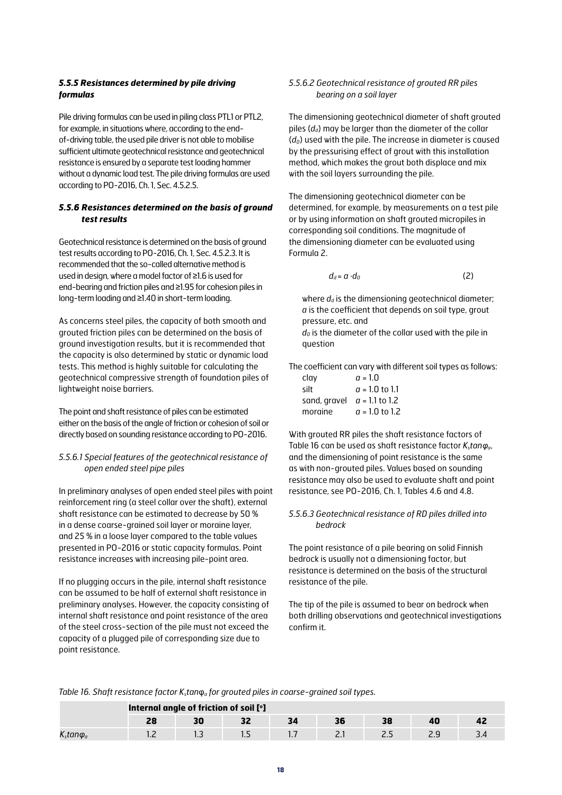#### *5.5.5 Resistances determined by pile driving formulas*

Pile driving formulas can be used in piling class PTL1 or PTL2, for example, in situations where, according to the endof-driving table, the used pile driver is not able to mobilise sufficient ultimate geotechnical resistance and geotechnical resistance is ensured by a separate test loading hammer without a dynamic load test. The pile driving formulas are used according to PO-2016, Ch. 1, Sec. 4.5.2.5.

#### *5.5.6 Resistances determined on the basis of ground test results*

Geotechnical resistance is determined on the basis of ground test results according to PO-2016, Ch. 1, Sec. 4.5.2.3. It is recommended that the so-called alternative method is used in design, where a model factor of ≥1.6 is used for end-bearing and friction piles and ≥1.95 for cohesion piles in long-term loading and ≥1.40 in short-term loading.

As concerns steel piles, the capacity of both smooth and grouted friction piles can be determined on the basis of ground investigation results, but it is recommended that the capacity is also determined by static or dynamic load tests. This method is highly suitable for calculating the geotechnical compressive strength of foundation piles of lightweight noise barriers.

The point and shaft resistance of piles can be estimated either on the basis of the angle of friction or cohesion of soil or directly based on sounding resistance according to PO-2016.

#### *5.5.6.1 Special features of the geotechnical resistance of open ended steel pipe piles*

In preliminary analyses of open ended steel piles with point reinforcement ring (a steel collar over the shaft), external shaft resistance can be estimated to decrease by 50 % in a dense coarse-grained soil layer or moraine layer, and 25 % in a loose layer compared to the table values presented in PO-2016 or static capacity formulas. Point resistance increases with increasing pile-point area.

If no plugging occurs in the pile, internal shaft resistance can be assumed to be half of external shaft resistance in preliminary analyses. However, the capacity consisting of internal shaft resistance and point resistance of the area of the steel cross-section of the pile must not exceed the capacity of a plugged pile of corresponding size due to point resistance.

#### *5.5.6.2 Geotechnical resistance of grouted RR piles bearing on a soil layer*

The dimensioning geotechnical diameter of shaft grouted piles (*d<sub>d</sub>*) may be larger than the diameter of the collar (*d0*) used with the pile. The increase in diameter is caused by the pressurising effect of grout with this installation method, which makes the grout both displace and mix with the soil layers surrounding the pile.

The dimensioning geotechnical diameter can be determined, for example, by measurements on a test pile or by using information on shaft grouted micropiles in corresponding soil conditions. The magnitude of the dimensioning diameter can be evaluated using Formula 2.

$$
d_d = a \cdot d_0 \tag{2}
$$

where  $d_d$  is the dimensioning geotechnical diameter; *a* is the coefficient that depends on soil type, grout pressure, etc. and

 $d_0$  is the diameter of the collar used with the pile in question

The coefficient can vary with different soil types as follows:

| clay                          | $q = 1.0$        |
|-------------------------------|------------------|
| silt                          | $q = 1.0$ to 1.1 |
| sand, gravel $a = 1.1$ to 1.2 |                  |
| morgine                       | $a = 1.0$ to 1.2 |

With grouted RR piles the shaft resistance factors of Table 16 can be used as shaft resistance factor *K<sub>stanφ<sub>α</sub>*,</sub> and the dimensioning of point resistance is the same as with non-grouted piles. Values based on sounding resistance may also be used to evaluate shaft and point resistance, see PO-2016, Ch. 1, Tables 4.6 and 4.8.

#### *5.5.6.3 Geotechnical resistance of RD piles drilled into bedrock*

The point resistance of a pile bearing on solid Finnish bedrock is usually not a dimensioning factor, but resistance is determined on the basis of the structural resistance of the pile.

The tip of the pile is assumed to bear on bedrock when both drilling observations and geotechnical investigations confirm it.

|  | Table 16. Shaft resistance factor $Ks$ tan $\varphia$ for grouted piles in coarse-grained soil types. |  |  |  |  |  |  |
|--|-------------------------------------------------------------------------------------------------------|--|--|--|--|--|--|
|--|-------------------------------------------------------------------------------------------------------|--|--|--|--|--|--|

|                  | Internal angle of friction of soil [°] |  |  |   |    |  |  |  |  |  |
|------------------|----------------------------------------|--|--|---|----|--|--|--|--|--|
|                  |                                        |  |  |   |    |  |  |  |  |  |
| $Kstan\varphi_a$ |                                        |  |  | . | -- |  |  |  |  |  |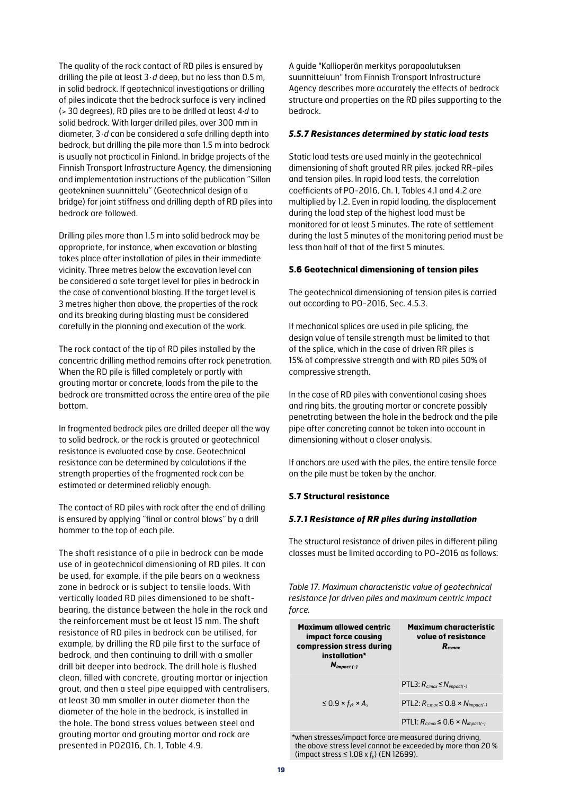The quality of the rock contact of RD piles is ensured by drilling the pile at least 3 · *d* deep, but no less than 0.5 m, in solid bedrock. If geotechnical investigations or drilling of piles indicate that the bedrock surface is very inclined (> 30 degrees), RD piles are to be drilled at least 4∙*d* to solid bedrock. With larger drilled piles, over 300 mm in diameter, 3 · *d* can be considered a safe drilling depth into bedrock, but drilling the pile more than 1.5 m into bedrock is usually not practical in Finland. In bridge projects of the Finnish Transport Infrastructure Agency, the dimensioning and implementation instructions of the publication "Sillan geotekninen suunnittelu" (Geotechnical design of a bridge) for joint stiffness and drilling depth of RD piles into bedrock are followed.

Drilling piles more than 1.5 m into solid bedrock may be appropriate, for instance, when excavation or blasting takes place after installation of piles in their immediate vicinity. Three metres below the excavation level can be considered a safe target level for piles in bedrock in the case of conventional blasting. If the target level is 3 metres higher than above, the properties of the rock and its breaking during blasting must be considered carefully in the planning and execution of the work.

The rock contact of the tip of RD piles installed by the concentric drilling method remains after rock penetration. When the RD pile is filled completely or partly with grouting mortar or concrete, loads from the pile to the bedrock are transmitted across the entire area of the pile bottom.

In fragmented bedrock piles are drilled deeper all the way to solid bedrock, or the rock is grouted or geotechnical resistance is evaluated case by case. Geotechnical resistance can be determined by calculations if the strength properties of the fragmented rock can be estimated or determined reliably enough.

The contact of RD piles with rock after the end of drilling is ensured by applying "final or control blows" by a drill hammer to the top of each pile.

The shaft resistance of a pile in bedrock can be made use of in geotechnical dimensioning of RD piles. It can be used, for example, if the pile bears on a weakness zone in bedrock or is subject to tensile loads. With vertically loaded RD piles dimensioned to be shaftbearing, the distance between the hole in the rock and the reinforcement must be at least 15 mm. The shaft resistance of RD piles in bedrock can be utilised, for example, by drilling the RD pile first to the surface of bedrock, and then continuing to drill with a smaller drill bit deeper into bedrock. The drill hole is flushed clean, filled with concrete, grouting mortar or injection grout, and then a steel pipe equipped with centralisers, at least 30 mm smaller in outer diameter than the diameter of the hole in the bedrock, is installed in the hole. The bond stress values between steel and grouting mortar and grouting mortar and rock are presented in PO2016, Ch. 1, Table 4.9.

A guide "Kallioperän merkitys porapaalutuksen suunnitteluun" from Finnish Transport Infrastructure Agency describes more accurately the effects of bedrock structure and properties on the RD piles supporting to the bedrock.

#### *5.5.7 Resistances determined by static load tests*

Static load tests are used mainly in the geotechnical dimensioning of shaft grouted RR piles, jacked RR-piles and tension piles. In rapid load tests, the correlation coefficients of PO-2016, Ch. 1, Tables 4.1 and 4.2 are multiplied by 1.2. Even in rapid loading, the displacement during the load step of the highest load must be monitored for at least 5 minutes. The rate of settlement during the last 5 minutes of the monitoring period must be less than half of that of the first 5 minutes.

#### **5.6 Geotechnical dimensioning of tension piles**

The geotechnical dimensioning of tension piles is carried out according to PO-2016, Sec. 4.5.3.

If mechanical splices are used in pile splicing, the design value of tensile strength must be limited to that of the splice, which in the case of driven RR piles is 15% of compressive strength and with RD piles 50% of compressive strength.

In the case of RD piles with conventional casing shoes and ring bits, the grouting mortar or concrete possibly penetrating between the hole in the bedrock and the pile pipe after concreting cannot be taken into account in dimensioning without a closer analysis.

If anchors are used with the piles, the entire tensile force on the pile must be taken by the anchor.

#### **5.7 Structural resistance**

#### *5.7.1 Resistance of RR piles during installation*

The structural resistance of driven piles in different piling classes must be limited according to PO-2016 as follows:

*Table 17. Maximum characteristic value of geotechnical resistance for driven piles and maximum centric impact force.*

| <b>Maximum allowed centric</b><br>impact force causing<br>compression stress during<br>installation*<br>$N_{impact (-)}$ | <b>Maximum characteristic</b><br>value of resistance<br>$R_{c:max}$ |
|--------------------------------------------------------------------------------------------------------------------------|---------------------------------------------------------------------|
|                                                                                                                          | PTL3: $R_{c,max} \leq N_{impact(-)}$                                |
| $\leq$ 0.9 × $f_{vk}$ × $A_s$                                                                                            | PTL2: $R_{cmax} \leq 0.8 \times N_{imax(t-)}$                       |
|                                                                                                                          | PTL1: $R_{c,max} \leq 0.6 \times N_{impact(-)}$                     |

\*when stresses/impact force are measured during driving, the above stress level cannot be exceeded by more than 20 % (impact stress ≤ 1.08 x *fy*) (EN 12699).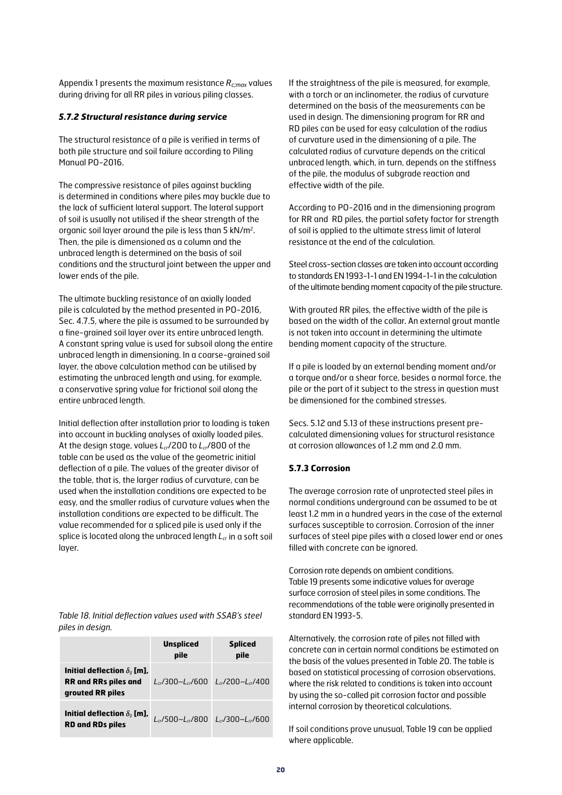Appendix 1 presents the maximum resistance *Rc;max* values during driving for all RR piles in various piling classes.

#### *5.7.2 Structural resistance during service*

The structural resistance of a pile is verified in terms of both pile structure and soil failure according to Piling Manual PO-2016.

The compressive resistance of piles against buckling is determined in conditions where piles may buckle due to the lack of sufficient lateral support. The lateral support of soil is usually not utilised if the shear strength of the organic soil layer around the pile is less than 5 kN/m2. Then, the pile is dimensioned as a column and the unbraced length is determined on the basis of soil conditions and the structural joint between the upper and lower ends of the pile.

The ultimate buckling resistance of an axially loaded pile is calculated by the method presented in PO-2016, Sec. 4.7.5, where the pile is assumed to be surrounded by a fine-grained soil layer over its entire unbraced length. A constant spring value is used for subsoil along the entire unbraced length in dimensioning. In a coarse-grained soil layer, the above calculation method can be utilised by estimating the unbraced length and using, for example, a conservative spring value for frictional soil along the entire unbraced length.

Initial deflection after installation prior to loading is taken into account in buckling analyses of axially loaded piles. At the design stage, values *Lcr*/200 to *Lcr*/800 of the table can be used as the value of the geometric initial deflection of a pile. The values of the greater divisor of the table, that is, the larger radius of curvature, can be used when the installation conditions are expected to be easy, and the smaller radius of curvature values when the installation conditions are expected to be difficult. The value recommended for a spliced pile is used only if the splice is located along the unbraced length  $L_c$  in a soft soil layer.

*Table 18. Initial deflection values used with SSAB's steel piles in design.*

|                                                                                       | <b>Unspliced</b><br>pile  | <b>Spliced</b><br>pile                                    |
|---------------------------------------------------------------------------------------|---------------------------|-----------------------------------------------------------|
| Initial deflection $\delta_a$ [m],<br><b>RR and RRs piles and</b><br>grouted RR piles | $L_{cr}/300 - L_{cr}/600$ | $L_{cr}/200 - L_{cr}/400$                                 |
| Initial deflection $\delta_q$ [m],<br><b>RD and RDs piles</b>                         |                           | $L_{cr}$ /500- $L_{cr}$ /800 $L_{cr}$ /300- $L_{cr}$ /600 |

If the straightness of the pile is measured, for example, with a torch or an inclinometer, the radius of curvature determined on the basis of the measurements can be used in design. The dimensioning program for RR and RD piles can be used for easy calculation of the radius of curvature used in the dimensioning of a pile. The calculated radius of curvature depends on the critical unbraced length, which, in turn, depends on the stiffness of the pile, the modulus of subgrade reaction and effective width of the pile.

According to PO-2016 and in the dimensioning program for RR and RD piles, the partial safety factor for strength of soil is applied to the ultimate stress limit of lateral resistance at the end of the calculation.

Steel cross-section classes are taken into account according to standards EN 1993-1-1 and EN 1994-1-1 in the calculation of the ultimate bending moment capacity of the pile structure.

With grouted RR piles, the effective width of the pile is based on the width of the collar. An external grout mantle is not taken into account in determining the ultimate bending moment capacity of the structure.

If a pile is loaded by an external bending moment and/or a torque and/or a shear force, besides a normal force, the pile or the part of it subject to the stress in question must be dimensioned for the combined stresses.

Secs. 5.12 and 5.13 of these instructions present precalculated dimensioning values for structural resistance at corrosion allowances of 1.2 mm and 2.0 mm.

#### **5.7.3 Corrosion**

The average corrosion rate of unprotected steel piles in normal conditions underground can be assumed to be at least 1.2 mm in a hundred years in the case of the external surfaces susceptible to corrosion. Corrosion of the inner surfaces of steel pipe piles with a closed lower end or ones filled with concrete can be ignored.

Corrosion rate depends on ambient conditions. Table 19 presents some indicative values for average surface corrosion of steel piles in some conditions. The recommendations of the table were originally presented in standard EN 1993-5.

Alternatively, the corrosion rate of piles not filled with concrete can in certain normal conditions be estimated on the basis of the values presented in Table 20. The table is based on statistical processing of corrosion observations, where the risk related to conditions is taken into account by using the so-called pit corrosion factor and possible internal corrosion by theoretical calculations.

If soil conditions prove unusual, Table 19 can be applied where applicable.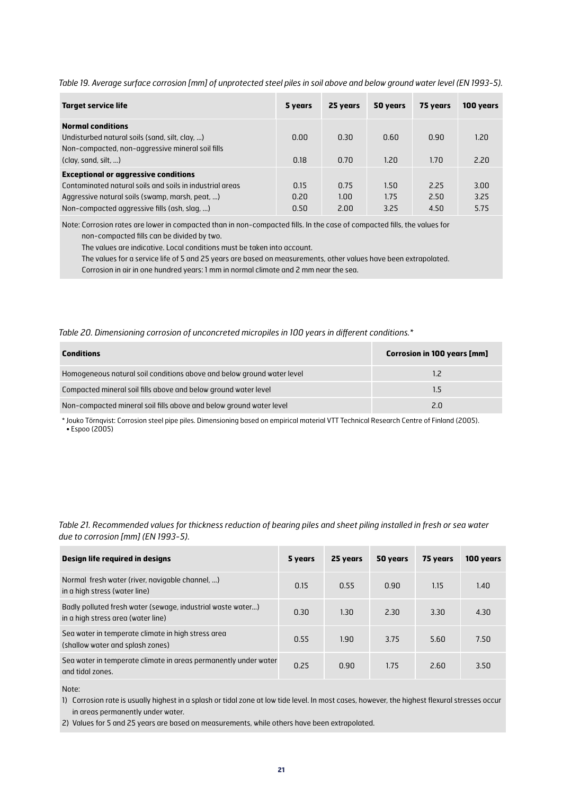*Table 19. Average surface corrosion [mm] of unprotected steel piles in soil above and below ground water level (EN 1993-5).*

| <b>Target service life</b>                                                                                                     | 5 years | 25 years | 50 years | 75 years | 100 years |
|--------------------------------------------------------------------------------------------------------------------------------|---------|----------|----------|----------|-----------|
| <b>Normal conditions</b><br>Undisturbed natural soils (sand, silt, clay, )<br>Non-compacted, non-aggressive mineral soil fills | 0.00    | 0.30     | 0.60     | 0.90     | 1.20      |
| clay, sand, silt, )                                                                                                            | 0.18    | 0.70     | 1.20     | 1.70     | 2.20      |
| <b>Exceptional or aggressive conditions</b>                                                                                    |         |          |          |          |           |
| Contaminated natural soils and soils in industrial areas                                                                       | 0.15    | 0.75     | 1.50     | 2.25     | 3.00      |
| Aggressive natural soils (swamp, marsh, peat, )                                                                                | 0.20    | 1.00     | 1.75     | 2.50     | 3.25      |
| Non-compacted aggressive fills (ash, slag, )                                                                                   | 0.50    | 2.00     | 3.25     | 4.50     | 5.75      |

Note: Corrosion rates are lower in compacted than in non-compacted fills. In the case of compacted fills, the values for non-compacted fills can be divided by two.

The values are indicative. Local conditions must be taken into account.

The values for a service life of 5 and 25 years are based on measurements, other values have been extrapolated.

Corrosion in air in one hundred years: 1 mm in normal climate and 2 mm near the sea.

#### *Table 20. Dimensioning corrosion of unconcreted micropiles in 100 years in different conditions.\**

| <b>Conditions</b>                                                      | <b>Corrosion in 100 years [mm]</b> |
|------------------------------------------------------------------------|------------------------------------|
| Homogeneous natural soil conditions above and below ground water level | 1.2                                |
| Compacted mineral soil fills above and below ground water level        | 1.5                                |
| Non-compacted mineral soil fills above and below ground water level    | 2.0                                |

\* Jouko Törnqvist: Corrosion steel pipe piles. Dimensioning based on empirical material VTT Technical Research Centre of Finland (2005). • Espoo (2005)

*Table 21. Recommended values for thickness reduction of bearing piles and sheet piling installed in fresh or sea water due to corrosion [mm] (EN 1993-5).*

| Design life required in designs                                                                   | 5 years | 25 years | 50 years | 75 years | 100 years |
|---------------------------------------------------------------------------------------------------|---------|----------|----------|----------|-----------|
| Normal fresh water (river, navigable channel, )<br>in a high stress (water line)                  | 0.15    | 0.55     | 0.90     | 1.15     | 1.40      |
| Badly polluted fresh water (sewage, industrial waste water)<br>in a high stress area (water line) | 0.30    | 1.30     | 2.30     | 3.30     | 4.30      |
| Sea water in temperate climate in high stress area<br>(shallow water and splash zones)            | 0.55    | 1.90     | 3.75     | 5.60     | 7.50      |
| Sea water in temperate climate in areas permanently under water<br>and tidal zones.               | 0.25    | 0.90     | 1.75     | 2.60     | 3.50      |

Note:

1) Corrosion rate is usually highest in a splash or tidal zone at low tide level. In most cases, however, the highest flexural stresses occur in areas permanently under water.

2) Values for 5 and 25 years are based on measurements, while others have been extrapolated.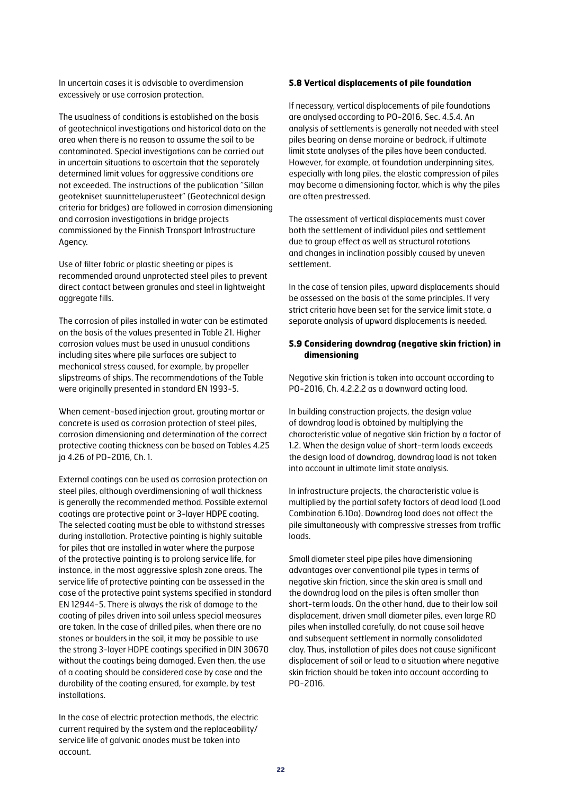In uncertain cases it is advisable to overdimension excessively or use corrosion protection.

The usualness of conditions is established on the basis of geotechnical investigations and historical data on the area when there is no reason to assume the soil to be contaminated. Special investigations can be carried out in uncertain situations to ascertain that the separately determined limit values for aggressive conditions are not exceeded. The instructions of the publication "Sillan geotekniset suunnitteluperusteet" (Geotechnical design criteria for bridges) are followed in corrosion dimensioning and corrosion investigations in bridge projects commissioned by the Finnish Transport Infrastructure Agency.

Use of filter fabric or plastic sheeting or pipes is recommended around unprotected steel piles to prevent direct contact between granules and steel in lightweight aggregate fills.

The corrosion of piles installed in water can be estimated on the basis of the values presented in Table 21. Higher corrosion values must be used in unusual conditions including sites where pile surfaces are subject to mechanical stress caused, for example, by propeller slipstreams of ships. The recommendations of the Table were originally presented in standard EN 1993-5.

When cement-based injection grout, grouting mortar or concrete is used as corrosion protection of steel piles, corrosion dimensioning and determination of the correct protective coating thickness can be based on Tables 4.25 ja 4.26 of PO-2016, Ch. 1.

External coatings can be used as corrosion protection on steel piles, although overdimensioning of wall thickness is generally the recommended method. Possible external coatings are protective paint or 3-layer HDPE coating. The selected coating must be able to withstand stresses during installation. Protective painting is highly suitable for piles that are installed in water where the purpose of the protective painting is to prolong service life, for instance, in the most aggressive splash zone areas. The service life of protective painting can be assessed in the case of the protective paint systems specified in standard EN 12944-5. There is always the risk of damage to the coating of piles driven into soil unless special measures are taken. In the case of drilled piles, when there are no stones or boulders in the soil, it may be possible to use the strong 3-layer HDPE coatings specified in DIN 30670 without the coatings being damaged. Even then, the use of a coating should be considered case by case and the durability of the coating ensured, for example, by test installations.

In the case of electric protection methods, the electric current required by the system and the replaceability/ service life of galvanic anodes must be taken into account.

#### **5.8 Vertical displacements of pile foundation**

If necessary, vertical displacements of pile foundations are analysed according to PO-2016, Sec. 4.5.4. An analysis of settlements is generally not needed with steel piles bearing on dense moraine or bedrock, if ultimate limit state analyses of the piles have been conducted. However, for example, at foundation underpinning sites, especially with long piles, the elastic compression of piles may become a dimensioning factor, which is why the piles are often prestressed.

The assessment of vertical displacements must cover both the settlement of individual piles and settlement due to group effect as well as structural rotations and changes in inclination possibly caused by uneven settlement.

In the case of tension piles, upward displacements should be assessed on the basis of the same principles. If very strict criteria have been set for the service limit state, a separate analysis of upward displacements is needed.

#### **5.9 Considering downdrag (negative skin friction) in dimensioning**

Negative skin friction is taken into account according to PO-2016, Ch. 4.2.2.2 as a downward acting load.

In building construction projects, the design value of downdrag load is obtained by multiplying the characteristic value of negative skin friction by a factor of 1.2. When the design value of short-term loads exceeds the design load of downdrag, downdrag load is not taken into account in ultimate limit state analysis.

In infrastructure projects, the characteristic value is multiplied by the partial safety factors of dead load (Load Combination 6.10a). Downdrag load does not affect the pile simultaneously with compressive stresses from traffic loads.

Small diameter steel pipe piles have dimensioning advantages over conventional pile types in terms of negative skin friction, since the skin area is small and the downdrag load on the piles is often smaller than short-term loads. On the other hand, due to their low soil displacement, driven small diameter piles, even large RD piles when installed carefully, do not cause soil heave and subsequent settlement in normally consolidated clay. Thus, installation of piles does not cause significant displacement of soil or lead to a situation where negative skin friction should be taken into account according to PO-2016.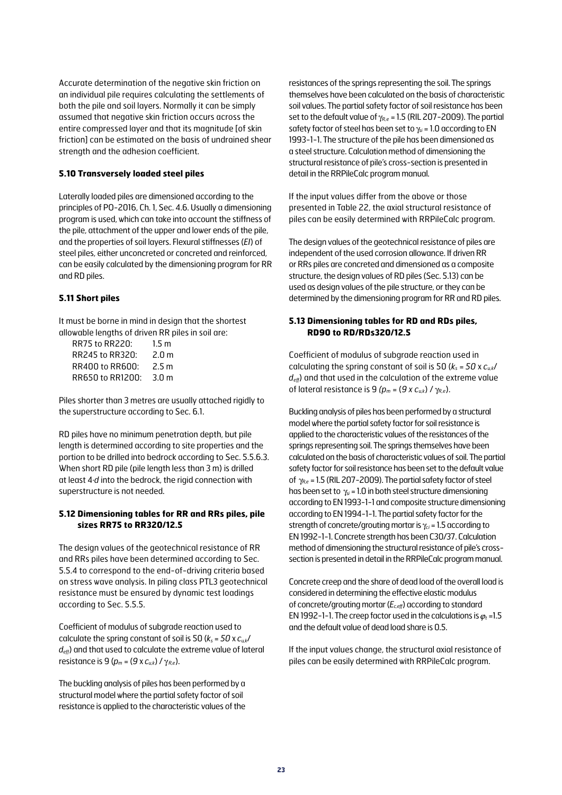Accurate determination of the negative skin friction on an individual pile requires calculating the settlements of both the pile and soil layers. Normally it can be simply assumed that negative skin friction occurs across the entire compressed layer and that its magnitude [of skin friction] can be estimated on the basis of undrained shear strength and the adhesion coefficient.

#### **5.10 Transversely loaded steel piles**

Laterally loaded piles are dimensioned according to the principles of PO-2016, Ch. 1, Sec. 4.6. Usually a dimensioning program is used, which can take into account the stiffness of the pile, attachment of the upper and lower ends of the pile, and the properties of soil layers. Flexural stiffnesses (*EI*) of steel piles, either unconcreted or concreted and reinforced, can be easily calculated by the dimensioning program for RR and RD piles.

#### **5.11 Short piles**

It must be borne in mind in design that the shortest allowable lengths of driven RR piles in soil are:

| <b>RR75 to RR220:</b> | 1.5 <sub>m</sub> |
|-----------------------|------------------|
| RR245 to RR320:       | 2.0 <sub>m</sub> |
| RR400 to RR600:       | 2.5 <sub>m</sub> |
| RR650 to RR1200:      | 3.0 <sub>m</sub> |

Piles shorter than 3 metres are usually attached rigidly to the superstructure according to Sec. 6.1.

RD piles have no minimum penetration depth, but pile length is determined according to site properties and the portion to be drilled into bedrock according to Sec. 5.5.6.3. When short RD pile (pile length less than 3 m) is drilled at least 4·*d* into the bedrock, the rigid connection with superstructure is not needed.

#### **5.12 Dimensioning tables for RR and RRs piles, pile sizes RR75 to RR320/12.5**

The design values of the geotechnical resistance of RR and RRs piles have been determined according to Sec. 5.5.4 to correspond to the end-of-driving criteria based on stress wave analysis. In piling class PTL3 geotechnical resistance must be ensured by dynamic test loadings according to Sec. 5.5.5.

Coefficient of modulus of subgrade reaction used to calculate the spring constant of soil is 50  $(k_s = 50 \times c_{\mu k})$ *deff*) and that used to calculate the extreme value of lateral resistance is 9 ( $p_m = (9 \times c_{uk}) / \gamma_{Re}$ ).

The buckling analysis of piles has been performed by a structural model where the partial safety factor of soil resistance is applied to the characteristic values of the resistances of the springs representing the soil. The springs themselves have been calculated on the basis of characteristic soil values. The partial safety factor of soil resistance has been set to the default value of  $\gamma_{R,e}$  = 1.5 (RIL 207-2009). The partial safety factor of steel has been set to  $\gamma_{si}$  = 1.0 according to EN 1993-1-1. The structure of the pile has been dimensioned as a steel structure. Calculation method of dimensioning the structural resistance of pile's cross-section is presented in detail in the RRPileCalc program manual.

If the input values differ from the above or those presented in Table 22, the axial structural resistance of piles can be easily determined with RRPileCalc program.

The design values of the geotechnical resistance of piles are independent of the used corrosion allowance. If driven RR or RRs piles are concreted and dimensioned as a composite structure, the design values of RD piles (Sec. 5.13) can be used as design values of the pile structure, or they can be determined by the dimensioning program for RR and RD piles.

#### **5.13 Dimensioning tables for RD and RDs piles, RD90 to RD/RDs320/12.5**

Coefficient of modulus of subgrade reaction used in calculating the spring constant of soil is 50 (*ks* = *50* x *cu,k*/  $d_{\text{eff}}$ ) and that used in the calculation of the extreme value of lateral resistance is 9  $(p_m = (9 \times c_{uk}) / \gamma_{Re}).$ 

Buckling analysis of piles has been performed by a structural model where the partial safety factor for soil resistance is applied to the characteristic values of the resistances of the springs representing soil. The springs themselves have been calculated on the basis of characteristic values of soil. The partial safety factor for soil resistance has been set to the default value of g*R,e* = 1.5 (RIL 207-2009). The partial safety factor of steel has been set to  $\gamma_{si}$  = 1.0 in both steel structure dimensioning according to EN 1993-1-1 and composite structure dimensioning according to EN 1994-1-1. The partial safety factor for the strength of concrete/grouting mortar is  $\gamma_{ci}$  = 1.5 according to EN 1992-1-1. Concrete strength has been C30/37. Calculation method of dimensioning the structural resistance of pile's crosssection is presented in detail in the RRPileCalc program manual.

Concrete creep and the share of dead load of the overall load is considered in determining the effective elastic modulus of concrete/grouting mortar ( $E_{c,eff}$ ) according to standard EN 1992-1-1. The creep factor used in the calculations is  $\varphi_t$  =1.5 and the default value of dead load share is 0.5.

If the input values change, the structural axial resistance of piles can be easily determined with RRPileCalc program.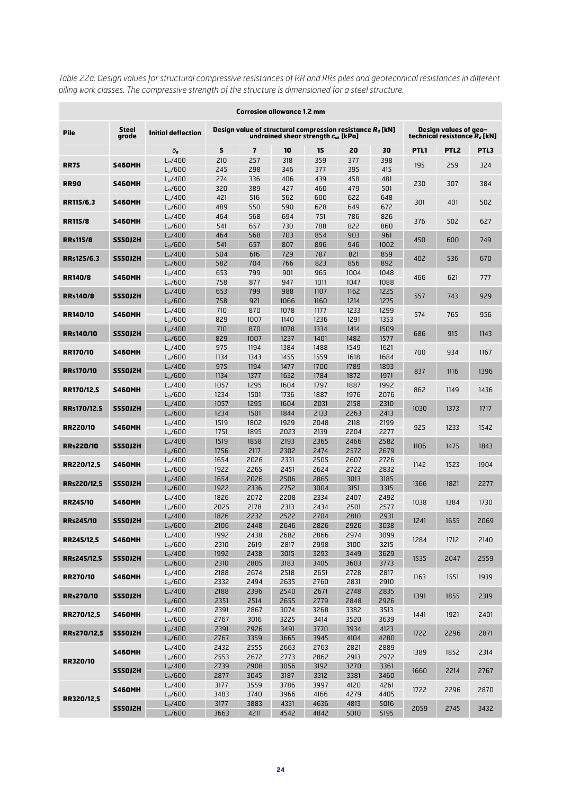| <b>Corrosion allowance 1.2 mm</b> |                       |                                |              |              |                                                                                                          |              |              |              |      |                                                          |      |
|-----------------------------------|-----------------------|--------------------------------|--------------|--------------|----------------------------------------------------------------------------------------------------------|--------------|--------------|--------------|------|----------------------------------------------------------|------|
| <b>Pile</b>                       | <b>Steel</b><br>arade | <b>Initial deflection</b>      |              |              | Design value of structural compression resistance $R_d$ [kN]<br>undrained shear strenath $c_{\mu}$ [kPa] |              |              |              |      | Design values of geo-<br>technical resistance $R_d$ [kN] |      |
|                                   |                       | $\delta_g$                     | 5            | 7            | 10                                                                                                       | 15           | 20           | 30           | PTL1 | PTL <sub>2</sub>                                         | PTL3 |
| <b>RR75</b>                       | <b>S460MH</b>         | $L_{cr}$ /400                  | 210          | 257          | 318                                                                                                      | 359          | 377          | 398          | 195  | 259                                                      | 324  |
|                                   |                       | $L_{cr}$ /600                  | 245          | 298          | 346                                                                                                      | 377          | 395          | 415          |      |                                                          |      |
| <b>RR90</b>                       | <b>S460MH</b>         | $L_{cr}$ /400                  | 274          | 336          | 406                                                                                                      | 439          | 458          | 481          | 230  | 307                                                      | 384  |
|                                   |                       | $L_{cr}$ /600                  | 320          | 389          | 427                                                                                                      | 460          | 479          | 501          |      |                                                          |      |
| RR115/6,3                         | <b>S460MH</b>         | $L_{cr}$ /400                  | 421          | 516          | 562                                                                                                      | 600          | 622          | 648          | 301  | 401                                                      | 502  |
|                                   |                       | $L_{cr}$ /600                  | 489          | 550          | 590                                                                                                      | 628          | 649          | 672          |      |                                                          |      |
| <b>RR115/8</b>                    | <b>S460MH</b>         | $L_{cr}$ /400<br>$L_{cr}$ /600 | 464<br>541   | 568<br>657   | 694<br>730                                                                                               | 751<br>788   | 786<br>822   | 826<br>860   | 376  | 502                                                      | 627  |
|                                   |                       | $L_{cr}$ /400                  | 464          | 568          | 703                                                                                                      | 854          | 903          | 961          |      |                                                          |      |
| <b>RRs115/8</b>                   | <b>S550J2H</b>        | $L_{cr}$ /600                  | 541          | 657          | 807                                                                                                      | 896          | 946          | 1002         | 450  | 600                                                      | 749  |
|                                   |                       | $L_{cr}$ /400                  | 504          | 616          | 729                                                                                                      | 787          | 821          | 859          |      |                                                          |      |
| RRs125/6,3                        | <b>S550J2H</b>        | $L_{cr}$ /600                  | 582          | 704          | 766                                                                                                      | 823          | 856          | 892          | 402  | 536                                                      | 670  |
|                                   |                       | $L_{cr}$ /400                  | 653          | 799          | 901                                                                                                      | 965          | 1004         | 1048         |      |                                                          |      |
| <b>RR140/8</b>                    | <b>S460MH</b>         | $L_{cr}$ /600                  | 758          | 877          | 947                                                                                                      | 1011         | 1047         | 1088         | 466  | 621                                                      | 777  |
| <b>RRs140/8</b>                   | <b>S550J2H</b>        | $L_{cr}$ /400                  | 653          | 799          | 988                                                                                                      | 1107         | 1162         | 1225         | 557  | 743                                                      | 929  |
|                                   |                       | $L_{cr}$ /600                  | 758          | 921          | 1066                                                                                                     | 1160         | 1214         | 1275         |      |                                                          |      |
| RR140/10                          | <b>S460MH</b>         | $L_{cr}/400$                   | 710          | 870          | 1078                                                                                                     | 1177         | 1233         | 1299         | 574  | 765                                                      | 956  |
|                                   |                       | $L_{cr}$ /600                  | 829          | 1007         | 1140                                                                                                     | 1236         | 1291         | 1353         |      |                                                          |      |
| <b>RRs140/10</b>                  | <b>S550J2H</b>        | $L_{cr}/400$                   | 710          | 870          | 1078                                                                                                     | 1334         | 1414         | 1509         | 686  | 915                                                      | 1143 |
|                                   |                       | $L_{cr}$ /600                  | 829<br>975   | 1007         | 1237<br>1384                                                                                             | 1401<br>1488 | 1482<br>1549 | 1577<br>1621 |      |                                                          |      |
| <b>RR170/10</b>                   | <b>S460MH</b>         | $L_{cr}$ /400<br>$L_{cr}$ /600 | 1134         | 1194<br>1343 | 1455                                                                                                     | 1559         | 1618         | 1684         | 700  | 934                                                      | 1167 |
|                                   |                       | $L_{cr}$ /400                  | 975          | 1194         | 1477                                                                                                     | 1700         | 1789         | 1893         |      |                                                          |      |
| <b>RRs170/10</b>                  | <b>S550J2H</b>        | $L_{cr}$ /600                  | 1134         | 1377         | 1632                                                                                                     | 1784         | 1872         | 1971         | 837  | 1116                                                     | 1396 |
|                                   |                       | $L_{cr}$ /400                  | 1057         | 1295         | 1604                                                                                                     | 1797         | 1887         | 1992         |      |                                                          |      |
| RR170/12,5                        | <b>S460MH</b>         | $L_{cr}$ /600                  | 1234         | 1501         | 1736                                                                                                     | 1887         | 1976         | 2076         | 862  | 1149                                                     | 1436 |
| RRs170/12,5                       | <b>S550J2H</b>        | $L_{cr}$ /400                  | 1057         | 1295         | 1604                                                                                                     | 2031         | 2158         | 2310         | 1030 | 1373                                                     | 1717 |
|                                   |                       | $L_{cr}$ /600                  | 1234         | 1501         | 1844                                                                                                     | 2133         | 2263         | 2413         |      |                                                          |      |
| <b>RR220/10</b><br><b>S460MH</b>  | $L_{cr}$ /400         | 1519                           | 1802         | 1929         | 2048                                                                                                     | 2118         | 2199         | 925          | 1233 | 1542                                                     |      |
|                                   |                       | $L_{cr}$ /600                  | 1751         | 1895         | 2023                                                                                                     | 2139         | 2204         | 2277         |      |                                                          |      |
| <b>RRs220/10</b>                  | <b>S550J2H</b>        | $L_{cr}$ /400                  | 1519         | 1858         | 2193                                                                                                     | 2365         | 2466         | 2582         | 1106 | 1475                                                     | 1843 |
|                                   |                       | $L_{cr}/600$                   | 1756         | 2117         | 2302                                                                                                     | 2474         | 2572         | 2679         |      |                                                          |      |
| RR220/12,5                        | <b>S460MH</b>         | $L_{cr}$ /400<br>$L_{cr}$ /600 | 1654<br>1922 | 2026<br>2265 | 2331<br>2451                                                                                             | 2505<br>2624 | 2607<br>2722 | 2726<br>2832 | 1142 | 1523                                                     | 1904 |
|                                   |                       | $L_{cr}$ /400                  | 1654         | 2026         | 2506                                                                                                     | 2865         | 3013         | 3185         |      |                                                          |      |
| RRs220/12.5                       | <b>S550J2H</b>        | $L_{cr}$ /600                  | 1922         | 2336         | 2752                                                                                                     | 3004         | 3151         | 3315         | 1366 | 1821                                                     | 2277 |
|                                   |                       | $L_{cr}$ /400                  | 1826         | 2072         | 2208                                                                                                     | 2334         | 2407         | 2492         |      |                                                          |      |
| <b>RR245/10</b>                   | <b>S460MH</b>         | $L_{cr}$ /600                  | 2025         | 2178         | 2313                                                                                                     | 2434         | 2501         | 2577         | 1038 | 1384                                                     | 1730 |
|                                   | <b>S550J2H</b>        | $L_{cr}$ /400                  | 1826         | 2232         | 2522                                                                                                     | 2704         | 2810         | 2931         |      |                                                          |      |
| <b>RRs245/10</b>                  |                       | $L_{cr}$ /600                  | 2106         | 2448         | 2646                                                                                                     | 2826         | 2926         | 3038         | 1241 | 1655                                                     | 2069 |
| RR245/12,5                        | <b>S460MH</b>         | $L_{cr}$ /400                  | 1992         | 2438         | 2682                                                                                                     | 2866         | 2974         | 3099         | 1284 | 1712                                                     | 2140 |
|                                   |                       | $L_{cr}$ /600                  | 2310         | 2619         | 2817                                                                                                     | 2998         | 3100         | 3215         |      |                                                          |      |
| RRs245/12,5                       | <b>S550J2H</b>        | $L_{cr}$ /400                  | 1992         | 2438         | 3015                                                                                                     | 3293         | 3449         | 3629         | 1535 | 2047                                                     | 2559 |
|                                   |                       | $L_{cr}$ /600                  | 2310         | 2805         | 3183                                                                                                     | 3405         | 3603         | 3773         |      |                                                          |      |
| <b>RR270/10</b>                   | <b>S460MH</b>         | $L_{cr}$ /400<br>$L_{cr}$ /600 | 2188<br>2332 | 2674<br>2494 | 2518<br>2635                                                                                             | 2651<br>2760 | 2728<br>2831 | 2817<br>2910 | 1163 | 1551                                                     | 1939 |
|                                   |                       | $L_{cr}$ /400                  | 2188         | 2396         | 2540                                                                                                     | 2671         | 2748         | 2835         |      |                                                          |      |
| RRs270/10                         | <b>S550J2H</b>        | $L_{cr}$ /600                  | 2351         | 2514         | 2655                                                                                                     | 2779         | 2848         | 2926         | 1391 | 1855                                                     | 2319 |
|                                   |                       | $L_{cr}/400$                   | 2391         | 2867         | 3074                                                                                                     | 3268         | 3382         | 3513         |      |                                                          |      |
| RR270/12,5                        | <b>S460MH</b>         | $L_{cr}$ /600                  | 2767         | 3016         | 3225                                                                                                     | 3414         | 3520         | 3639         | 1441 | 1921                                                     | 2401 |
| RRs270/12,5                       | <b>S550J2H</b>        | $L_{cr}$ /400                  | 2391         | 2926         | 3491                                                                                                     | 3770         | 3934         | 4123         | 1722 | 2296                                                     | 2871 |
|                                   |                       | $L_{cr}$ /600                  | 2767         | 3359         | 3665                                                                                                     | 3945         | 4104         | 4280         |      |                                                          |      |
|                                   | <b>S460MH</b>         | $L_{cr}$ /400                  | 2432         | 2555         | 2663                                                                                                     | 2763         | 2821         | 2889         | 1389 | 1852                                                     | 2314 |
| RR320/10                          |                       | $L_{cr}$ /600                  | 2553         | 2672         | 2773                                                                                                     | 2862         | 2913         | 2972         |      |                                                          |      |
|                                   | <b>S550J2H</b>        | $L_{cr}$ /400                  | 2739         | 2908         | 3056                                                                                                     | 3192         | 3270         | 3361         | 1660 | 2214                                                     | 2767 |
|                                   |                       | $L_{cr}$ /600<br>$L_{cr}$ /400 | 2877<br>3177 | 3045<br>3559 | 3187<br>3786                                                                                             | 3312<br>3997 | 3381<br>4120 | 3460<br>4261 |      |                                                          |      |
|                                   | <b>S460MH</b>         | $L_{cr}$ /600                  | 3483         | 3740         | 3966                                                                                                     | 4166         | 4279         | 4405         | 1722 | 2296                                                     | 2870 |
| RR320/12,5                        |                       | $L_{cr}$ /400                  | 3177         | 3883         | 4331                                                                                                     | 4636         | 4813         | 5016         |      |                                                          |      |
| <b>S550J2H</b>                    | $L_{cr}$ /600         | 3663                           | 4211         | 4542         | 4842                                                                                                     | 5010         | 5195         | 2059         | 2745 | 3432                                                     |      |

*Table 22a. Design values for structural compressive resistances of RR and RRs piles and geotechnical resistances in different piling work classes. The compressive strength of the structure is dimensioned for a steel structure.*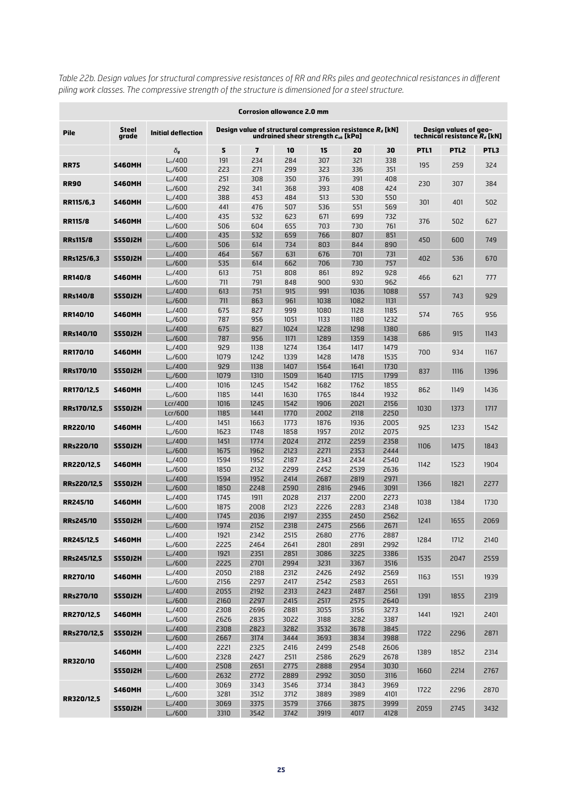| <b>Corrosion allowance 2.0 mm</b> |                       |                                |              |                         |                                                                                                         |              |              |              |      |                                                          |      |
|-----------------------------------|-----------------------|--------------------------------|--------------|-------------------------|---------------------------------------------------------------------------------------------------------|--------------|--------------|--------------|------|----------------------------------------------------------|------|
| <b>Pile</b>                       | <b>Steel</b><br>arade | <b>Initial deflection</b>      |              |                         | Design value of structural compression resistance $R_d$ [kN]<br>undrained shear strength $c_{uk}$ [kPa] |              |              |              |      | Design values of geo-<br>technical resistance $R_d$ [kN] |      |
|                                   |                       | $\delta_{q}$                   | 5            | $\overline{\mathbf{z}}$ | 10                                                                                                      | 15           | 20           | 30           | PTL1 | PTL <sub>2</sub>                                         | PTL3 |
| <b>RR75</b>                       | <b>S460MH</b>         | $L_{cr}$ /400                  | 191          | 234                     | 284                                                                                                     | 307          | 321          | 338          | 195  | 259                                                      | 324  |
|                                   |                       | $L_{cr}$ /600                  | 223          | 271                     | 299                                                                                                     | 323          | 336          | 351          |      |                                                          |      |
| <b>RR90</b>                       | <b>S460MH</b>         | $L_{cr}$ /400                  | 251          | 308                     | 350                                                                                                     | 376          | 391          | 408          | 230  | 307                                                      | 384  |
|                                   |                       | $L_{cr}$ /600                  | 292          | 341                     | 368                                                                                                     | 393          | 408          | 424          |      |                                                          |      |
| RR115/6,3                         | <b>S460MH</b>         | $L_{cr}$ /400                  | 388          | 453                     | 484                                                                                                     | 513          | 530          | 550          | 301  | 401                                                      | 502  |
|                                   |                       | $L_{cr}$ /600                  | 441          | 476                     | 507                                                                                                     | 536          | 551          | 569          |      |                                                          |      |
| <b>RR115/8</b>                    | <b>S460MH</b>         | $L_{cr}$ /400<br>$L_{cr}$ /600 | 435<br>506   | 532<br>604              | 623<br>655                                                                                              | 671<br>703   | 699<br>730   | 732<br>761   | 376  | 502                                                      | 627  |
|                                   |                       | $L_{cr}$ /400                  | 435          | 532                     | 659                                                                                                     | 766          | 807          | 851          |      |                                                          |      |
| <b>RRs115/8</b>                   | <b>S550J2H</b>        | $L_{cr}$ /600                  | 506          | 614                     | 734                                                                                                     | 803          | 844          | 890          | 450  | 600                                                      | 749  |
|                                   |                       | $L_{cr}$ /400                  | 464          | 567                     | 631                                                                                                     | 676          | 701          | 731          |      |                                                          |      |
| RRs125/6,3                        | <b>S550J2H</b>        | $L_{cr}$ /600                  | 535          | 614                     | 662                                                                                                     | 706          | 730          | 757          | 402  | 536                                                      | 670  |
|                                   |                       | $L_{cr}$ /400                  | 613          | 751                     | 808                                                                                                     | 861          | 892          | 928          |      |                                                          |      |
| <b>RR140/8</b>                    | <b>S460MH</b>         | $L_{cr}$ /600                  | 711          | 791                     | 848                                                                                                     | 900          | 930          | 962          | 466  | 621                                                      | 777  |
| <b>RRs140/8</b>                   | <b>S550J2H</b>        | $L_{cr}$ /400                  | 613          | 751                     | 915                                                                                                     | 991          | 1036         | 1088         | 557  | 743                                                      | 929  |
|                                   |                       | $L_{cr}$ /600                  | 711          | 863                     | 961                                                                                                     | 1038         | 1082         | 1131         |      |                                                          |      |
| RR140/10                          | <b>S460MH</b>         | $L_{cr}/400$                   | 675          | 827                     | 999                                                                                                     | 1080         | 1128         | 1185         | 574  | 765                                                      | 956  |
|                                   |                       | $L_{cr}$ /600                  | 787          | 956                     | 1051                                                                                                    | 1133         | 1180         | 1232         |      |                                                          |      |
| <b>RRs140/10</b>                  | <b>S550J2H</b>        | $L_{cr}/400$                   | 675          | 827                     | 1024                                                                                                    | 1228         | 1298         | 1380         | 686  | 915                                                      | 1143 |
|                                   |                       | $L_{cr}$ /600                  | 787          | 956                     | 1171                                                                                                    | 1289         | 1359         | 1438         |      |                                                          |      |
| <b>RR170/10</b>                   | <b>S460MH</b>         | $L_{cr}$ /400<br>$L_{cr}$ /600 | 929<br>1079  | 1138<br>1242            | 1274<br>1339                                                                                            | 1364<br>1428 | 1417<br>1478 | 1479<br>1535 | 700  | 934                                                      | 1167 |
|                                   |                       | $L_{cr}$ /400                  | 929          | 1138                    | 1407                                                                                                    | 1564         | 1641         | 1730         |      |                                                          |      |
| <b>RRs170/10</b>                  | <b>S550J2H</b>        | $L_{cr}$ /600                  | 1079         | 1310                    | 1509                                                                                                    | 1640         | 1715         | 1799         | 837  | 1116                                                     | 1396 |
|                                   |                       | $L_{cr}$ /400                  | 1016         | 1245                    | 1542                                                                                                    | 1682         | 1762         | 1855         |      |                                                          |      |
| RR170/12,5                        | <b>S460MH</b>         | $L_{cr}$ /600                  | 1185         | 1441                    | 1630                                                                                                    | 1765         | 1844         | 1932         | 862  | 1149                                                     | 1436 |
| RRs170/12,5                       | <b>S550J2H</b>        | Lcr/400                        | 1016         | 1245                    | 1542                                                                                                    | 1906         | 2021         | 2156         | 1030 | 1373                                                     | 1717 |
|                                   |                       | Lcr/600                        | 1185         | 1441                    | 1770                                                                                                    | 2002         | 2118         | 2250         |      |                                                          |      |
| <b>RR220/10</b><br><b>S460MH</b>  | $L_{cr}$ /400         | 1451                           | 1663         | 1773                    | 1876                                                                                                    | 1936         | 2005         | 925          | 1233 | 1542                                                     |      |
|                                   | $L_{cr}$ /600         | 1623                           | 1748         | 1858                    | 1957                                                                                                    | 2012         | 2075         |              |      |                                                          |      |
| <b>RRs220/10</b>                  | <b>S550J2H</b>        | $L_{cr}$ /400                  | 1451         | 1774                    | 2024                                                                                                    | 2172         | 2259         | 2358         | 1106 | 1475                                                     | 1843 |
|                                   |                       | $L_{cr}/600$                   | 1675         | 1962                    | 2123                                                                                                    | 2271         | 2353         | 2444         |      |                                                          |      |
| RR220/12,5                        | <b>S460MH</b>         | $L_{cr}$ /400<br>$L_{cr}$ /600 | 1594<br>1850 | 1952<br>2132            | 2187<br>2299                                                                                            | 2343<br>2452 | 2434<br>2539 | 2540<br>2636 | 1142 | 1523                                                     | 1904 |
|                                   |                       | $L_{cr}$ /400                  | 1594         | 1952                    | 2414                                                                                                    | 2687         | 2819         | 2971         |      |                                                          |      |
| RRs220/12.5                       | <b>S550J2H</b>        | $L_{cr}$ /600                  | 1850         | 2248                    | 2590                                                                                                    | 2816         | 2946         | 3091         | 1366 | 1821                                                     | 2277 |
|                                   |                       | $L_{cr}$ /400                  | 1745         | 1911                    | 2028                                                                                                    | 2137         | 2200         | 2273         |      |                                                          |      |
| <b>RR245/10</b>                   | <b>S460MH</b>         | $L_{cr}$ /600                  | 1875         | 2008                    | 2123                                                                                                    | 2226         | 2283         | 2348         | 1038 | 1384                                                     | 1730 |
|                                   |                       | $L_{cr}$ /400                  | 1745         | 2036                    | 2197                                                                                                    | 2355         | 2450         | 2562         |      |                                                          |      |
| <b>RRs245/10</b>                  | <b>S550J2H</b>        | $L_{cr}$ /600                  | 1974         | 2152                    | 2318                                                                                                    | 2475         | 2566         | 2671         | 1241 | 1655                                                     | 2069 |
| RR245/12,5                        | <b>S460MH</b>         | $L_{cr}$ /400                  | 1921         | 2342                    | 2515                                                                                                    | 2680         | 2776         | 2887         | 1284 | 1712                                                     | 2140 |
|                                   |                       | $L_{cr}$ /600                  | 2225         | 2464                    | 2641                                                                                                    | 2801         | 2891         | 2992         |      |                                                          |      |
| RRs245/12,5                       | <b>S550J2H</b>        | $L_{cr}$ /400                  | 1921         | 2351                    | 2851                                                                                                    | 3086         | 3225         | 3386         | 1535 | 2047                                                     | 2559 |
|                                   |                       | $L_{cr}$ /600                  | 2225         | 2701                    | 2994                                                                                                    | 3231         | 3367         | 3516         |      |                                                          |      |
| <b>RR270/10</b>                   | <b>S460MH</b>         | $L_{cr}$ /400<br>$L_{cr}$ /600 | 2050<br>2156 | 2188<br>2297            | 2312<br>2417                                                                                            | 2426<br>2542 | 2492<br>2583 | 2569<br>2651 | 1163 | 1551                                                     | 1939 |
|                                   |                       | $L_{cr}/400$                   | 2055         | 2192                    | 2313                                                                                                    | 2423         | 2487         | 2561         |      |                                                          |      |
| <b>RRs270/10</b>                  | <b>S550J2H</b>        | $L_{cr}$ /600                  | 2160         | 2297                    | 2415                                                                                                    | 2517         | 2575         | 2640         | 1391 | 1855                                                     | 2319 |
|                                   |                       | $L_{cr}$ /400                  | 2308         | 2696                    | 2881                                                                                                    | 3055         | 3156         | 3273         |      |                                                          |      |
| RR270/12,5                        | <b>S460MH</b>         | $L_{cr}$ /600                  | 2626         | 2835                    | 3022                                                                                                    | 3188         | 3282         | 3387         | 1441 | 1921                                                     | 2401 |
| RRs270/12,5                       | <b>S550J2H</b>        | $L_{cr}$ /400                  | 2308         | 2823                    | 3282                                                                                                    | 3532         | 3678         | 3845         | 1722 | 2296                                                     | 2871 |
|                                   |                       | $L_{cr}$ /600                  | 2667         | 3174                    | 3444                                                                                                    | 3693         | 3834         | 3988         |      |                                                          |      |
|                                   | <b>S460MH</b>         | $L_{cr}$ /400                  | 2221         | 2325                    | 2416                                                                                                    | 2499         | 2548         | 2606         | 1389 | 1852                                                     | 2314 |
| RR320/10                          |                       | $L_{cr}$ /600                  | 2328         | 2427                    | 2511                                                                                                    | 2586         | 2629         | 2678         |      |                                                          |      |
|                                   | <b>S550J2H</b>        | $L_{cr}$ /400                  | 2508         | 2651                    | 2775                                                                                                    | 2888         | 2954         | 3030         | 1660 | 2214                                                     | 2767 |
|                                   |                       | $L_{cr}$ /600                  | 2632         | 2772                    | 2889                                                                                                    | 2992         | 3050         | 3116         |      |                                                          |      |
|                                   | <b>S460MH</b>         | $L_{cr}$ /400<br>$L_{cr}$ /600 | 3069<br>3281 | 3343<br>3512            | 3546<br>3712                                                                                            | 3734<br>3889 | 3843<br>3989 | 3969<br>4101 | 1722 | 2296                                                     | 2870 |
| RR320/12,5                        |                       | $L_{cr}$ /400                  | 3069         | 3375                    | 3579                                                                                                    | 3766         | 3875         | 3999         |      |                                                          |      |
| <b>S550J2H</b>                    | $L_{cr}$ /600         | 3310                           | 3542         | 3742                    | 3919                                                                                                    | 4017         | 4128         | 2059         | 2745 | 3432                                                     |      |
|                                   |                       |                                |              |                         |                                                                                                         |              |              |              |      |                                                          |      |

*Table 22b. Design values for structural compressive resistances of RR and RRs piles and geotechnical resistances in different piling work classes. The compressive strength of the structure is dimensioned for a steel structure.*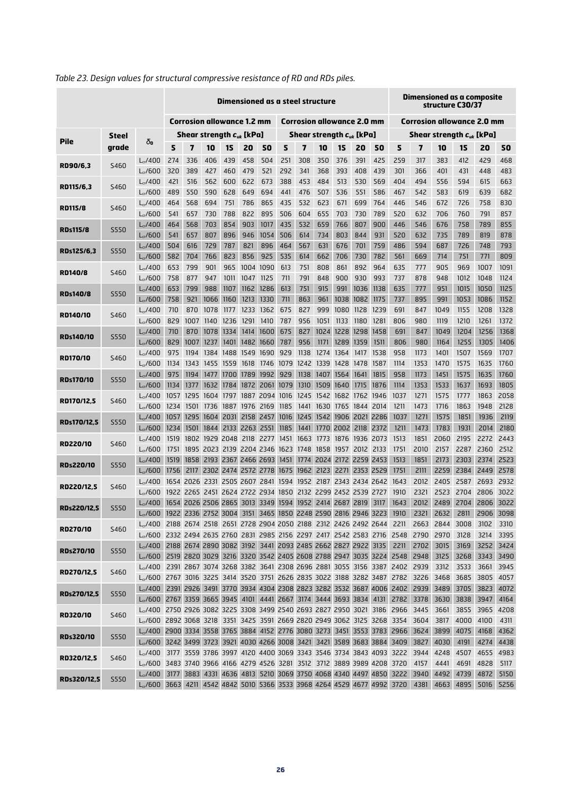|                    |             |                                                                                                                                                                            | Dimensioned as a steel structure  |                                                             |                                                        |           |                     |                                   |                               |             | Dimensioned as a composite<br>structure C30/37 |                                   |                               |              |            |                                                                       |                |              |              |              |
|--------------------|-------------|----------------------------------------------------------------------------------------------------------------------------------------------------------------------------|-----------------------------------|-------------------------------------------------------------|--------------------------------------------------------|-----------|---------------------|-----------------------------------|-------------------------------|-------------|------------------------------------------------|-----------------------------------|-------------------------------|--------------|------------|-----------------------------------------------------------------------|----------------|--------------|--------------|--------------|
|                    |             |                                                                                                                                                                            | <b>Corrosion allowance 1.2 mm</b> |                                                             |                                                        |           |                     | <b>Corrosion allowance 2.0 mm</b> |                               |             |                                                | <b>Corrosion allowance 2.0 mm</b> |                               |              |            |                                                                       |                |              |              |              |
|                    | Steel       |                                                                                                                                                                            |                                   | Shear strength $\boldsymbol{c}_{\u k}$ [kPa]                |                                                        |           |                     |                                   | Shear strength $c_{uk}$ [kPa] |             |                                                |                                   | Shear strength $c_{uk}$ [kPa] |              |            |                                                                       |                |              |              |              |
| <b>Pile</b>        | grade       | δο                                                                                                                                                                         | 5                                 | 7                                                           | 10                                                     | 15        | 20                  | 50                                | 5                             | 7           | 10                                             | 15                                | 20                            | 50           | 5          | 7                                                                     | 10             | 15           | 20           | 50           |
|                    |             | $L_{cr}$ /400                                                                                                                                                              | 274                               | 336                                                         | 406                                                    | 439       | 458                 | 504                               | 251                           | 308         | 350                                            | 376                               | 391                           | 425          | 259        | 317                                                                   | 383            | 412          | 429          | 468          |
| RD90/6,3           | S460        | $L_{cr}$ /600                                                                                                                                                              | 320                               | 389                                                         | 427                                                    | 460       | 479                 | 521                               | 292                           | 341         | 368                                            | 393                               | 408                           | 439          | 301        | 366                                                                   | 401            | 431          | 448          | 483          |
|                    |             | $L_{cr}$ /400                                                                                                                                                              | 421                               | 516                                                         | 562                                                    | 600       | 622                 | 673                               | 388                           | 453         | 484                                            | 513                               | 530                           | 569          | 404        | 494                                                                   | 556            | 594          | 615          | 663          |
| RD115/6.3          | S460        | $L_{cr}$ /600                                                                                                                                                              | 489                               | 550                                                         | 590                                                    | 628       | 649                 | 694                               | 441                           | 476         | 507                                            | 536                               | 551                           | 586          | 467        | 542                                                                   | 583            | 619          | 639          | 682          |
|                    |             | $L_{cr}$ /400                                                                                                                                                              | 464                               | 568                                                         | 694                                                    | 751       | 786                 | 865                               | 435                           | 532         | 623                                            | 671                               | 699                           | 764          | 446        | 546                                                                   | 672            | 726          | 758          | 830          |
| <b>RD115/8</b>     | S460        | $L_{cr}/600$                                                                                                                                                               | 541                               | 657                                                         | 730                                                    | 788       | 822                 | 895                               | 506                           | 604         | 655                                            | 703                               | 730                           | 789          | 520        | 632                                                                   | 706            | 760          | 791          | 857          |
|                    | <b>S550</b> | $L_{cr}$ /400                                                                                                                                                              | 464                               | 568                                                         | 703                                                    | 854       | 903                 | 1017                              | 435                           | 532         | 659                                            | 766                               | 807                           | 900          | 446        | 546                                                                   | 676            | 758          | 789          | 855          |
| <b>RDs115/8</b>    |             | $L_{cr}$ /600                                                                                                                                                              | 541                               | 657                                                         | 807                                                    | 896       | 946                 | 1054                              | 506                           | 614         | 734                                            | 803                               | 844                           | 931          | 520        | 632                                                                   | 735            | 789          | 819          | 878          |
| RDs125/6,3         | <b>S550</b> | $L_{cr}$ /400                                                                                                                                                              | 504                               | 616                                                         | 729                                                    | 787       | 821                 | 896                               | 464                           | 567         | 631                                            | 676                               | 701                           | 759          | 486        | 594                                                                   | 687            | 726          | 748          | 793          |
|                    |             | $L_{cr}$ /600                                                                                                                                                              | 582                               | 704                                                         | 766                                                    | 823       | 856                 | 925                               | 535                           | 614         | 662                                            | 706                               | 730                           | 782          | 561        | 669                                                                   | 714            | 751          | 771          | 809          |
| <b>RD140/8</b>     | S460        | $L_{cr}$ /400                                                                                                                                                              | 653                               | 799                                                         | 901                                                    | 965       | 1004 1090           |                                   | 613                           | 751         | 808                                            | 861                               | 892                           | 964          | 635        | 777                                                                   | 905            | 969          | 1007         | 1091         |
|                    |             | $L_{cr}$ /600                                                                                                                                                              | 758                               | 877                                                         | 947                                                    | 1011      | 1047                | 1125                              | 711                           | 791         | 848                                            | 900                               | 930                           | 993          | 737        | 878                                                                   | 948            | 1012         | 1048         | 1124         |
| <b>RDs140/8</b>    | S550        | $L_{cr}/400$                                                                                                                                                               | 653                               | 799                                                         | 988                                                    | 1107      |                     | 1162 1286                         | 613                           | 751         | 915                                            | 991                               | 1036                          | 1138         | 635        | 777                                                                   | 951            | 1015         | 1050         | 1125         |
|                    |             | $L_{cr}$ /600                                                                                                                                                              | 758                               | 921                                                         | 1066                                                   | 1160      | 1213                | 1330                              | 711                           | 863         | 961                                            | 1038                              | 1082                          | 1175         | 737        | 895                                                                   | 991            | 1053         | 1086         | 1152         |
| RD140/10           | S460        | $L_{cr}$ /400                                                                                                                                                              | 710                               | 870                                                         | 1078                                                   | 1177      | 1233                | 1362                              | 675                           | 827         | 999                                            | 1080                              | 1128                          | 1239         | 691        | 847                                                                   | 1049           | 1155         | 1208         | 1328         |
|                    |             | $L_{cr}$ /600                                                                                                                                                              | 829                               | 1007                                                        |                                                        | 1140 1236 | 1291                | 1410                              | 787                           | 956         | 1051                                           | 1133                              | 1180                          | 1281         | 806        | 980                                                                   | 1119           | 1210         | 1261         | 1372         |
| <b>RDs140/10</b>   | <b>S550</b> | $L_{cr}/400$                                                                                                                                                               | 710                               | 870                                                         | 1078<br>1007 1237                                      | 1334      | 1414                | 1600                              | 675                           | 827         | 1024<br>1171                                   | 1228                              | 1298                          | 1458         | 691        | 847                                                                   | 1049           | 1204         | 1256         | 1368<br>1406 |
|                    |             | $L_{cr}$ /600<br>$L_{cr}$ /400                                                                                                                                             | 829<br>975                        | 1194                                                        |                                                        | 1401      | 1384 1488 1549 1690 | 1482 1660                         | 787<br>929                    | 956<br>1138 | 1274                                           | 1289<br>1364                      | 1359<br>1417                  | 1511<br>1538 | 806<br>958 | 980<br>1173                                                           | 1164<br>1401   | 1255<br>1507 | 1305<br>1569 | 1707         |
| <b>RD170/10</b>    | S460        | $L_{cr}$ /600                                                                                                                                                              | 1134                              |                                                             | 1343 1455 1559                                         |           |                     |                                   | 1618 1746 1079 1242           |             | 1339                                           |                                   | 1428 1478 1587                |              | 1114       | 1353                                                                  | 1470           | 1575         | 1635         | 1760         |
|                    |             | $L_{cr}$ /400                                                                                                                                                              | 975                               |                                                             | 1194 1477 1700                                         |           |                     | 1789 1992                         | 929                           | 1138        | 1407                                           | 1564                              | 1641                          | 1815         | 958        | 1173                                                                  | 1451           | 1575         | 1635         | 1760         |
| <b>RDs170/10</b>   | <b>S550</b> | $L_{cr}$ /600                                                                                                                                                              | 1134                              | 1377                                                        |                                                        | 1632 1784 | 1872                |                                   | 2061 1079                     | 1310        |                                                | 1509 1640                         | 1715                          | 1876         | 1114       | 1353                                                                  | 1533           | 1637         | 1693         | 1805         |
|                    |             | $L_{cr}$ /400                                                                                                                                                              | 1057                              |                                                             | 1295 1604                                              | 1797      |                     | 1887 2094                         | 1016                          | 1245        |                                                | 1542 1682                         | 1762                          | 1946         | 1037       | 1271                                                                  | 1575           | 1777         | 1863         | 2058         |
| RD170/12,5         | S460        | $L_{cr}$ /600                                                                                                                                                              | 1234                              | 1501                                                        | 1736 1887 1976 2169                                    |           |                     |                                   | 1185                          | 1441        | 1630 1765 1844 2014                            |                                   |                               |              | 1211       | 1473                                                                  | 1716           | 1863         | 1948         | 2128         |
|                    |             | $L_{cr}$ /400                                                                                                                                                              | 1057                              |                                                             | 1295 1604                                              | 2031      |                     | 2158 2457                         |                               | 1016 1245   |                                                |                                   | 1542 1906 2021 2286           |              | 1037       | 1271                                                                  | 1575           | 1851         | 1936         | 2119         |
| RDs170/12,5        | <b>S550</b> | $L_{cr}$ /600                                                                                                                                                              | 1234                              | 1501                                                        | 1844                                                   |           | 2133 2263 2551      |                                   | 1185                          | 1441        |                                                | 1770 2002                         | 2118 2372                     |              | 1211       | 1473                                                                  | 1783           | 1931         | 2014         | 2180         |
| <b>RD220/10</b>    | S460        | $L_{cr}$ /400                                                                                                                                                              | 1519                              |                                                             | 1802 1929 2048 2118 2277                               |           |                     |                                   |                               |             | 1451 1663 1773 1876 1936 2073                  |                                   |                               |              | 1513       | 1851                                                                  | 2060           | 2195         | 2272         | 2443         |
|                    |             | $L_{cr}$ /600                                                                                                                                                              | 1751                              |                                                             | 1895 2023 2139 2204 2346 1623 1748 1858 1957           |           |                     |                                   |                               |             |                                                |                                   | 2012 2133                     |              | 1751       | 2010                                                                  | 2157           | 2287         | 2360         | 2512         |
| <b>RDs220/10</b>   | S550        | $L_{cr}$ /400                                                                                                                                                              | 1519                              |                                                             | 1858 2193 2367 2466 2693 1451 1774 2024 2172 2259 2453 |           |                     |                                   |                               |             |                                                |                                   |                               |              | 1513       | 1851                                                                  | 2173           | 2303         | 2374         | 2523         |
|                    |             | $L_{cr}$ /600                                                                                                                                                              | 1756                              |                                                             | 2117 2302 2474 2572 2778 1675 1962 2123                |           |                     |                                   |                               |             |                                                |                                   | 2271 2353 2529                |              | 1751       | 2111                                                                  | 2259           | 2384         | 2449         | 2578         |
| RD220/12,5         | S460        | $L_{cr}$ /400                                                                                                                                                              |                                   | 1654 2026 2331 2505 2607 2841 1594 1952 2187 2343 2434 2642 |                                                        |           |                     |                                   |                               |             |                                                |                                   |                               |              | 1643       | 2012                                                                  | 2405           | 2587         | 2693         | 2932         |
|                    |             | $L_{cr}$ /600                                                                                                                                                              |                                   | 1922 2265 2451 2624 2722 2934 1850 2132 2299 2452 2539 2727 |                                                        |           |                     |                                   |                               |             |                                                |                                   |                               |              | 1910       | 2321                                                                  | 2523           | 2704         | 2806         | 3022         |
| <b>RDs220/12,5</b> | <b>S550</b> | $L_{cr}$ /400                                                                                                                                                              |                                   | 1654 2026 2506 2865 3013 3349 1594 1952 2414 2687 2819      |                                                        |           |                     |                                   |                               |             |                                                |                                   |                               | 3117         | 1643       | 2012                                                                  | 2489           | 2704         | 2806         | 3022         |
|                    |             | $L_{cr}$ /600                                                                                                                                                              |                                   | 1922 2336 2752 3004 3151 3465 1850 2248 2590 2816 2946 3223 |                                                        |           |                     |                                   |                               |             |                                                |                                   |                               |              | 1910       | 2321                                                                  | 2632           | 2811         | 2906 3098    |              |
| RD270/10           | S460        | Lr/400 2188 2674 2518 2651 2728 2904 2050 2188 2312 2426 2492 2644 2211<br>L <sub>cr</sub> /600 2332 2494 2635 2760 2831 2985 2156 2297 2417 2542 2583 2716 2548 2790 2970 |                                   |                                                             |                                                        |           |                     |                                   |                               |             |                                                |                                   |                               |              |            |                                                                       | 2663 2844      | 3008<br>3128 | 3102<br>3214 | 3310<br>3395 |
|                    |             | L <sub>cr</sub> /400 2188 2674 2890 3082 3192 3441 2093 2485 2662 2827 2922 3135 2211 2702                                                                                 |                                   |                                                             |                                                        |           |                     |                                   |                               |             |                                                |                                   |                               |              |            |                                                                       | 3015           | 3169         | 3252 3424    |              |
| <b>RDs270/10</b>   | <b>S550</b> | L <sub>cr</sub> /600 2519 2820 3029 3216 3320 3542 2405 2608 2788 2947 3035 3224 2548 2948                                                                                 |                                   |                                                             |                                                        |           |                     |                                   |                               |             |                                                |                                   |                               |              |            |                                                                       | 3125           | 3268         | 3343 3490    |              |
|                    |             | L <sub>c</sub> /400 2391 2867 3074 3268 3382 3641 2308 2696 2881 3055 3156 3387 2402 2939                                                                                  |                                   |                                                             |                                                        |           |                     |                                   |                               |             |                                                |                                   |                               |              |            |                                                                       | 3312           | 3533         | 3661         | 3945         |
| RD270/12,5         | S460        | L <sub>cr</sub> /600 2767 3016 3225 3414 3520 3751 2626 2835 3022 3188 3282 3487 2782 3226                                                                                 |                                   |                                                             |                                                        |           |                     |                                   |                               |             |                                                |                                   |                               |              |            |                                                                       | 3468           | 3685         | 3805 4057    |              |
|                    |             | $L_{cr}/400$                                                                                                                                                               |                                   |                                                             |                                                        |           |                     |                                   |                               |             |                                                |                                   |                               |              |            | 2391 2926 3491 3770 3934 4304 2308 2823 3282 3532 3687 4006 2402 2939 | 3489           | 3705         | 3823         | 4072         |
| RDs270/12,5        | <b>S550</b> | L <sub>cr</sub> /600 2767 3359 3665 3945 4101 4441 2667 3174 3444 3693 3834 4131 2782                                                                                      |                                   |                                                             |                                                        |           |                     |                                   |                               |             |                                                |                                   |                               |              |            | 3378                                                                  | 3630           | 3838         | 3947         | 4164         |
|                    |             | L <sub>c</sub> /400 2750 2926 3082 3225 3308 3499 2540 2693 2827 2950 3021 3186 2966 3445                                                                                  |                                   |                                                             |                                                        |           |                     |                                   |                               |             |                                                |                                   |                               |              |            |                                                                       | 3661           | 3855         | 3965 4208    |              |
| RD320/10           | S460        | L <sub>cr</sub> /600 2892 3068 3218 3351 3425 3591 2669 2820 2949 3062 3125 3268 3354 3604                                                                                 |                                   |                                                             |                                                        |           |                     |                                   |                               |             |                                                |                                   |                               |              |            |                                                                       | 3817           | 4000         | 4100         | 4311         |
| <b>RDs320/10</b>   | S550        | L <sub>cr</sub> /400 2900 3334 3558 3765 3884 4152 2776 3080 3273 3451 3553 3783 2966 3624                                                                                 |                                   |                                                             |                                                        |           |                     |                                   |                               |             |                                                |                                   |                               |              |            |                                                                       | 3899           | 4075         | 4168         | 4362         |
|                    |             | L <sub>cr</sub> /600 3242 3499 3723 3921 4030 4266 3008 3421 3421 3589 3683 3884 3409 3827                                                                                 |                                   |                                                             |                                                        |           |                     |                                   |                               |             |                                                |                                   |                               |              |            |                                                                       | 4030           | 4191         | 4274         | 4438         |
| RD320/12,5         | S460        | L <sub>c</sub> /400 3177 3559 3786 3997 4120 4400 3069 3343 3546 3734 3843 4093 3222 3944                                                                                  |                                   |                                                             |                                                        |           |                     |                                   |                               |             |                                                |                                   |                               |              |            |                                                                       | 4248           | 4507         | 4655         | 4983         |
|                    |             | L <sub>cr</sub> /600 3483 3740 3966 4166 4279 4526 3281 3512 3712 3889 3989 4208 3720                                                                                      |                                   |                                                             |                                                        |           |                     |                                   |                               |             |                                                |                                   |                               |              |            | 4157                                                                  | 4441           | 4691         | 4828         | 5117         |
| RDs320/12,5        | <b>S550</b> | $L_{cr}/400$                                                                                                                                                               |                                   |                                                             |                                                        |           |                     |                                   |                               |             |                                                |                                   |                               |              |            | 3177 3883 4331 4636 4813 5210 3069 3750 4068 4340 4497 4850 3222 3940 | 4492           | 4739         | 4872 5150    |              |
|                    |             | L <sub>cr</sub> /600 3663 4211 4542 4842 5010 5366 3533 3968 4264 4529 4677 4992 3720                                                                                      |                                   |                                                             |                                                        |           |                     |                                   |                               |             |                                                |                                   |                               |              |            |                                                                       | 4381 4663 4895 |              | 5016 5256    |              |

# *Table 23. Design values for structural compressive resistance of RD and RDs piles.*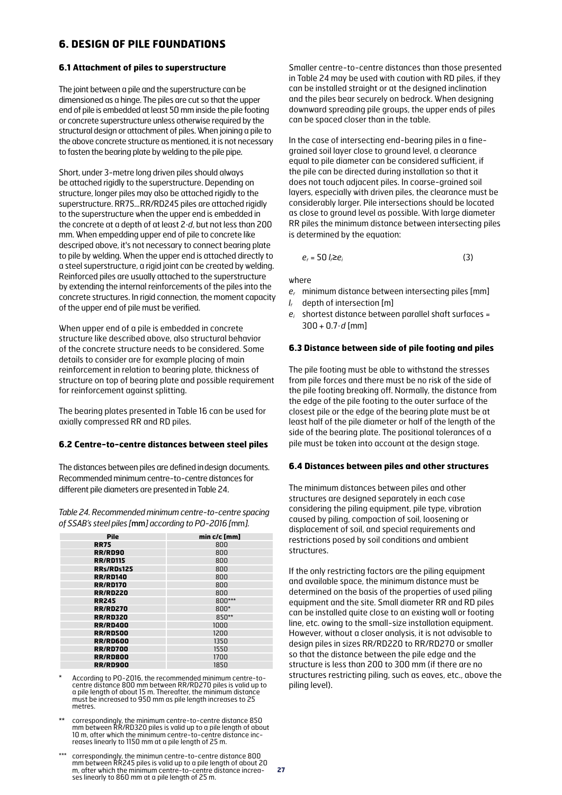# **6. DESIGN OF PILE FOUNDATIONS**

#### **6.1 Attachment of piles to superstructure**

The joint between a pile and the superstructure can be dimensioned as a hinge. The piles are cut so that the upper end of pile is embedded at least 50 mm inside the pile footing or concrete superstructure unless otherwise required by the structural design or attachment of piles. When joining a pile to the above concrete structure as mentioned, it is not necessary to fasten the bearing plate by welding to the pile pipe.

Short, under 3-metre long driven piles should always be attached rigidly to the superstructure. Depending on structure, longer piles may also be attached rigidly to the superstructure. RR75...RR/RD245 piles are attached rigidly to the superstructure when the upper end is embedded in the concrete at a depth of at least 2·*d*, but not less than 200 mm. When empedding upper end of pile to concrete like descriped above, it's not necessary to connect bearing plate to pile by welding. When the upper end is attached directly to a steel superstructure, a rigid joint can be created by welding. Reinforced piles are usually attached to the superstructure by extending the internal reinforcements of the piles into the concrete structures. In rigid connection, the moment capacity of the upper end of pile must be verified.

When upper end of a pile is embedded in concrete structure like described above, also structural behavior of the concrete structure needs to be considered. Some details to consider are for example placing of main reinforcement in relation to bearing plate, thickness of structure on top of bearing plate and possible requirement for reinforcement against splitting.

The bearing plates presented in Table 16 can be used for axially compressed RR and RD piles.

#### **6.2 Centre-to-centre distances between steel piles**

The distances between piles are defined in design documents. Recommended minimum centre-to-centre distances for different pile diameters are presented in Table 24.

*Table 24. Recommended minimum centre-to-centre spacing of SSAB's steel piles [*mm*] according to PO-2016 [*mm*].*

| <b>Pile</b>     | min c/c [mm] |
|-----------------|--------------|
| <b>RR75</b>     | 800          |
| <b>RR/RD90</b>  | 800          |
| <b>RR/RD115</b> | 800          |
| RRs/RDs125      | 800          |
| <b>RR/RD140</b> | 800          |
| <b>RR/RD170</b> | 800          |
| <b>RR/RD220</b> | 800          |
| <b>RR245</b>    | 800***       |
| <b>RR/RD270</b> | $800*$       |
| <b>RR/RD320</b> | $850**$      |
| <b>RR/RD400</b> | 1000         |
| <b>RR/RD500</b> | 1200         |
| <b>RR/RD600</b> | 1350         |
| <b>RR/RD700</b> | 1550         |
| <b>RR/RD800</b> | 1700         |
| <b>RR/RD900</b> | 1850         |

- According to PO-2016, the recommended minimum centre-tocentre distance 800 mm between RR/RD270 piles is valid up to a pile length of about 15 m. Thereafter, the minimum distance must be increased to 950 mm as pile length increases to 25 metres.
- \*\* correspondingly, the minimum centre-to-centre distance 850<br>mm between RR/RD320 piles is valid up to a pile length of about<br>10 m, after which the minimum centre-to-centre distance inc-<br>reases linearly to 1150 mm at a pil
- \*\*\* correspondingly, the minimun centre-to-centre distance 800 mm between RR245 piles is valid up to a pile length of about 20 m, after which the minimum centre-to-centre distance increases linearly to 860 mm at a pile length of 25 m.

Smaller centre-to-centre distances than those presented in Table 24 may be used with caution with RD piles, if they can be installed straight or at the designed inclination and the piles bear securely on bedrock. When designing downward spreading pile groups, the upper ends of piles can be spaced closer than in the table.

In the case of intersecting end-bearing piles in a finegrained soil layer close to ground level, a clearance equal to pile diameter can be considered sufficient, if the pile can be directed during installation so that it does not touch adjacent piles. In coarse-grained soil layers, especially with driven piles, the clearance must be considerably larger. Pile intersections should be located as close to ground level as possible. With large diameter RR piles the minimum distance between intersecting piles is determined by the equation:

*e<sub>r</sub>* = 50 *l*,≥*e<sub>i</sub>* (3)

where

- *er* minimum distance between intersecting piles [mm]
- *lr* depth of intersection [m]
- *ei* shortest distance between parallel shaft surfaces = 300 + 0.7·*d* [mm]

#### **6.3 Distance between side of pile footing and piles**

The pile footing must be able to withstand the stresses from pile forces and there must be no risk of the side of the pile footing breaking off. Normally, the distance from the edge of the pile footing to the outer surface of the closest pile or the edge of the bearing plate must be at least half of the pile diameter or half of the length of the side of the bearing plate. The positional tolerances of a pile must be taken into account at the design stage.

#### **6.4 Distances between piles and other structures**

The minimum distances between piles and other structures are designed separately in each case considering the piling equipment, pile type, vibration caused by piling, compaction of soil, loosening or displacement of soil, and special requirements and restrictions posed by soil conditions and ambient structures.

If the only restricting factors are the piling equipment and available space, the minimum distance must be determined on the basis of the properties of used piling equipment and the site. Small diameter RR and RD piles can be installed quite close to an existing wall or footing line, etc. owing to the small-size installation equipment. However, without a closer analysis, it is not advisable to design piles in sizes RR/RD220 to RR/RD270 or smaller so that the distance between the pile edge and the structure is less than 200 to 300 mm (if there are no structures restricting piling, such as eaves, etc., above the piling level).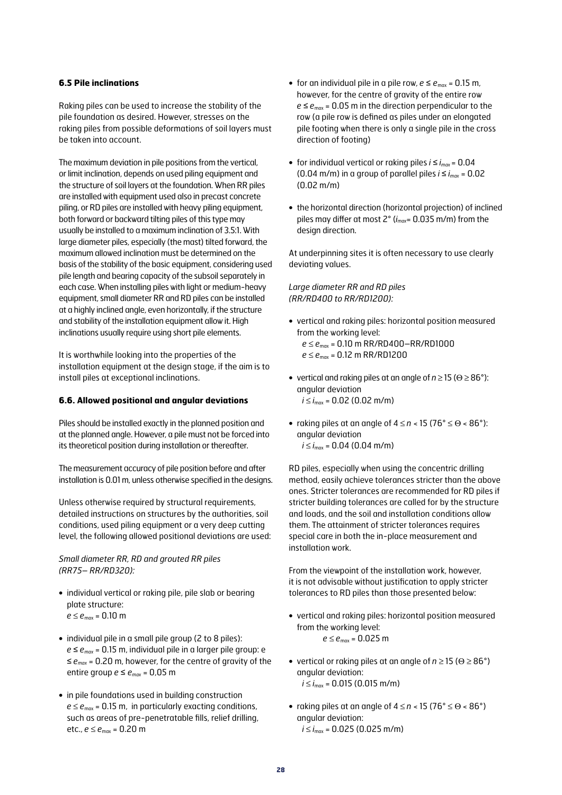#### **6.5 Pile inclinations**

Raking piles can be used to increase the stability of the pile foundation as desired. However, stresses on the raking piles from possible deformations of soil layers must be taken into account.

The maximum deviation in pile positions from the vertical, or limit inclination, depends on used piling equipment and the structure of soil layers at the foundation. When RR piles are installed with equipment used also in precast concrete piling, or RD piles are installed with heavy piling equipment, both forward or backward tilting piles of this type may usually be installed to a maximum inclination of 3.5:1. With large diameter piles, especially (the mast) tilted forward, the maximum allowed inclination must be determined on the basis of the stability of the basic equipment, considering used pile length and bearing capacity of the subsoil separately in each case. When installing piles with light or medium-heavy equipment, small diameter RR and RD piles can be installed at a highly inclined angle, even horizontally, if the structure and stability of the installation equipment allow it. High inclinations usually require using short pile elements.

It is worthwhile looking into the properties of the installation equipment at the design stage, if the aim is to install piles at exceptional inclinations.

#### **6.6. Allowed positional and angular deviations**

Piles should be installed exactly in the planned position and at the planned angle. However, a pile must not be forced into its theoretical position during installation or thereafter.

The measurement accuracy of pile position before and after installation is 0.01 m, unless otherwise specified in the designs.

Unless otherwise required by structural requirements, detailed instructions on structures by the authorities, soil conditions, used piling equipment or a very deep cutting level, the following allowed positional deviations are used:

#### *Small diameter RR, RD and grouted RR piles (RR75– RR/RD320):*

- **•** individual vertical or raking pile, pile slab or bearing plate structure:  $e \le e_{max} = 0.10$  m
- **•** individual pile in a small pile group (2 to 8 piles):  $e \le e_{max}$  = 0.15 m, individual pile in a larger pile group: e ≤ *emax* = 0.20 m, however, for the centre of gravity of the entire group  $e \le e_{max} = 0.05$  m
- **•** in pile foundations used in building construction  $e \le e_{\text{max}} = 0.15$  m, in particularly exacting conditions, such as areas of pre-penetratable fills, relief drilling, etc., *e* ≤ *e*max = 0.20 m
- for an individual pile in a pile row,  $e \le e_{\text{max}} = 0.15$  m, however, for the centre of gravity of the entire row  $e \le e_{\text{max}} = 0.05$  m in the direction perpendicular to the row (a pile row is defined as piles under an elongated pile footing when there is only a single pile in the cross direction of footing)
- **•** for individual vertical or raking piles *i* ≤ *imax* = 0.04 (0.04 m/m) in a group of parallel piles  $i \le i_{max} = 0.02$ (0.02 m/m)
- **•** the horizontal direction (horizontal projection) of inclined piles may differ at most 2° (*imax*= 0.035 m/m) from the design direction.

At underpinning sites it is often necessary to use clearly deviating values.

#### *Large diameter RR and RD piles (RR/RD400 to RR/RD1200):*

- **•** vertical and raking piles: horizontal position measured from the working level: *e* ≤ *e*max = 0.10 m RR/RD400–RR/RD1000
	- *e* ≤ *e*max = 0.12 m RR/RD1200
- vertical and raking piles at an angle of  $n \ge 15$  ( $\Theta \ge 86^{\circ}$ ): angular deviation  $i \le i_{\text{max}} = 0.02$  (0.02 m/m)
- raking piles at an angle of  $4 \le n < 15$  (76°  $\le \Theta < 86$ °): angular deviation  $i \le i_{\text{max}} = 0.04$  (0.04 m/m)

RD piles, especially when using the concentric drilling method, easily achieve tolerances stricter than the above ones. Stricter tolerances are recommended for RD piles if stricter building tolerances are called for by the structure and loads, and the soil and installation conditions allow them. The attainment of stricter tolerances requires special care in both the in-place measurement and installation work.

From the viewpoint of the installation work, however, it is not advisable without justification to apply stricter tolerances to RD piles than those presented below:

- **•** vertical and raking piles: horizontal position measured from the working level: *e* ≤ *e*<sub>max</sub> = 0.025 m
- vertical or raking piles at an angle of  $n \ge 15$  ( $\Theta \ge 86^{\circ}$ ) angular deviation: *i* ≤ *i*<sub>max</sub> = 0.015 (0.015 m/m)
- **•** raking piles at an angle of 4 ≤ *n* < 15 (76° ≤ Q < 86°) angular deviation:  $i \le i_{\text{max}} = 0.025$  (0.025 m/m)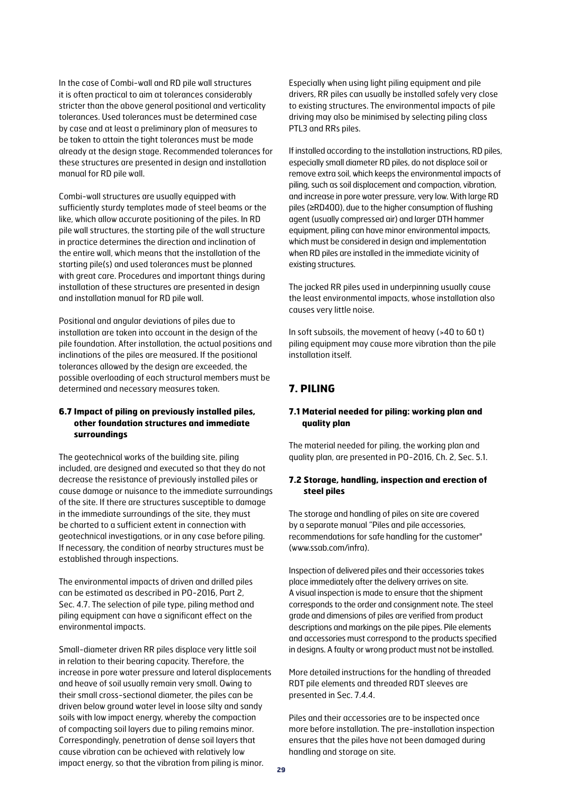In the case of Combi-wall and RD pile wall structures it is often practical to aim at tolerances considerably stricter than the above general positional and verticality tolerances. Used tolerances must be determined case by case and at least a preliminary plan of measures to be taken to attain the tight tolerances must be made already at the design stage. Recommended tolerances for these structures are presented in design and installation manual for RD pile wall.

Combi-wall structures are usually equipped with sufficiently sturdy templates made of steel beams or the like, which allow accurate positioning of the piles. In RD pile wall structures, the starting pile of the wall structure in practice determines the direction and inclination of the entire wall, which means that the installation of the starting pile(s) and used tolerances must be planned with great care. Procedures and important things during installation of these structures are presented in design and installation manual for RD pile wall.

Positional and angular deviations of piles due to installation are taken into account in the design of the pile foundation. After installation, the actual positions and inclinations of the piles are measured. If the positional tolerances allowed by the design are exceeded, the possible overloading of each structural members must be determined and necessary measures taken.

#### **6.7 Impact of piling on previously installed piles, other foundation structures and immediate surroundings**

The geotechnical works of the building site, piling included, are designed and executed so that they do not decrease the resistance of previously installed piles or cause damage or nuisance to the immediate surroundings of the site. If there are structures susceptible to damage in the immediate surroundings of the site, they must be charted to a sufficient extent in connection with geotechnical investigations, or in any case before piling. If necessary, the condition of nearby structures must be established through inspections.

The environmental impacts of driven and drilled piles can be estimated as described in PO-2016, Part 2, Sec. 4.7. The selection of pile type, piling method and piling equipment can have a significant effect on the environmental impacts.

Small-diameter driven RR piles displace very little soil in relation to their bearing capacity. Therefore, the increase in pore water pressure and lateral displacements and heave of soil usually remain very small. Owing to their small cross-sectional diameter, the piles can be driven below ground water level in loose silty and sandy soils with low impact energy, whereby the compaction of compacting soil layers due to piling remains minor. Correspondingly, penetration of dense soil layers that cause vibration can be achieved with relatively low impact energy, so that the vibration from piling is minor.

Especially when using light piling equipment and pile drivers, RR piles can usually be installed safely very close to existing structures. The environmental impacts of pile driving may also be minimised by selecting piling class PTL3 and RRs piles.

If installed according to the installation instructions, RD piles, especially small diameter RD piles, do not displace soil or remove extra soil, which keeps the environmental impacts of piling, such as soil displacement and compaction, vibration, and increase in pore water pressure, very low. With large RD piles (≥RD400), due to the higher consumption of flushing agent (usually compressed air) and larger DTH hammer equipment, piling can have minor environmental impacts, which must be considered in design and implementation when RD piles are installed in the immediate vicinity of existing structures.

The jacked RR piles used in underpinning usually cause the least environmental impacts, whose installation also causes very little noise.

In soft subsoils, the movement of heavy (>40 to 60 t) piling equipment may cause more vibration than the pile installation itself.

# **7. PILING**

#### **7.1 Material needed for piling: working plan and quality plan**

The material needed for piling, the working plan and quality plan, are presented in PO-2016, Ch. 2, Sec. 5.1.

#### **7.2 Storage, handling, inspection and erection of steel piles**

The storage and handling of piles on site are covered by a separate manual "Piles and pile accessories, recommendations for safe handling for the customer" (www.ssab.com/infra).

Inspection of delivered piles and their accessories takes place immediately after the delivery arrives on site. A visual inspection is made to ensure that the shipment corresponds to the order and consignment note. The steel grade and dimensions of piles are verified from product descriptions and markings on the pile pipes. Pile elements and accessories must correspond to the products specified in designs. A faulty or wrong product must not be installed.

More detailed instructions for the handling of threaded RDT pile elements and threaded RDT sleeves are presented in Sec. 7.4.4.

Piles and their accessories are to be inspected once more before installation. The pre-installation inspection ensures that the piles have not been damaged during handling and storage on site.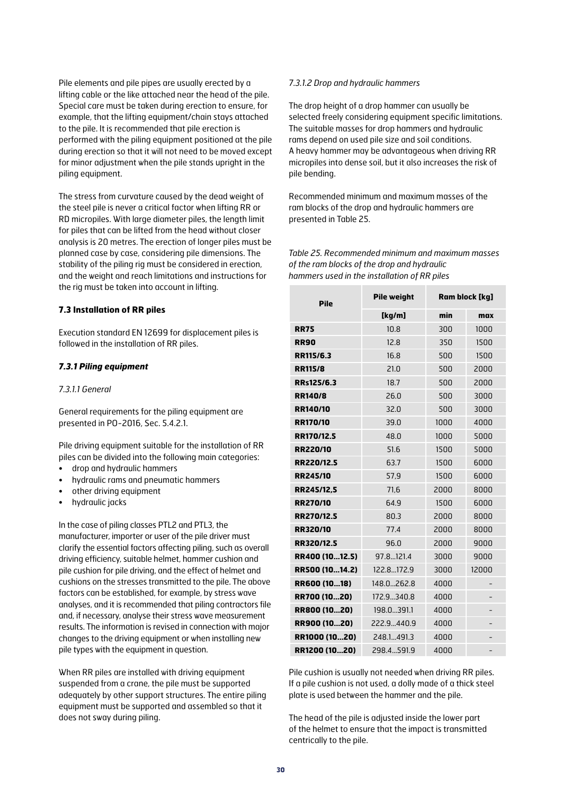Pile elements and pile pipes are usually erected by a lifting cable or the like attached near the head of the pile. Special care must be taken during erection to ensure, for example, that the lifting equipment/chain stays attached to the pile. It is recommended that pile erection is performed with the piling equipment positioned at the pile during erection so that it will not need to be moved except for minor adjustment when the pile stands upright in the piling equipment.

The stress from curvature caused by the dead weight of the steel pile is never a critical factor when lifting RR or RD micropiles. With large diameter piles, the length limit for piles that can be lifted from the head without closer analysis is 20 metres. The erection of longer piles must be planned case by case, considering pile dimensions. The stability of the piling rig must be considered in erection, and the weight and reach limitations and instructions for the rig must be taken into account in lifting.

#### **7.3 Installation of RR piles**

Execution standard EN 12699 for displacement piles is followed in the installation of RR piles.

#### *7.3.1 Piling equipment*

#### *7.3.1.1 General*

General requirements for the piling equipment are presented in PO-2016, Sec. 5.4.2.1.

Pile driving equipment suitable for the installation of RR piles can be divided into the following main categories:

- drop and hydraulic hammers
- hydraulic rams and pneumatic hammers
- other driving equipment
- hydraulic jacks

In the case of piling classes PTL2 and PTL3, the manufacturer, importer or user of the pile driver must clarify the essential factors affecting piling, such as overall driving efficiency, suitable helmet, hammer cushion and pile cushion for pile driving, and the effect of helmet and cushions on the stresses transmitted to the pile. The above factors can be established, for example, by stress wave analyses, and it is recommended that piling contractors file and, if necessary, analyse their stress wave measurement results. The information is revised in connection with major changes to the driving equipment or when installing new pile types with the equipment in question.

When RR piles are installed with driving equipment suspended from a crane, the pile must be supported adequately by other support structures. The entire piling equipment must be supported and assembled so that it does not sway during piling.

#### *7.3.1.2 Drop and hydraulic hammers*

The drop height of a drop hammer can usually be selected freely considering equipment specific limitations. The suitable masses for drop hammers and hydraulic rams depend on used pile size and soil conditions. A heavy hammer may be advantageous when driving RR micropiles into dense soil, but it also increases the risk of pile bending.

Recommended minimum and maximum masses of the ram blocks of the drop and hydraulic hammers are presented in Table 25.

*Table 25. Recommended minimum and maximum masses of the ram blocks of the drop and hydraulic hammers used in the installation of RR piles*

| <b>Pile</b>       | <b>Pile weight</b> | Ram block [kg] |       |  |  |
|-------------------|--------------------|----------------|-------|--|--|
|                   | [kg/m]             | min            | max   |  |  |
| <b>RR75</b>       | 10.8               | 300            | 1000  |  |  |
| <b>RR90</b>       | 12.8               | 350            | 1500  |  |  |
| RR115/6.3         | 16.8               | 500            | 1500  |  |  |
| <b>RR115/8</b>    | 21.0               | 500            | 2000  |  |  |
| RRs125/6.3        | 18.7               | 500            | 2000  |  |  |
| <b>RR140/8</b>    | 26.0               | 500            | 3000  |  |  |
| RR140/10          | 32.0               | 500            | 3000  |  |  |
| <b>RR170/10</b>   | 39.0               | 1000           | 4000  |  |  |
| RR170/12.5        | 48.0               | 1000           | 5000  |  |  |
| <b>RR220/10</b>   | 51.6               | 1500           | 5000  |  |  |
| <b>RR220/12.5</b> | 63.7               | 1500           | 6000  |  |  |
| <b>RR245/10</b>   | 57.9               | 1500           | 6000  |  |  |
| RR245/12,5        | 71,6               | 2000           | 8000  |  |  |
| <b>RR270/10</b>   | 64.9               | 1500           | 6000  |  |  |
| RR270/12.5        | 80.3               | 2000           | 8000  |  |  |
| RR320/10          | 77.4               | 2000           | 8000  |  |  |
| RR320/12.5        | 96.0               | 2000           | 9000  |  |  |
| RR400 (1012.5)    | 97.8.121.4         | 3000           | 9000  |  |  |
| RR500 (1014.2)    | 122.8172.9         | 3000           | 12000 |  |  |
| RR600 (1018)      | 148.0262.8         | 4000           |       |  |  |
| RR700 (1020)      | 172.9340.8         | 4000           |       |  |  |
| RR800 (1020)      | 198.0391.1         | 4000           |       |  |  |
| RR900 (1020)      | 222.9.440.9        | 4000           |       |  |  |
| RR1000 (1020)     | 248.1491.3         | 4000           |       |  |  |
| RR1200 (1020)     | 298.4591.9         | 4000           |       |  |  |

Pile cushion is usually not needed when driving RR piles. If a pile cushion is not used, a dolly made of a thick steel plate is used between the hammer and the pile.

The head of the pile is adjusted inside the lower part of the helmet to ensure that the impact is transmitted centrically to the pile.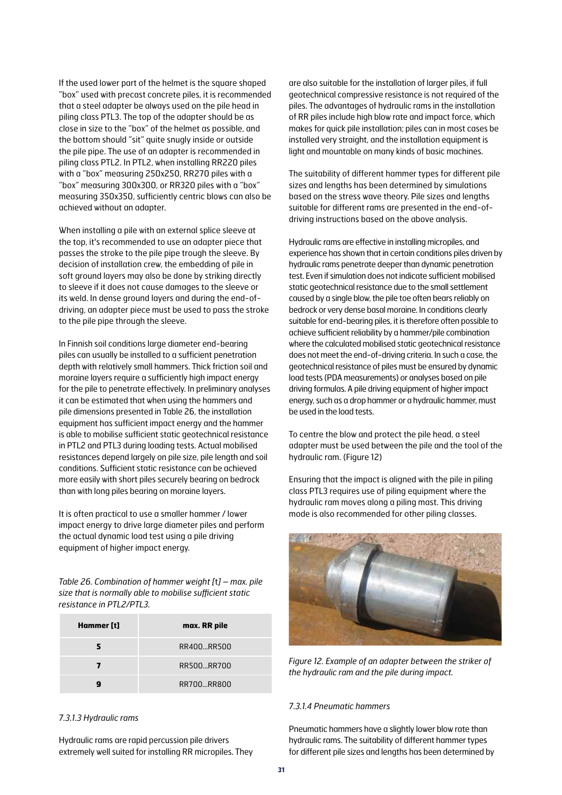If the used lower part of the helmet is the square shaped "box" used with precast concrete piles, it is recommended that a steel adapter be always used on the pile head in piling class PTL3. The top of the adapter should be as close in size to the "box" of the helmet as possible, and the bottom should "sit" quite snugly inside or outside the pile pipe. The use of an adapter is recommended in piling class PTL2. In PTL2, when installing RR220 piles with a "box" measuring 250x250, RR270 piles with a "box" measuring 300x300, or RR320 piles with a "box" measuring 350x350, sufficiently centric blows can also be achieved without an adapter.

When installing a pile with an external splice sleeve at the top, it's recommended to use an adapter piece that passes the stroke to the pile pipe trough the sleeve. By decision of installation crew, the embedding of pile in soft ground layers may also be done by striking directly to sleeve if it does not cause damages to the sleeve or its weld. In dense ground layers and during the end-ofdriving, an adapter piece must be used to pass the stroke to the pile pipe through the sleeve.

In Finnish soil conditions large diameter end-bearing piles can usually be installed to a sufficient penetration depth with relatively small hammers. Thick friction soil and moraine layers require a sufficiently high impact energy for the pile to penetrate effectively. In preliminary analyses it can be estimated that when using the hammers and pile dimensions presented in Table 26, the installation equipment has sufficient impact energy and the hammer is able to mobilise sufficient static geotechnical resistance in PTL2 and PTL3 during loading tests. Actual mobilised resistances depend largely on pile size, pile length and soil conditions. Sufficient static resistance can be achieved more easily with short piles securely bearing on bedrock than with long piles bearing on moraine layers.

It is often practical to use a smaller hammer / lower impact energy to drive large diameter piles and perform the actual dynamic load test using a pile driving equipment of higher impact energy.

*Table 26. Combination of hammer weight [*t*] – max. pile size that is normally able to mobilise sufficient static resistance in PTL2/PTL3.*

| Hammer [t] | max. RR pile |
|------------|--------------|
|            | RR400 RR500  |
| 7          | RR500RR700   |
|            | RR700RR800   |

#### *7.3.1.3 Hydraulic rams*

Hydraulic rams are rapid percussion pile drivers extremely well suited for installing RR micropiles. They are also suitable for the installation of larger piles, if full geotechnical compressive resistance is not required of the piles. The advantages of hydraulic rams in the installation of RR piles include high blow rate and impact force, which makes for quick pile installation; piles can in most cases be installed very straight, and the installation equipment is light and mountable on many kinds of basic machines.

The suitability of different hammer types for different pile sizes and lengths has been determined by simulations based on the stress wave theory. Pile sizes and lengths suitable for different rams are presented in the end-ofdriving instructions based on the above analysis.

Hydraulic rams are effective in installing micropiles, and experience has shown that in certain conditions piles driven by hydraulic rams penetrate deeper than dynamic penetration test. Even if simulation does not indicate sufficient mobilised static geotechnical resistance due to the small settlement caused by a single blow, the pile toe often bears reliably on bedrock or very dense basal moraine. In conditions clearly suitable for end-bearing piles, it is therefore often possible to achieve sufficient reliability by a hammer/pile combination where the calculated mobilised static geotechnical resistance does not meet the end-of-driving criteria. In such a case, the geotechnical resistance of piles must be ensured by dynamic load tests (PDA measurements) or analyses based on pile driving formulas. A pile driving equipment of higher impact energy, such as a drop hammer or a hydraulic hammer, must be used in the load tests.

To centre the blow and protect the pile head, a steel adapter must be used between the pile and the tool of the hydraulic ram. (Figure 12)

Ensuring that the impact is aligned with the pile in piling class PTL3 requires use of piling equipment where the hydraulic ram moves along a piling mast. This driving mode is also recommended for other piling classes.



*Figure 12. Example of an adapter between the striker of the hydraulic ram and the pile during impact.*

#### *7.3.1.4 Pneumatic hammers*

Pneumatic hammers have a slightly lower blow rate than hydraulic rams. The suitability of different hammer types for different pile sizes and lengths has been determined by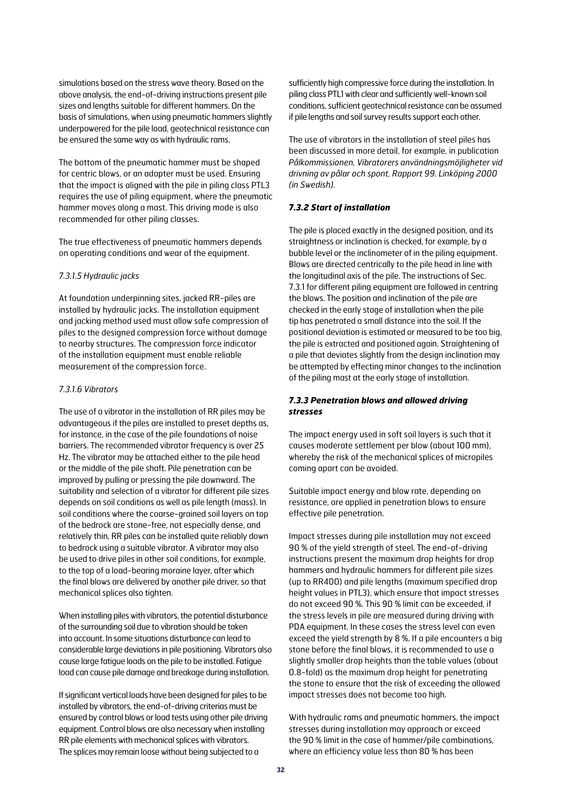simulations based on the stress wave theory. Based on the above analysis, the end-of-driving instructions present pile sizes and lengths suitable for different hammers. On the basis of simulations, when using pneumatic hammers slightly underpowered for the pile load, geotechnical resistance can be ensured the same way as with hydraulic rams.

The bottom of the pneumatic hammer must be shaped for centric blows, or an adapter must be used. Ensuring that the impact is aligned with the pile in piling class PTL3 requires the use of piling equipment, where the pneumatic hammer moves along a mast. This driving mode is also recommended for other piling classes.

The true effectiveness of pneumatic hammers depends on operating conditions and wear of the equipment.

#### *7.3.1.5 Hydraulic jacks*

At foundation underpinning sites, jacked RR-piles are installed by hydraulic jacks. The installation equipment and jacking method used must allow safe compression of piles to the designed compression force without damage to nearby structures. The compression force indicator of the installation equipment must enable reliable measurement of the compression force.

#### *7.3.1.6 Vibrators*

The use of a vibrator in the installation of RR piles may be advantageous if the piles are installed to preset depths as, for instance, in the case of the pile foundations of noise barriers. The recommended vibrator frequency is over 25 Hz. The vibrator may be attached either to the pile head or the middle of the pile shaft. Pile penetration can be improved by pulling or pressing the pile downward. The suitability and selection of a vibrator for different pile sizes depends on soil conditions as well as pile length (mass). In soil conditions where the coarse-grained soil layers on top of the bedrock are stone-free, not especially dense, and relatively thin, RR piles can be installed quite reliably down to bedrock using a suitable vibrator. A vibrator may also be used to drive piles in other soil conditions, for example, to the top of a load-bearing moraine layer, after which the final blows are delivered by another pile driver, so that mechanical splices also tighten.

When installing piles with vibrators, the potential disturbance of the surrounding soil due to vibration should be taken into account. In some situations disturbance can lead to considerable large deviations in pile positioning. Vibrators also cause large fatigue loads on the pile to be installed. Fatigue load can cause pile damage and breakage during installation.

If significant vertical loads have been designed for piles to be installed by vibrators, the end-of-driving criterias must be ensured by control blows or load tests using other pile driving equipment. Control blows are also necessary when installing RR pile elements with mechanical splices with vibrators. The splices may remain loose without being subjected to a

sufficiently high compressive force during the installation. In piling class PTL1 with clear and sufficiently well-known soil conditions, sufficient geotechnical resistance can be assumed if pile lengths and soil survey results support each other.

The use of vibrators in the installation of steel piles has been discussed in more detail, for example, in publication *Pålkommissionen, Vibratorers användningsmöjligheter vid drivning av pålar och spont, Rapport 99. Linköping 2000 (in Swedish).*

#### *7.3.2 Start of installation*

The pile is placed exactly in the designed position, and its straightness or inclination is checked, for example, by a bubble level or the inclinometer of in the piling equipment. Blows are directed centrically to the pile head in line with the longitudinal axis of the pile. The instructions of Sec. 7.3.1 for different piling equipment are followed in centring the blows. The position and inclination of the pile are checked in the early stage of installation when the pile tip has penetrated a small distance into the soil. If the positional deviation is estimated or measured to be too big, the pile is extracted and positioned again. Straightening of a pile that deviates slightly from the design inclination may be attempted by effecting minor changes to the inclination of the piling mast at the early stage of installation.

#### *7.3.3 Penetration blows and allowed driving stresses*

The impact energy used in soft soil layers is such that it causes moderate settlement per blow (about 100 mm), whereby the risk of the mechanical splices of micropiles coming apart can be avoided.

Suitable impact energy and blow rate, depending on resistance, are applied in penetration blows to ensure effective pile penetration.

Impact stresses during pile installation may not exceed 90 % of the yield strength of steel. The end-of-driving instructions present the maximum drop heights for drop hammers and hydraulic hammers for different pile sizes (up to RR400) and pile lengths (maximum specified drop height values in PTL3), which ensure that impact stresses do not exceed 90 %. This 90 % limit can be exceeded, if the stress levels in pile are measured during driving with PDA equipment. In these cases the stress level can even exceed the yield strength by 8 %. If a pile encounters a big stone before the final blows, it is recommended to use a slightly smaller drop heights than the table values (about 0.8-fold) as the maximum drop height for penetrating the stone to ensure that the risk of exceeding the allowed impact stresses does not become too high.

With hydraulic rams and pneumatic hammers, the impact stresses during installation may approach or exceed the 90 % limit in the case of hammer/pile combinations, where an efficiency value less than 80 % has been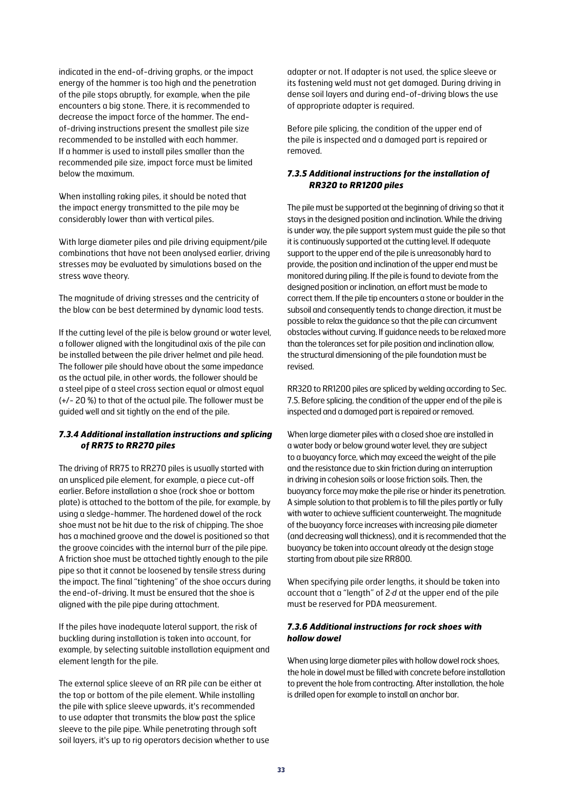indicated in the end-of-driving graphs, or the impact energy of the hammer is too high and the penetration of the pile stops abruptly, for example, when the pile encounters a big stone. There, it is recommended to decrease the impact force of the hammer. The endof-driving instructions present the smallest pile size recommended to be installed with each hammer. If a hammer is used to install piles smaller than the recommended pile size, impact force must be limited below the maximum.

When installing raking piles, it should be noted that the impact energy transmitted to the pile may be considerably lower than with vertical piles.

With large diameter piles and pile driving equipment/pile combinations that have not been analysed earlier, driving stresses may be evaluated by simulations based on the stress wave theory.

The magnitude of driving stresses and the centricity of the blow can be best determined by dynamic load tests.

If the cutting level of the pile is below ground or water level, a follower aligned with the longitudinal axis of the pile can be installed between the pile driver helmet and pile head. The follower pile should have about the same impedance as the actual pile, in other words, the follower should be a steel pipe of a steel cross section equal or almost equal (+/- 20 %) to that of the actual pile. The follower must be guided well and sit tightly on the end of the pile.

#### *7.3.4 Additional installation instructions and splicing of RR75 to RR270 piles*

The driving of RR75 to RR270 piles is usually started with an unspliced pile element, for example, a piece cut-off earlier. Before installation a shoe (rock shoe or bottom plate) is attached to the bottom of the pile, for example, by using a sledge-hammer. The hardened dowel of the rock shoe must not be hit due to the risk of chipping. The shoe has a machined groove and the dowel is positioned so that the groove coincides with the internal burr of the pile pipe. A friction shoe must be attached tightly enough to the pile pipe so that it cannot be loosened by tensile stress during the impact. The final "tightening" of the shoe occurs during the end-of-driving. It must be ensured that the shoe is aligned with the pile pipe during attachment.

If the piles have inadequate lateral support, the risk of buckling during installation is taken into account, for example, by selecting suitable installation equipment and element length for the pile.

The external splice sleeve of an RR pile can be either at the top or bottom of the pile element. While installing the pile with splice sleeve upwards, it's recommended to use adapter that transmits the blow past the splice sleeve to the pile pipe. While penetrating through soft soil layers, it's up to rig operators decision whether to use adapter or not. If adapter is not used, the splice sleeve or its fastening weld must not get damaged. During driving in dense soil layers and during end-of-driving blows the use of appropriate adapter is required.

Before pile splicing, the condition of the upper end of the pile is inspected and a damaged part is repaired or removed.

#### *7.3.5 Additional instructions for the installation of RR320 to RR1200 piles*

The pile must be supported at the beginning of driving so that it stays in the designed position and inclination. While the driving is under way, the pile support system must guide the pile so that it is continuously supported at the cutting level. If adequate support to the upper end of the pile is unreasonably hard to provide, the position and inclination of the upper end must be monitored during piling. If the pile is found to deviate from the designed position or inclination, an effort must be made to correct them. If the pile tip encounters a stone or boulder in the subsoil and consequently tends to change direction, it must be possible to relax the guidance so that the pile can circumvent obstacles without curving. If guidance needs to be relaxed more than the tolerances set for pile position and inclination allow, the structural dimensioning of the pile foundation must be revised.

RR320 to RR1200 piles are spliced by welding according to Sec. 7.5. Before splicing, the condition of the upper end of the pile is inspected and a damaged part is repaired or removed.

When large diameter piles with a closed shoe are installed in a water body or below ground water level, they are subject to a buoyancy force, which may exceed the weight of the pile and the resistance due to skin friction during an interruption in driving in cohesion soils or loose friction soils. Then, the buoyancy force may make the pile rise or hinder its penetration. A simple solution to that problem is to fill the piles partly or fully with water to achieve sufficient counterweight. The magnitude of the buoyancy force increases with increasing pile diameter (and decreasing wall thickness), and it is recommended that the buoyancy be taken into account already at the design stage starting from about pile size RR800.

When specifying pile order lengths, it should be taken into account that a "length" of 2·*d* at the upper end of the pile must be reserved for PDA measurement.

#### *7.3.6 Additional instructions for rock shoes with hollow dowel*

When using large diameter piles with hollow dowel rock shoes, the hole in dowel must be filled with concrete before installation to prevent the hole from contracting. After installation, the hole is drilled open for example to install an anchor bar.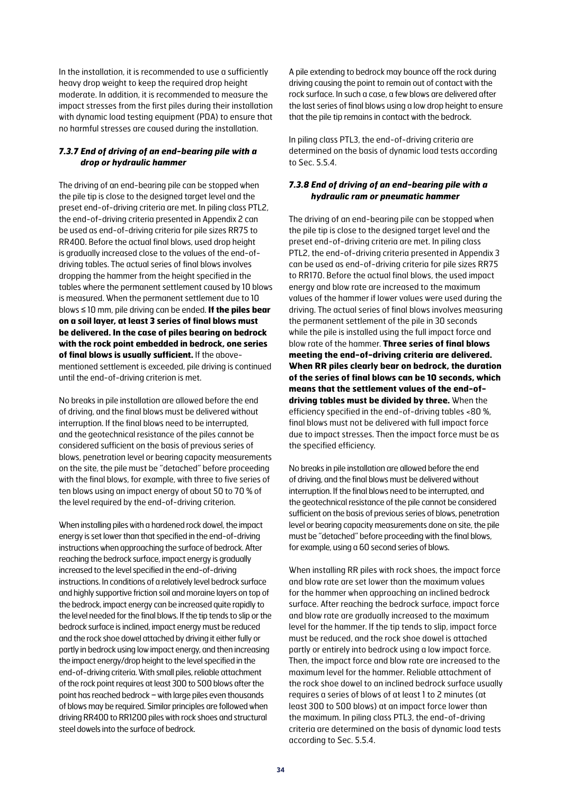In the installation, it is recommended to use a sufficiently heavy drop weight to keep the required drop height moderate. In addition, it is recommended to measure the impact stresses from the first piles during their installation with dynamic load testing equipment (PDA) to ensure that no harmful stresses are caused during the installation.

#### *7.3.7 End of driving of an end-bearing pile with a drop or hydraulic hammer*

The driving of an end-bearing pile can be stopped when the pile tip is close to the designed target level and the preset end-of-driving criteria are met. In piling class PTL2, the end-of-driving criteria presented in Appendix 2 can be used as end-of-driving criteria for pile sizes RR75 to RR400. Before the actual final blows, used drop height is gradually increased close to the values of the end-ofdriving tables. The actual series of final blows involves dropping the hammer from the height specified in the tables where the permanent settlement caused by 10 blows is measured. When the permanent settlement due to 10 blows ≤ 10 mm, pile driving can be ended. **If the piles bear on a soil layer, at least 3 series of final blows must be delivered. In the case of piles bearing on bedrock with the rock point embedded in bedrock, one series of final blows is usually sufficient.** If the abovementioned settlement is exceeded, pile driving is continued until the end-of-driving criterion is met.

No breaks in pile installation are allowed before the end of driving, and the final blows must be delivered without interruption. If the final blows need to be interrupted, and the geotechnical resistance of the piles cannot be considered sufficient on the basis of previous series of blows, penetration level or bearing capacity measurements on the site, the pile must be "detached" before proceeding with the final blows, for example, with three to five series of ten blows using an impact energy of about 50 to 70 % of the level required by the end-of-driving criterion.

When installing piles with a hardened rock dowel, the impact energy is set lower than that specified in the end-of-driving instructions when approaching the surface of bedrock. After reaching the bedrock surface, impact energy is gradually increased to the level specified in the end-of-driving instructions. In conditions of a relatively level bedrock surface and highly supportive friction soil and moraine layers on top of the bedrock, impact energy can be increased quite rapidly to the level needed for the final blows. If the tip tends to slip or the bedrock surface is inclined, impact energy must be reduced and the rock shoe dowel attached by driving it either fully or partly in bedrock using low impact energy, and then increasing the impact energy/drop height to the level specified in the end-of-driving criteria. With small piles, reliable attachment of the rock point requires at least 300 to 500 blows after the point has reached bedrock − with large piles even thousands of blows may be required. Similar principles are followed when driving RR400 to RR1200 piles with rock shoes and structural steel dowels into the surface of bedrock.

A pile extending to bedrock may bounce off the rock during driving causing the point to remain out of contact with the rock surface. In such a case, a few blows are delivered after the last series of final blows using a low drop height to ensure that the pile tip remains in contact with the bedrock.

In piling class PTL3, the end-of-driving criteria are determined on the basis of dynamic load tests according to Sec. 5.5.4.

#### *7.3.8 End of driving of an end-bearing pile with a hydraulic ram or pneumatic hammer*

The driving of an end-bearing pile can be stopped when the pile tip is close to the designed target level and the preset end-of-driving criteria are met. In piling class PTL2, the end-of-driving criteria presented in Appendix 3 can be used as end-of-driving criteria for pile sizes RR75 to RR170. Before the actual final blows, the used impact energy and blow rate are increased to the maximum values of the hammer if lower values were used during the driving. The actual series of final blows involves measuring the permanent settlement of the pile in 30 seconds while the pile is installed using the full impact force and blow rate of the hammer. **Three series of final blows meeting the end-of-driving criteria are delivered. When RR piles clearly bear on bedrock, the duration of the series of final blows can be 10 seconds, which means that the settlement values of the end-ofdriving tables must be divided by three.** When the efficiency specified in the end-of-driving tables <80 %, final blows must not be delivered with full impact force due to impact stresses. Then the impact force must be as the specified efficiency.

No breaks in pile installation are allowed before the end of driving, and the final blows must be delivered without interruption. If the final blows need to be interrupted, and the geotechnical resistance of the pile cannot be considered sufficient on the basis of previous series of blows, penetration level or bearing capacity measurements done on site, the pile must be "detached" before proceeding with the final blows, for example, using a 60 second series of blows.

When installing RR piles with rock shoes, the impact force and blow rate are set lower than the maximum values for the hammer when approaching an inclined bedrock surface. After reaching the bedrock surface, impact force and blow rate are gradually increased to the maximum level for the hammer. If the tip tends to slip, impact force must be reduced, and the rock shoe dowel is attached partly or entirely into bedrock using a low impact force. Then, the impact force and blow rate are increased to the maximum level for the hammer. Reliable attachment of the rock shoe dowel to an inclined bedrock surface usually requires a series of blows of at least 1 to 2 minutes (at least 300 to 500 blows) at an impact force lower than the maximum. In piling class PTL3, the end-of-driving criteria are determined on the basis of dynamic load tests according to Sec. 5.5.4.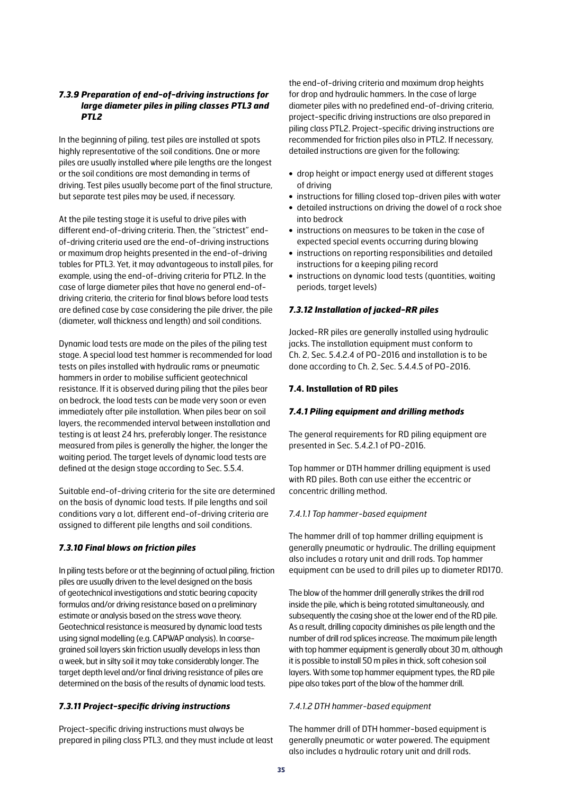#### *7.3.9 Preparation of end-of-driving instructions for large diameter piles in piling classes PTL3 and PTL2*

In the beginning of piling, test piles are installed at spots highly representative of the soil conditions. One or more piles are usually installed where pile lengths are the longest or the soil conditions are most demanding in terms of driving. Test piles usually become part of the final structure, but separate test piles may be used, if necessary.

At the pile testing stage it is useful to drive piles with different end-of-driving criteria. Then, the "strictest" endof-driving criteria used are the end-of-driving instructions or maximum drop heights presented in the end-of-driving tables for PTL3. Yet, it may advantageous to install piles, for example, using the end-of-driving criteria for PTL2. In the case of large diameter piles that have no general end-ofdriving criteria, the criteria for final blows before load tests are defined case by case considering the pile driver, the pile (diameter, wall thickness and length) and soil conditions.

Dynamic load tests are made on the piles of the piling test stage. A special load test hammer is recommended for load tests on piles installed with hydraulic rams or pneumatic hammers in order to mobilise sufficient geotechnical resistance. If it is observed during piling that the piles bear on bedrock, the load tests can be made very soon or even immediately after pile installation. When piles bear on soil layers, the recommended interval between installation and testing is at least 24 hrs, preferably longer. The resistance measured from piles is generally the higher, the longer the waiting period. The target levels of dynamic load tests are defined at the design stage according to Sec. 5.5.4.

Suitable end-of-driving criteria for the site are determined on the basis of dynamic load tests. If pile lengths and soil conditions vary a lot, different end-of-driving criteria are assigned to different pile lengths and soil conditions.

#### *7.3.10 Final blows on friction piles*

In piling tests before or at the beginning of actual piling, friction piles are usually driven to the level designed on the basis of geotechnical investigations and static bearing capacity formulas and/or driving resistance based on a preliminary estimate or analysis based on the stress wave theory. Geotechnical resistance is measured by dynamic load tests using signal modelling (e.g. CAPWAP analysis). In coarsegrained soil layers skin friction usually develops in less than a week, but in silty soil it may take considerably longer. The target depth level and/or final driving resistance of piles are determined on the basis of the results of dynamic load tests.

#### *7.3.11 Project-specific driving instructions*

Project-specific driving instructions must always be prepared in piling class PTL3, and they must include at least the end-of-driving criteria and maximum drop heights for drop and hydraulic hammers. In the case of large diameter piles with no predefined end-of-driving criteria, project-specific driving instructions are also prepared in piling class PTL2. Project-specific driving instructions are recommended for friction piles also in PTL2. If necessary, detailed instructions are given for the following:

- **•** drop height or impact energy used at different stages of driving
- **•** instructions for filling closed top-driven piles with water
- **•** detailed instructions on driving the dowel of a rock shoe into bedrock
- **•** instructions on measures to be taken in the case of expected special events occurring during blowing
- **•** instructions on reporting responsibilities and detailed instructions for a keeping piling record
- **•** instructions on dynamic load tests (quantities, waiting periods, target levels)

#### *7.3.12 Installation of jacked-RR piles*

Jacked-RR piles are generally installed using hydraulic jacks. The installation equipment must conform to Ch. 2, Sec. 5.4.2.4 of PO-2016 and installation is to be done according to Ch. 2, Sec. 5.4.4.5 of PO-2016.

#### **7.4. Installation of RD piles**

#### *7.4.1 Piling equipment and drilling methods*

The general requirements for RD piling equipment are presented in Sec. 5.4.2.1 of PO-2016.

Top hammer or DTH hammer drilling equipment is used with RD piles. Both can use either the eccentric or concentric drilling method.

#### *7.4.1.1 Top hammer-based equipment*

The hammer drill of top hammer drilling equipment is generally pneumatic or hydraulic. The drilling equipment also includes a rotary unit and drill rods. Top hammer equipment can be used to drill piles up to diameter RD170.

The blow of the hammer drill generally strikes the drill rod inside the pile, which is being rotated simultaneously, and subsequently the casing shoe at the lower end of the RD pile. As a result, drilling capacity diminishes as pile length and the number of drill rod splices increase. The maximum pile length with top hammer equipment is generally about 30 m, although it is possible to install 50 m piles in thick, soft cohesion soil layers. With some top hammer equipment types, the RD pile pipe also takes part of the blow of the hammer drill.

#### *7.4.1.2 DTH hammer-based equipment*

The hammer drill of DTH hammer-based equipment is generally pneumatic or water powered. The equipment also includes a hydraulic rotary unit and drill rods.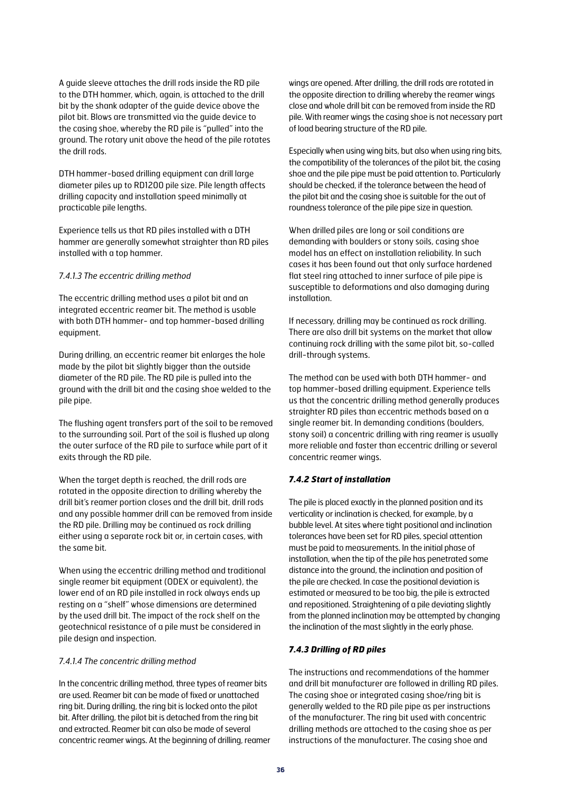A guide sleeve attaches the drill rods inside the RD pile to the DTH hammer, which, again, is attached to the drill bit by the shank adapter of the guide device above the pilot bit. Blows are transmitted via the guide device to the casing shoe, whereby the RD pile is "pulled" into the ground. The rotary unit above the head of the pile rotates the drill rods.

DTH hammer-based drilling equipment can drill large diameter piles up to RD1200 pile size. Pile length affects drilling capacity and installation speed minimally at practicable pile lengths.

Experience tells us that RD piles installed with a DTH hammer are generally somewhat straighter than RD piles installed with a top hammer.

#### *7.4.1.3 The eccentric drilling method*

The eccentric drilling method uses a pilot bit and an integrated eccentric reamer bit. The method is usable with both DTH hammer- and top hammer-based drilling equipment.

During drilling, an eccentric reamer bit enlarges the hole made by the pilot bit slightly bigger than the outside diameter of the RD pile. The RD pile is pulled into the ground with the drill bit and the casing shoe welded to the pile pipe.

The flushing agent transfers part of the soil to be removed to the surrounding soil. Part of the soil is flushed up along the outer surface of the RD pile to surface while part of it exits through the RD pile.

When the target depth is reached, the drill rods are rotated in the opposite direction to drilling whereby the drill bit's reamer portion closes and the drill bit, drill rods and any possible hammer drill can be removed from inside the RD pile. Drilling may be continued as rock drilling either using a separate rock bit or, in certain cases, with the same bit.

When using the eccentric drilling method and traditional single reamer bit equipment (ODEX or equivalent), the lower end of an RD pile installed in rock always ends up resting on a "shelf" whose dimensions are determined by the used drill bit. The impact of the rock shelf on the geotechnical resistance of a pile must be considered in pile design and inspection.

#### *7.4.1.4 The concentric drilling method*

In the concentric drilling method, three types of reamer bits are used. Reamer bit can be made of fixed or unattached ring bit. During drilling, the ring bit is locked onto the pilot bit. After drilling, the pilot bit is detached from the ring bit and extracted. Reamer bit can also be made of several concentric reamer wings. At the beginning of drilling, reamer wings are opened. After drilling, the drill rods are rotated in the opposite direction to drilling whereby the reamer wings close and whole drill bit can be removed from inside the RD pile. With reamer wings the casing shoe is not necessary part of load bearing structure of the RD pile.

Especially when using wing bits, but also when using ring bits, the compatibility of the tolerances of the pilot bit, the casing shoe and the pile pipe must be paid attention to. Particularly should be checked, if the tolerance between the head of the pilot bit and the casing shoe is suitable for the out of roundness tolerance of the pile pipe size in question.

When drilled piles are long or soil conditions are demanding with boulders or stony soils, casing shoe model has an effect on installation reliability. In such cases it has been found out that only surface hardened flat steel ring attached to inner surface of pile pipe is susceptible to deformations and also damaging during installation.

If necessary, drilling may be continued as rock drilling. There are also drill bit systems on the market that allow continuing rock drilling with the same pilot bit, so-called drill-through systems.

The method can be used with both DTH hammer- and top hammer-based drilling equipment. Experience tells us that the concentric drilling method generally produces straighter RD piles than eccentric methods based on a single reamer bit. In demanding conditions (boulders, stony soil) a concentric drilling with ring reamer is usually more reliable and faster than eccentric drilling or several concentric reamer wings.

#### *7.4.2 Start of installation*

The pile is placed exactly in the planned position and its verticality or inclination is checked, for example, by a bubble level. At sites where tight positional and inclination tolerances have been set for RD piles, special attention must be paid to measurements. In the initial phase of installation, when the tip of the pile has penetrated some distance into the ground, the inclination and position of the pile are checked. In case the positional deviation is estimated or measured to be too big, the pile is extracted and repositioned. Straightening of a pile deviating slightly from the planned inclination may be attempted by changing the inclination of the mast slightly in the early phase.

#### *7.4.3 Drilling of RD piles*

The instructions and recommendations of the hammer and drill bit manufacturer are followed in drilling RD piles. The casing shoe or integrated casing shoe/ring bit is generally welded to the RD pile pipe as per instructions of the manufacturer. The ring bit used with concentric drilling methods are attached to the casing shoe as per instructions of the manufacturer. The casing shoe and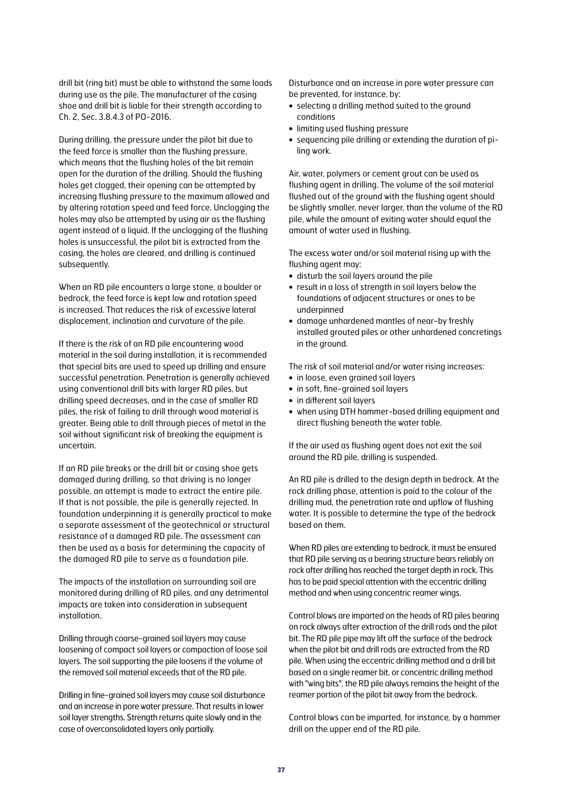drill bit (ring bit) must be able to withstand the same loads during use as the pile. The manufacturer of the casing shoe and drill bit is liable for their strength according to Ch. 2, Sec. 3.8.4.3 of PO-2016.

During drilling, the pressure under the pilot bit due to the feed force is smaller than the flushing pressure, which means that the flushing holes of the bit remain open for the duration of the drilling. Should the flushing holes get clogged, their opening can be attempted by increasing flushing pressure to the maximum allowed and by altering rotation speed and feed force. Unclogging the holes may also be attempted by using air as the flushing agent instead of a liquid. If the unclogging of the flushing holes is unsuccessful, the pilot bit is extracted from the casing, the holes are cleared, and drilling is continued subsequently.

When an RD pile encounters a large stone, a boulder or bedrock, the feed force is kept low and rotation speed is increased. That reduces the risk of excessive lateral displacement, inclination and curvature of the pile.

If there is the risk of an RD pile encountering wood material in the soil during installation, it is recommended that special bits are used to speed up drilling and ensure successful penetration. Penetration is generally achieved using conventional drill bits with larger RD piles, but drilling speed decreases, and in the case of smaller RD piles, the risk of failing to drill through wood material is greater. Being able to drill through pieces of metal in the soil without significant risk of breaking the equipment is uncertain.

If an RD pile breaks or the drill bit or casing shoe gets damaged during drilling, so that driving is no longer possible, an attempt is made to extract the entire pile. If that is not possible, the pile is generally rejected. In foundation underpinning it is generally practical to make a separate assessment of the geotechnical or structural resistance of a damaged RD pile. The assessment can then be used as a basis for determining the capacity of the damaged RD pile to serve as a foundation pile.

The impacts of the installation on surrounding soil are monitored during drilling of RD piles, and any detrimental impacts are taken into consideration in subsequent installation.

Drilling through coarse-grained soil layers may cause loosening of compact soil layers or compaction of loose soil layers. The soil supporting the pile loosens if the volume of the removed soil material exceeds that of the RD pile.

Drilling in fine-grained soil layers may cause soil disturbance and an increase in pore water pressure. That results in lower soil layer strengths. Strength returns quite slowly and in the case of overconsolidated layers only partially.

Disturbance and an increase in pore water pressure can be prevented, for instance, by:

- **•** selecting a drilling method suited to the ground conditions
- **•** limiting used flushing pressure
- **•** sequencing pile drilling or extending the duration of piling work.

Air, water, polymers or cement grout can be used as flushing agent in drilling. The volume of the soil material flushed out of the ground with the flushing agent should be slightly smaller, never larger, than the volume of the RD pile, while the amount of exiting water should equal the amount of water used in flushing.

The excess water and/or soil material rising up with the flushing agent may:

- **•** disturb the soil layers around the pile
- **•** result in a loss of strength in soil layers below the foundations of adjacent structures or ones to be underpinned
- **•** damage unhardened mantles of near-by freshly installed grouted piles or other unhardened concretings in the ground.

The risk of soil material and/or water rising increases:

- **•** in loose, even grained soil layers
- **•** in soft, fine-grained soil layers
- **•** in different soil layers
- **•** when using DTH hammer-based drilling equipment and direct flushing beneath the water table.

If the air used as flushing agent does not exit the soil around the RD pile, drilling is suspended.

An RD pile is drilled to the design depth in bedrock. At the rock drilling phase, attention is paid to the colour of the drilling mud, the penetration rate and upflow of flushing water. It is possible to determine the type of the bedrock based on them.

When RD piles are extending to bedrock, it must be ensured that RD pile serving as a bearing structure bears reliably on rock after drilling has reached the target depth in rock. This has to be paid special attention with the eccentric drilling method and when using concentric reamer wings.

Control blows are imparted on the heads of RD piles bearing on rock always after extraction of the drill rods and the pilot bit. The RD pile pipe may lift off the surface of the bedrock when the pilot bit and drill rods are extracted from the RD pile. When using the eccentric drilling method and a drill bit based on a single reamer bit, or concentric drilling method with "wing bits", the RD pile always remains the height of the reamer portion of the pilot bit away from the bedrock.

Control blows can be imparted, for instance, by a hammer drill on the upper end of the RD pile.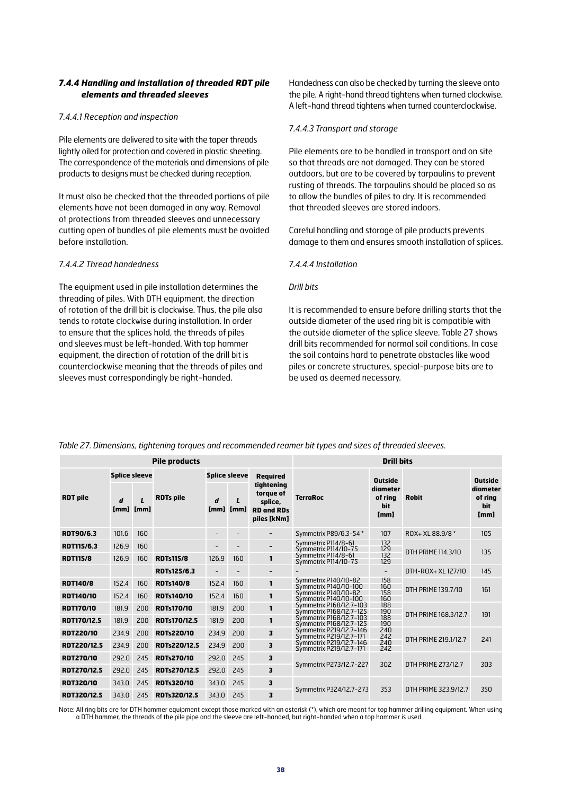#### *7.4.4 Handling and installation of threaded RDT pile elements and threaded sleeves*

#### *7.4.4.1 Reception and inspection*

Pile elements are delivered to site with the taper threads lightly oiled for protection and covered in plastic sheeting. The correspondence of the materials and dimensions of pile products to designs must be checked during reception.

It must also be checked that the threaded portions of pile elements have not been damaged in any way. Removal of protections from threaded sleeves and unnecessary cutting open of bundles of pile elements must be avoided before installation.

#### *7.4.4.2 Thread handedness*

The equipment used in pile installation determines the threading of piles. With DTH equipment, the direction of rotation of the drill bit is clockwise. Thus, the pile also tends to rotate clockwise during installation. In order to ensure that the splices hold, the threads of piles and sleeves must be left-handed. With top hammer equipment, the direction of rotation of the drill bit is counterclockwise meaning that the threads of piles and sleeves must correspondingly be right-handed.

Handedness can also be checked by turning the sleeve onto the pile. A right-hand thread tightens when turned clockwise. A left-hand thread tightens when turned counterclockwise.

#### *7.4.4.3 Transport and storage*

Pile elements are to be handled in transport and on site so that threads are not damaged. They can be stored outdoors, but are to be covered by tarpaulins to prevent rusting of threads. The tarpaulins should be placed so as to allow the bundles of piles to dry. It is recommended that threaded sleeves are stored indoors.

Careful handling and storage of pile products prevents damage to them and ensures smooth installation of splices.

#### *7.4.4.4 Installation*

#### *Drill bits*

It is recommended to ensure before drilling starts that the outside diameter of the used ring bit is compatible with the outside diameter of the splice sleeve. Table 27 shows drill bits recommended for normal soil conditions. In case the soil contains hard to penetrate obstacles like wood piles or concrete structures, special-purpose bits are to be used as deemed necessary.

| <b>Pile products</b> |           |                      |                     |                      |                      | <b>Drill bits</b>                                                      |                                                    |                                    |                      |                                    |
|----------------------|-----------|----------------------|---------------------|----------------------|----------------------|------------------------------------------------------------------------|----------------------------------------------------|------------------------------------|----------------------|------------------------------------|
|                      |           | <b>Splice sleeve</b> |                     | <b>Splice sleeve</b> |                      | <b>Required</b>                                                        |                                                    | <b>Outside</b>                     |                      | <b>Outside</b>                     |
| <b>RDT</b> pile      | d<br>[mm] | [mm]                 | <b>RDTs pile</b>    | d<br>[mm]            | $\mathbf{L}$<br>[mm] | tightening<br>torque of<br>splice.<br><b>RD and RDs</b><br>piles [kNm] | <b>TerraRoc</b>                                    | diameter<br>of ring<br>bit<br>[mm] | <b>Robit</b>         | diameter<br>of ring<br>bit<br>[mm] |
| RDT90/6.3            | 101.6     | 160                  |                     |                      |                      | $\hbox{\small -}$                                                      | Symmetrix P89/6.3-54 *                             | 107                                | ROX+ XL 88.9/8 *     | 105                                |
| <b>RDT115/6.3</b>    | 126.9     | 160                  |                     |                      |                      | $\hbox{\small -}$                                                      | Symmetrix P114/8-61<br>Symmetrix P114/10-75        | 132<br>129                         | DTH PRIME 114.3/10   | 135                                |
| <b>RDT115/8</b>      | 126.9     | 160                  | <b>RDTs115/8</b>    | 126.9                | 160                  | 1                                                                      | Symmetrix P114/8-61<br>Symmetrix P114/10-75        | 132<br>129                         |                      |                                    |
|                      |           |                      | <b>RDTs125/6.3</b>  |                      |                      | $\hbox{\small -}$                                                      |                                                    | $\overline{\phantom{a}}$           | DTH-ROX+ XL 127/10   | 145                                |
| <b>RDT140/8</b>      | 152.4     | 160                  | <b>RDTs140/8</b>    | 152.4                | 160                  | 1                                                                      | Symmetrix P140/10-82<br>Symmetrix P140/10-100      | 158<br>160                         | DTH PRIME 139.7/10   | 161                                |
| <b>RDT140/10</b>     | 152.4     | 160                  | <b>RDTs140/10</b>   | 152.4                | 160                  | 1                                                                      | Symmetrix P140/10-82<br>Symmetrix P140/10-100      | 158<br>160                         |                      |                                    |
| <b>RDT170/10</b>     | 181.9     | 200                  | <b>RDTs170/10</b>   | 181.9                | 200                  | 1                                                                      | Symmetrix P168/12.7-103<br>Symmetrix P168/12.7-125 | 188<br>190                         | DTH PRIME 168.3/12.7 | 191                                |
| RDT170/12.5          | 181.9     | 200                  | RDTs170/12.5        | 181.9                | 200                  | $\mathbf{1}$                                                           | Symmetrix P168/12.7-103<br>Symmetrix P168/12.7-125 | 188<br>190                         |                      |                                    |
| <b>RDT220/10</b>     | 234.9     | 200                  | <b>RDTs220/10</b>   | 234.9                | 200                  | 3                                                                      | Symmetrix P219/12.7-146<br>Symmetrix P219/12.7-171 | 240<br>242                         | DTH PRIME 219.1/12.7 | 241                                |
| <b>RDT220/12.5</b>   | 234.9     | 200                  | <b>RDTs220/12.5</b> | 234.9                | 200                  | 3                                                                      | Symmetrix P219/12.7-146<br>Symmetrix P219/12.7-171 | 240<br>242                         |                      |                                    |
| <b>RDT270/10</b>     | 292.0     | 245                  | <b>RDTs270/10</b>   | 292.0                | 245                  | 3                                                                      |                                                    | 302                                |                      |                                    |
| <b>RDT270/12.5</b>   | 292.0     | 245                  | RDTs270/12.5        | 292.0                | 245                  | 3                                                                      | Symmetrix P273/12.7-227                            |                                    | DTH PRIME 273/12.7   | 303                                |
| <b>RDT320/10</b>     | 343.0     | 245                  | <b>RDTs320/10</b>   | 343.0                | 245                  | 3                                                                      | Symmetrix P324/12.7-273                            | 353                                | DTH PRIME 323.9/12.7 |                                    |
| RDT320/12.5          | 343.0     | 245                  | RDTs320/12.5        | 343.0                | 245                  | 3                                                                      |                                                    |                                    |                      | 350                                |

*Table 27. Dimensions, tightening torques and recommended reamer bit types and sizes of threaded sleeves.*

Note: All ring bits are for DTH hammer equipment except those marked with an asterisk (\*), which are meant for top hammer drilling equipment. When using a DTH hammer, the threads of the pile pipe and the sleeve are left-handed, but right-handed when a top hammer is used.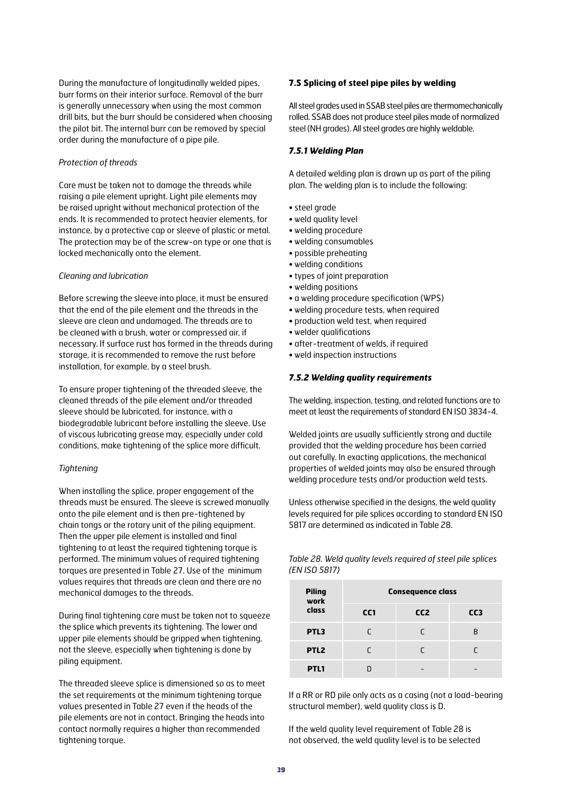During the manufacture of longitudinally welded pipes, burr forms on their interior surface. Removal of the burr is generally unnecessary when using the most common drill bits, but the burr should be considered when choosing the pilot bit. The internal burr can be removed by special order during the manufacture of a pipe pile.

#### *Protection of threads*

Care must be taken not to damage the threads while raising a pile element upright. Light pile elements may be raised upright without mechanical protection of the ends. It is recommended to protect heavier elements, for instance, by a protective cap or sleeve of plastic or metal. The protection may be of the screw-on type or one that is locked mechanically onto the element.

#### *Cleaning and lubrication*

Before screwing the sleeve into place, it must be ensured that the end of the pile element and the threads in the sleeve are clean and undamaged. The threads are to be cleaned with a brush, water or compressed air, if necessary. If surface rust has formed in the threads during storage, it is recommended to remove the rust before installation, for example, by a steel brush.

To ensure proper tightening of the threaded sleeve, the cleaned threads of the pile element and/or threaded sleeve should be lubricated, for instance, with a biodegradable lubricant before installing the sleeve. Use of viscous lubricating grease may, especially under cold conditions, make tightening of the splice more difficult.

#### *Tightening*

When installing the splice, proper engagement of the threads must be ensured. The sleeve is screwed manually onto the pile element and is then pre-tightened by chain tongs or the rotary unit of the piling equipment. Then the upper pile element is installed and final tightening to at least the required tightening torque is performed. The minimum values of required tightening torques are presented in Table 27. Use of the minimum values requires that threads are clean and there are no mechanical damages to the threads.

During final tightening care must be taken not to squeeze the splice which prevents its tightening. The lower and upper pile elements should be gripped when tightening, not the sleeve, especially when tightening is done by piling equipment.

The threaded sleeve splice is dimensioned so as to meet the set requirements at the minimum tightening torque values presented in Table 27 even if the heads of the pile elements are not in contact. Bringing the heads into contact normally requires a higher than recommended tightening torque.

#### **7.5 Splicing of steel pipe piles by welding**

All steel grades used in SSAB steel piles are thermomechanically rolled. SSAB does not produce steel piles made of normalized steel (NH grades). All steel grades are highly weldable.

#### *7.5.1 Welding Plan*

A detailed welding plan is drawn up as part of the piling plan. The welding plan is to include the following:

- steel grade
- weld quality level
- welding procedure
- welding consumables
- possible preheating
- welding conditions
- types of joint preparation
- welding positions
- a welding procedure specification (WPS)
- welding procedure tests, when required
- production weld test, when required
- welder qualifications
- after-treatment of welds, if required
- weld inspection instructions

#### *7.5.2 Welding quality requirements*

The welding, inspection, testing, and related functions are to meet at least the requirements of standard EN ISO 3834-4.

Welded joints are usually sufficiently strong and ductile provided that the welding procedure has been carried out carefully. In exacting applications, the mechanical properties of welded joints may also be ensured through welding procedure tests and/or production weld tests.

Unless otherwise specified in the designs, the weld quality levels required for pile splices according to standard EN ISO 5817 are determined as indicated in Table 28.

*Table 28. Weld quality levels required of steel pile splices (EN ISO 5817)*

| <b>Piling</b><br>work | <b>Consequence class</b> |                 |                 |  |  |  |  |  |  |
|-----------------------|--------------------------|-----------------|-----------------|--|--|--|--|--|--|
| class                 | CC <sub>1</sub>          | CC <sub>2</sub> | CC <sub>3</sub> |  |  |  |  |  |  |
| PTL3                  | r                        | r               | R               |  |  |  |  |  |  |
| PTL <sub>2</sub>      | r                        |                 | r               |  |  |  |  |  |  |
| PTL1                  |                          |                 |                 |  |  |  |  |  |  |

If a RR or RD pile only acts as a casing (not a load-bearing structural member), weld quality class is D.

If the weld quality level requirement of Table 28 is not observed, the weld quality level is to be selected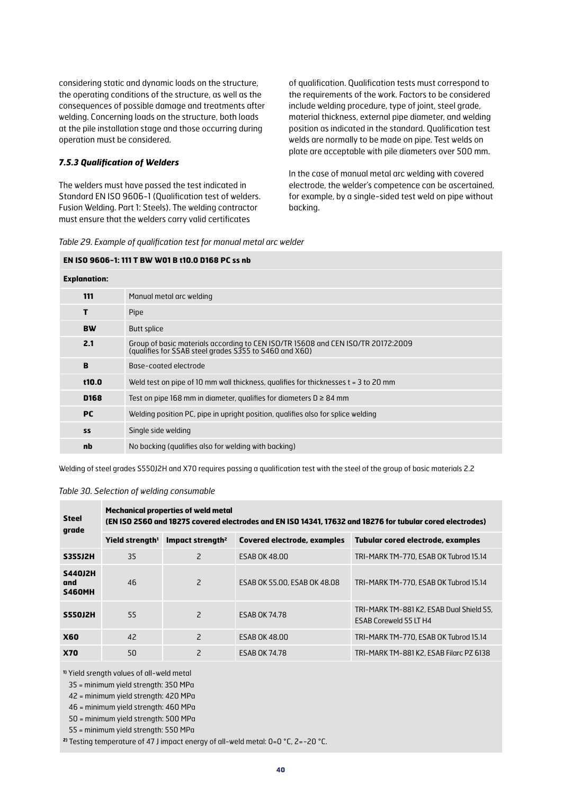considering static and dynamic loads on the structure, the operating conditions of the structure, as well as the consequences of possible damage and treatments after welding. Concerning loads on the structure, both loads at the pile installation stage and those occurring during operation must be considered.

#### *7.5.3 Qualification of Welders*

The welders must have passed the test indicated in Standard EN ISO 9606-1 (Qualification test of welders. Fusion Welding. Part 1: Steels). The welding contractor must ensure that the welders carry valid certificates

of qualification. Qualification tests must correspond to the requirements of the work. Factors to be considered include welding procedure, type of joint, steel grade, material thickness, external pipe diameter, and welding position as indicated in the standard. Qualification test welds are normally to be made on pipe. Test welds on plate are acceptable with pile diameters over 500 mm.

In the case of manual metal arc welding with covered electrode, the welder's competence can be ascertained, for example, by a single-sided test weld on pipe without backing.

|  |  |  |  |  | Table 29. Example of qualification test for manual metal arc welder |
|--|--|--|--|--|---------------------------------------------------------------------|
|--|--|--|--|--|---------------------------------------------------------------------|

#### **EN ISO 9606-1: 111 T BW W01 B t10.0 D168 PC ss nb**

| <b>Explanation:</b> |                                                                                                                                            |
|---------------------|--------------------------------------------------------------------------------------------------------------------------------------------|
| 111                 | Manual metal arc welding                                                                                                                   |
| т                   | Pipe                                                                                                                                       |
| <b>BW</b>           | <b>Butt splice</b>                                                                                                                         |
| 2.1                 | Group of basic materials according to CEN ISO/TR 15608 and CEN ISO/TR 20172:2009<br>(qualifies for SSAB steel grades S355 to S460 and X60) |
| B                   | Base-coated electrode                                                                                                                      |
| t10.0               | Weld test on pipe of 10 mm wall thickness, qualifies for thicknesses $t = 3$ to 20 mm                                                      |
| D <sub>168</sub>    | Test on pipe 168 mm in diameter, qualifies for diameters $D \ge 84$ mm                                                                     |
| <b>PC</b>           | Welding position PC, pipe in upright position, qualifies also for splice welding                                                           |
| <b>SS</b>           | Single side welding                                                                                                                        |
| nb                  | No backing (qualifies also for welding with backing)                                                                                       |

Welding of steel grades S550J2H and X70 requires passing a qualification test with the steel of the group of basic materials 2.2

#### *Table 30. Selection of welding consumable*

| <b>Steel</b><br>grade                  | <b>Mechanical properties of weld metal</b><br>(EN ISO 2560 and 18275 covered electrodes and EN ISO 14341, 17632 and 18276 for tubular cored electrodes) |                              |                              |                                                                           |  |  |  |  |  |  |
|----------------------------------------|---------------------------------------------------------------------------------------------------------------------------------------------------------|------------------------------|------------------------------|---------------------------------------------------------------------------|--|--|--|--|--|--|
|                                        | Yield strength <sup>1</sup>                                                                                                                             | Impact strength <sup>2</sup> | Covered electrode, examples  | Tubular cored electrode, examples                                         |  |  |  |  |  |  |
| <b>S355J2H</b>                         | 35                                                                                                                                                      | $\overline{2}$               | <b>ESAB OK 48.00</b>         | TRI-MARK TM-770, ESAB OK Tubrod 15.14                                     |  |  |  |  |  |  |
| <b>S440J2H</b><br>and<br><b>S460MH</b> | 46                                                                                                                                                      | $\overline{c}$               | ESAB OK 55.00, ESAB OK 48.08 | TRI-MARK TM-770, ESAB OK Tubrod 15.14                                     |  |  |  |  |  |  |
| <b>S550J2H</b>                         | 55                                                                                                                                                      | $\overline{2}$               | <b>ESAB OK 74.78</b>         | TRI-MARK TM-881 K2, ESAB Dual Shield 55,<br><b>ESAB Coreweld 55 LT H4</b> |  |  |  |  |  |  |
| <b>X60</b>                             | 42                                                                                                                                                      | 2                            | <b>ESAB OK 48.00</b>         | TRI-MARK TM-770, ESAB OK Tubrod 15.14                                     |  |  |  |  |  |  |
| <b>X70</b>                             | 50                                                                                                                                                      | 2                            | <b>ESAB OK 74.78</b>         | TRI-MARK TM-881 K2, ESAB Filarc PZ 6138                                   |  |  |  |  |  |  |

**1)** Yield srength values of all-weld metal

35 = minimum yield strength: 350 MPa

42 = minimum yield strength: 420 MPa

46 = minimum yield strength: 460 MPa

50 = minimum yield strength: 500 MPa

55 = minimum yield strength: 550 MPa

**2)** Testing temperature of 47 J impact energy of all-weld metal: 0=0 °C, 2=-20 °C.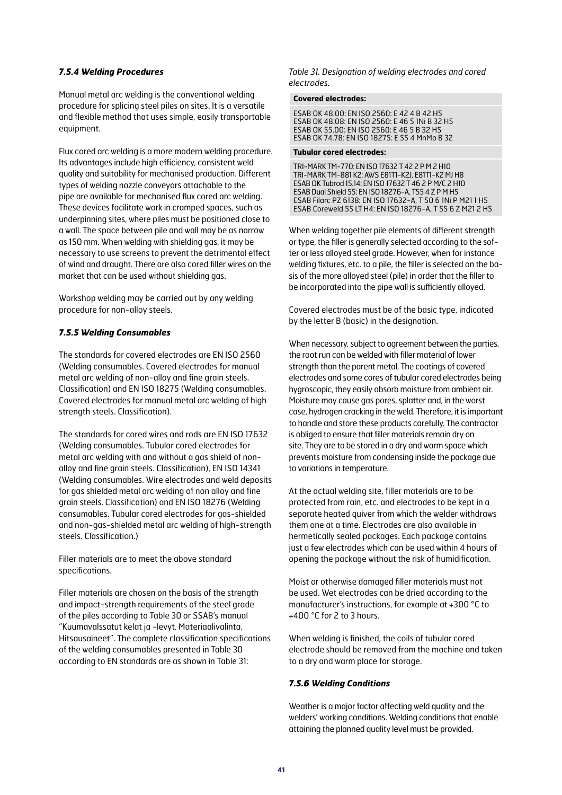#### *7.5.4 Welding Procedures*

Manual metal arc welding is the conventional welding procedure for splicing steel piles on sites. It is a versatile and flexible method that uses simple, easily transportable equipment.

Flux cored arc welding is a more modern welding procedure. Its advantages include high efficiency, consistent weld quality and suitability for mechanised production. Different types of welding nozzle conveyors attachable to the pipe are available for mechanised flux cored arc welding. These devices facilitate work in cramped spaces, such as underpinning sites, where piles must be positioned close to a wall. The space between pile and wall may be as narrow as 150 mm. When welding with shielding gas, it may be necessary to use screens to prevent the detrimental effect of wind and draught. There are also cored filler wires on the market that can be used without shielding gas.

Workshop welding may be carried out by any welding procedure for non-alloy steels.

#### *7.5.5 Welding Consumables*

The standards for covered electrodes are EN ISO 2560 (Welding consumables. Covered electrodes for manual metal arc welding of non-alloy and fine grain steels. Classification) and EN ISO 18275 (Welding consumables. Covered electrodes for manual metal arc welding of high strength steels. Classification).

The standards for cored wires and rods are EN ISO 17632 (Welding consumables. Tubular cored electrodes for metal arc welding with and without a gas shield of nonalloy and fine grain steels. Classification), EN ISO 14341 (Welding consumables. Wire electrodes and weld deposits for gas shielded metal arc welding of non alloy and fine grain steels. Classification) and EN ISO 18276 (Welding consumables. Tubular cored electrodes for gas-shielded and non-gas-shielded metal arc welding of high-strength steels. Classification.)

Filler materials are to meet the above standard specifications.

Filler materials are chosen on the basis of the strength and impact-strength requirements of the steel grade of the piles according to Table 30 or SSAB's manual "Kuumavalssatut kelat ja -levyt, Materiaalivalinta, Hitsausaineet". The complete classification specifications of the welding consumables presented in Table 30 according to EN standards are as shown in Table 31:

*Table 31. Designation of welding electrodes and cored electrodes.*

#### **Covered electrodes:**

ESAB OK 48.00: EN ISO 2560: E 42 4 B 42 H5 ESAB OK 48.08: EN ISO 2560: E 46 5 1Ni B 32 H5 ESAB OK 55.00: EN ISO 2560: E 46 5 B 32 H5 ESAB OK 74.78: EN ISO 18275: E 55 4 MnMo B 32

#### **Tubular cored electrodes:**

TRI-MARK TM-770: EN ISO 17632 T 42 2 P M 2 H10 TRI-MARK TM-881 K2: AWS E81T1-K2J, E81T1-K2 MJ H8 ESAB OK Tubrod 15.14: EN ISO 17632 T 46 2 P M/C 2 H10 ESAB Dual Shield 55: EN ISO 18276-A, T55 4 Z P M H5 ESAB Filarc PZ 6138: EN ISO 17632-A, T 50 6 1Ni P M21 1 H5 ESAB Coreweld 55 LT H4: EN ISO 18276-A, T 55 6 Z M21 2 H5

When welding together pile elements of different strength or type, the filler is generally selected according to the softer or less alloyed steel grade. However, when for instance welding fixtures, etc. to a pile, the filler is selected on the basis of the more alloyed steel (pile) in order that the filler to be incorporated into the pipe wall is sufficiently alloyed.

Covered electrodes must be of the basic type, indicated by the letter B (basic) in the designation.

When necessary, subject to agreement between the parties, the root run can be welded with filler material of lower strength than the parent metal. The coatings of covered electrodes and some cores of tubular cored electrodes being hygroscopic, they easily absorb moisture from ambient air. Moisture may cause gas pores, splatter and, in the worst case, hydrogen cracking in the weld. Therefore, it is important to handle and store these products carefully. The contractor is obliged to ensure that filler materials remain dry on site. They are to be stored in a dry and warm space which prevents moisture from condensing inside the package due to variations in temperature.

At the actual welding site, filler materials are to be protected from rain, etc. and electrodes to be kept in a separate heated quiver from which the welder withdraws them one at a time. Electrodes are also available in hermetically sealed packages. Each package contains just a few electrodes which can be used within 4 hours of opening the package without the risk of humidification.

Moist or otherwise damaged filler materials must not be used. Wet electrodes can be dried according to the manufacturer's instructions, for example at +300 °C to +400 °C for 2 to 3 hours.

When welding is finished, the coils of tubular cored electrode should be removed from the machine and taken to a dry and warm place for storage.

#### *7.5.6 Welding Conditions*

Weather is a major factor affecting weld quality and the welders' working conditions. Welding conditions that enable attaining the planned quality level must be provided.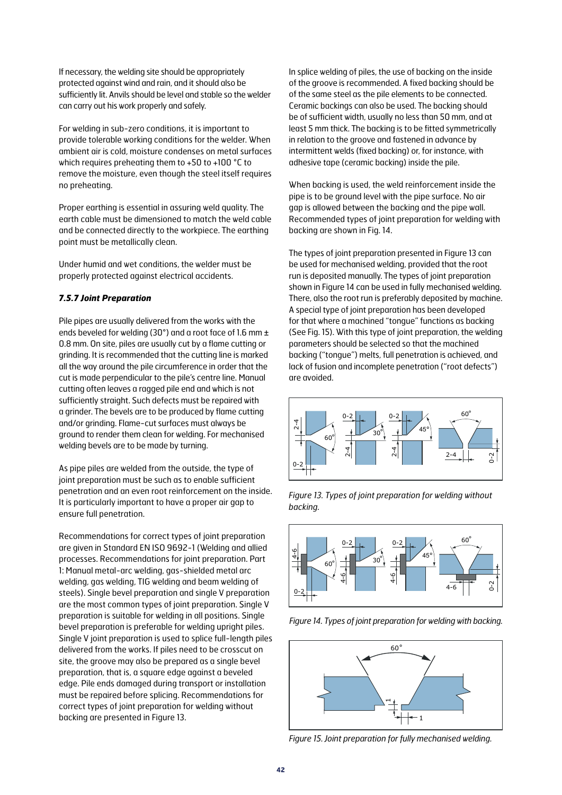If necessary, the welding site should be appropriately protected against wind and rain, and it should also be sufficiently lit. Anvils should be level and stable so the welder can carry out his work properly and safely.

For welding in sub-zero conditions, it is important to provide tolerable working conditions for the welder. When ambient air is cold, moisture condenses on metal surfaces which requires preheating them to +50 to +100 °C to remove the moisture, even though the steel itself requires no preheating.

Proper earthing is essential in assuring weld quality. The earth cable must be dimensioned to match the weld cable and be connected directly to the workpiece. The earthing point must be metallically clean.

Under humid and wet conditions, the welder must be properly protected against electrical accidents.

#### *7.5.7 Joint Preparation*

Pile pipes are usually delivered from the works with the ends beveled for welding (30°) and a root face of 1.6 mm ± 0.8 mm. On site, piles are usually cut by a flame cutting or grinding. It is recommended that the cutting line is marked all the way around the pile circumference in order that the cut is made perpendicular to the pile's centre line. Manual cutting often leaves a ragged pile end and which is not sufficiently straight. Such defects must be repaired with a grinder. The bevels are to be produced by flame cutting and/or grinding. Flame-cut surfaces must always be ground to render them clean for welding. For mechanised welding bevels are to be made by turning.

As pipe piles are welded from the outside, the type of joint preparation must be such as to enable sufficient penetration and an even root reinforcement on the inside. It is particularly important to have a proper air gap to ensure full penetration.

Recommendations for correct types of joint preparation are given in Standard EN ISO 9692-1 (Welding and allied processes. Recommendations for joint preparation. Part 1: Manual metal-arc welding, gas-shielded metal arc welding, gas welding, TIG welding and beam welding of steels). Single bevel preparation and single V preparation are the most common types of joint preparation. Single V preparation is suitable for welding in all positions. Single bevel preparation is preferable for welding upright piles. Single V joint preparation is used to splice full-length piles delivered from the works. If piles need to be crosscut on site, the groove may also be prepared as a single bevel preparation, that is, a square edge against a beveled edge. Pile ends damaged during transport or installation must be repaired before splicing. Recommendations for correct types of joint preparation for welding without backing are presented in Figure 13.

In splice welding of piles, the use of backing on the inside of the groove is recommended. A fixed backing should be of the same steel as the pile elements to be connected. Ceramic backings can also be used. The backing should be of sufficient width, usually no less than 50 mm, and at least 5 mm thick. The backing is to be fitted symmetrically in relation to the groove and fastened in advance by intermittent welds (fixed backing) or, for instance, with adhesive tape (ceramic backing) inside the pile.

When backing is used, the weld reinforcement inside the pipe is to be ground level with the pipe surface. No air gap is allowed between the backing and the pipe wall. Recommended types of joint preparation for welding with backing are shown in Fig. 14.

The types of joint preparation presented in Figure 13 can be used for mechanised welding, provided that the root run is deposited manually. The types of joint preparation shown in Figure 14 can be used in fully mechanised welding. There, also the root run is preferably deposited by machine. A special type of joint preparation has been developed for that where a machined "tongue" functions as backing (See Fig. 15). With this type of joint preparation, the welding parameters should be selected so that the machined backing ("tongue") melts, full penetration is achieved, and lack of fusion and incomplete penetration ("root defects") are avoided.







*Figure 14. Types of joint preparation for welding with backing.*



*Figure 15. Joint preparation for fully mechanised welding.*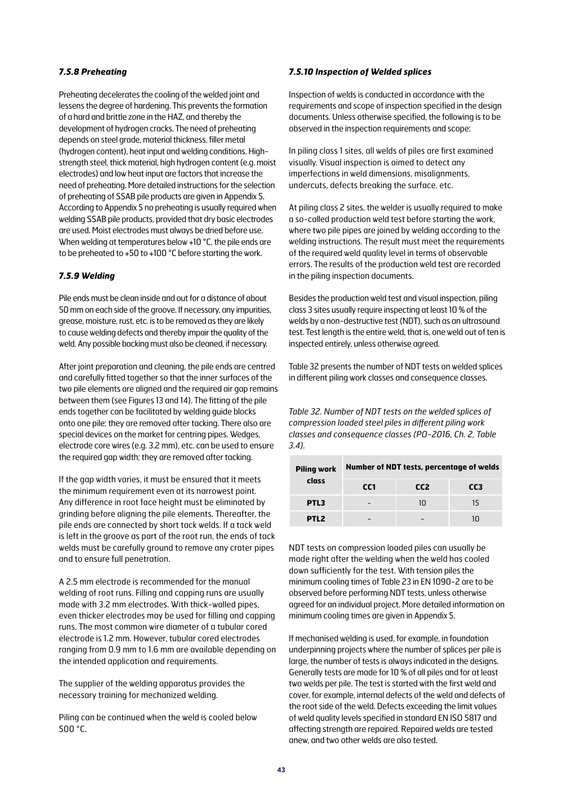#### *7.5.8 Preheating*

Preheating decelerates the cooling of the welded joint and lessens the degree of hardening. This prevents the formation of a hard and brittle zone in the HAZ, and thereby the development of hydrogen cracks. The need of preheating depends on steel grade, material thickness, filler metal (hydrogen content), heat input and welding conditions. Highstrength steel, thick material, high hydrogen content (e.g. moist electrodes) and low heat input are factors that increase the need of preheating. More detailed instructions for the selection of preheating of SSAB pile products are given in Appendix 5. According to Appendix 5 no preheating is usually required when welding SSAB pile products, provided that dry basic electrodes are used. Moist electrodes must always be dried before use. When welding at temperatures below +10 °C, the pile ends are to be preheated to +50 to +100 °C before starting the work.

#### *7.5.9 Welding*

Pile ends must be clean inside and out for a distance of about 50 mm on each side of the groove. If necessary, any impurities, grease, moisture, rust, etc. is to be removed as they are likely to cause welding defects and thereby impair the quality of the weld. Any possible backing must also be cleaned, if necessary.

After joint preparation and cleaning, the pile ends are centred and carefully fitted together so that the inner surfaces of the two pile elements are aligned and the required air gap remains between them (see Figures 13 and 14). The fitting of the pile ends together can be facilitated by welding guide blocks onto one pile; they are removed after tacking. There also are special devices on the market for centring pipes. Wedges, electrode core wires (e.g. 3.2 mm), etc. can be used to ensure the required gap width; they are removed after tacking.

If the gap width varies, it must be ensured that it meets the minimum requirement even at its narrowest point. Any difference in root face height must be eliminated by grinding before aligning the pile elements. Thereafter, the pile ends are connected by short tack welds. If a tack weld is left in the groove as part of the root run, the ends of tack welds must be carefully ground to remove any crater pipes and to ensure full penetration.

A 2.5 mm electrode is recommended for the manual welding of root runs. Filling and capping runs are usually made with 3.2 mm electrodes. With thick-walled pipes, even thicker electrodes may be used for filling and capping runs. The most common wire diameter of a tubular cored electrode is 1.2 mm. However, tubular cored electrodes ranging from 0.9 mm to 1.6 mm are available depending on the intended application and requirements.

The supplier of the welding apparatus provides the necessary training for mechanized welding.

Piling can be continued when the weld is cooled below 500 °C.

#### *7.5.10 Inspection of Welded splices*

Inspection of welds is conducted in accordance with the requirements and scope of inspection specified in the design documents. Unless otherwise specified, the following is to be observed in the inspection requirements and scope:

In piling class 1 sites, all welds of piles are first examined visually. Visual inspection is aimed to detect any imperfections in weld dimensions, misalignments, undercuts, defects breaking the surface, etc.

At piling class 2 sites, the welder is usually required to make a so-called production weld test before starting the work, where two pile pipes are joined by welding according to the welding instructions. The result must meet the requirements of the required weld quality level in terms of observable errors. The results of the production weld test are recorded in the piling inspection documents.

Besides the production weld test and visual inspection, piling class 3 sites usually require inspecting at least 10 % of the welds by a non-destructive test (NDT), such as an ultrasound test. Test length is the entire weld, that is, one weld out of ten is inspected entirely, unless otherwise agreed.

Table 32 presents the number of NDT tests on welded splices in different piling work classes and consequence classes.

*Table 32. Number of NDT tests on the welded splices of compression loaded steel piles in different piling work classes and consequence classes (PO-2016, Ch. 2, Table 3.4).*

| <b>Piling work</b> | <b>Number of NDT tests, percentage of welds</b> |                 |                 |  |  |  |  |  |
|--------------------|-------------------------------------------------|-----------------|-----------------|--|--|--|--|--|
| class              | CC <sub>1</sub>                                 | CC <sub>2</sub> | CC <sub>3</sub> |  |  |  |  |  |
| PTL <sub>3</sub>   |                                                 | 1Π              | 15              |  |  |  |  |  |
| PTL <sub>2</sub>   |                                                 |                 |                 |  |  |  |  |  |

NDT tests on compression loaded piles can usually be made right after the welding when the weld has cooled down sufficiently for the test. With tension piles the minimum cooling times of Table 23 in EN 1090-2 are to be observed before performing NDT tests, unless otherwise agreed for an individual project. More detailed information on minimum cooling times are given in Appendix 5.

If mechanised welding is used, for example, in foundation underpinning projects where the number of splices per pile is large, the number of tests is always indicated in the designs. Generally tests are made for 10 % of all piles and for at least two welds per pile. The test is started with the first weld and cover, for example, internal defects of the weld and defects of the root side of the weld. Defects exceeding the limit values of weld quality levels specified in standard EN ISO 5817 and affecting strength are repaired. Repaired welds are tested anew, and two other welds are also tested.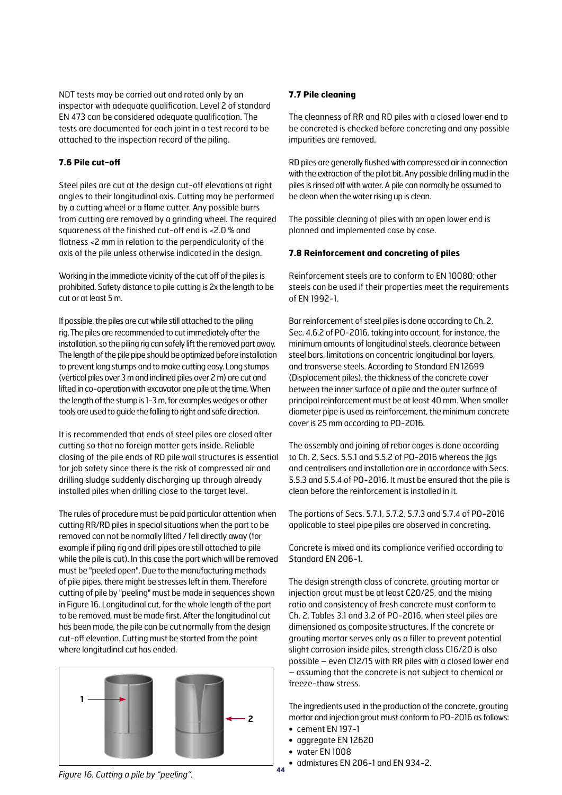NDT tests may be carried out and rated only by an inspector with adequate qualification. Level 2 of standard EN 473 can be considered adequate qualification. The tests are documented for each joint in a test record to be attached to the inspection record of the piling.

#### **7.6 Pile cut-off**

Steel piles are cut at the design cut-off elevations at right angles to their longitudinal axis. Cutting may be performed by a cutting wheel or a flame cutter. Any possible burrs from cutting are removed by a grinding wheel. The required squareness of the finished cut-off end is <2.0 % and flatness <2 mm in relation to the perpendicularity of the axis of the pile unless otherwise indicated in the design.

Working in the immediate vicinity of the cut off of the piles is prohibited. Safety distance to pile cutting is 2x the length to be cut or at least 5 m.

If possible, the piles are cut while still attached to the piling rig. The piles are recommended to cut immediately after the installation, so the piling rig can safely lift the removed part away. The length of the pile pipe should be optimized before installation to prevent long stumps and to make cutting easy. Long stumps (vertical piles over 3 m and inclined piles over 2 m) are cut and lifted in co-operation with excavator one pile at the time. When the length of the stump is 1-3 m, for examples wedges or other tools are used to guide the falling to right and safe direction.

It is recommended that ends of steel piles are closed after cutting so that no foreign matter gets inside. Reliable closing of the pile ends of RD pile wall structures is essential for job safety since there is the risk of compressed air and drilling sludge suddenly discharging up through already installed piles when drilling close to the target level.

The rules of procedure must be paid particular attention when cutting RR/RD piles in special situations when the part to be removed can not be normally lifted / fell directly away (for example if piling rig and drill pipes are still attached to pile while the pile is cut). In this case the part which will be removed must be "peeled open". Due to the manufacturing methods of pile pipes, there might be stresses left in them. Therefore cutting of pile by "peeling" must be made in sequences shown in Figure 16. Longitudinal cut, for the whole length of the part to be removed, must be made first. After the longitudinal cut has been made, the pile can be cut normally from the design cut-off elevation. Cutting must be started from the point where longitudinal cut has ended.



#### **7.7 Pile cleaning**

The cleanness of RR and RD piles with a closed lower end to be concreted is checked before concreting and any possible impurities are removed.

RD piles are generally flushed with compressed air in connection with the extraction of the pilot bit. Any possible drilling mud in the piles is rinsed off with water. A pile can normally be assumed to be clean when the water rising up is clean.

The possible cleaning of piles with an open lower end is planned and implemented case by case.

#### **7.8 Reinforcement and concreting of piles**

Reinforcement steels are to conform to EN 10080; other steels can be used if their properties meet the requirements of EN 1992-1.

Bar reinforcement of steel piles is done according to Ch. 2, Sec. 4.6.2 of PO-2016, taking into account, for instance, the minimum amounts of longitudinal steels, clearance between steel bars, limitations on concentric longitudinal bar layers, and transverse steels. According to Standard EN 12699 (Displacement piles), the thickness of the concrete cover between the inner surface of a pile and the outer surface of principal reinforcement must be at least 40 mm. When smaller diameter pipe is used as reinforcement, the minimum concrete cover is 25 mm according to PO-2016.

The assembly and joining of rebar cages is done according to Ch. 2, Secs. 5.5.1 and 5.5.2 of PO-2016 whereas the jigs and centralisers and installation are in accordance with Secs. 5.5.3 and 5.5.4 of PO-2016. It must be ensured that the pile is clean before the reinforcement is installed in it.

The portions of Secs. 5.7.1, 5.7.2, 5.7.3 and 5.7.4 of PO-2016 applicable to steel pipe piles are observed in concreting.

Concrete is mixed and its compliance verified according to Standard EN 206-1.

The design strength class of concrete, grouting mortar or injection grout must be at least C20/25, and the mixing ratio and consistency of fresh concrete must conform to Ch. 2, Tables 3.1 and 3.2 of PO-2016, when steel piles are dimensioned as composite structures. If the concrete or grouting mortar serves only as a filler to prevent potential slight corrosion inside piles, strength class C16/20 is also possible – even C12/15 with RR piles with a closed lower end – assuming that the concrete is not subject to chemical or freeze-thaw stress.

The ingredients used in the production of the concrete, grouting mortar and injection grout must conform to PO-2016 as follows: **•** cement EN 197-1

- **•** aggregate EN 12620
- **•** water EN 1008
- **•** admixtures EN 206-1 and EN 934-2.

*Figure 16. Cutting a pile by "peeling".*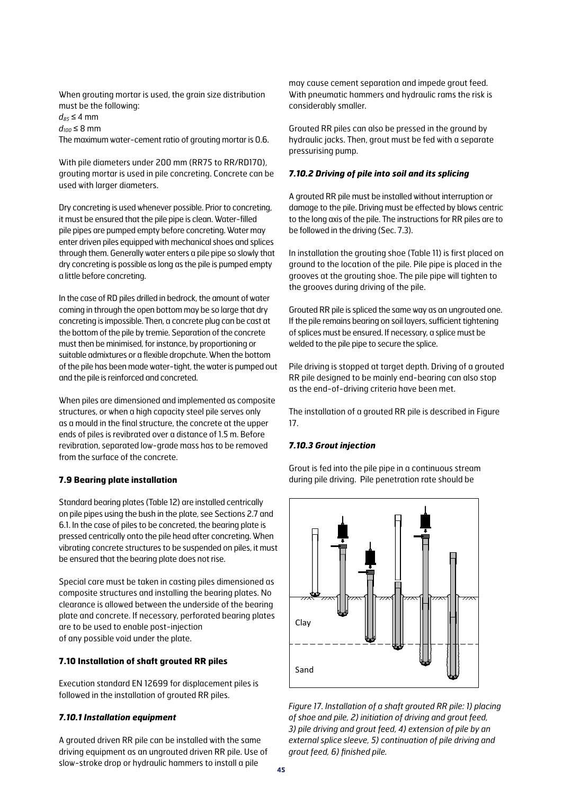When grouting mortar is used, the grain size distribution must be the following:

 $d_{85} \leq 4$  mm *d100* ≤ 8 mm

The maximum water-cement ratio of grouting mortar is 0.6.

With pile diameters under 200 mm (RR75 to RR/RD170), grouting mortar is used in pile concreting. Concrete can be used with larger diameters.

Dry concreting is used whenever possible. Prior to concreting, it must be ensured that the pile pipe is clean. Water-filled pile pipes are pumped empty before concreting. Water may enter driven piles equipped with mechanical shoes and splices through them. Generally water enters a pile pipe so slowly that dry concreting is possible as long as the pile is pumped empty a little before concreting.

In the case of RD piles drilled in bedrock, the amount of water coming in through the open bottom may be so large that dry concreting is impossible. Then, a concrete plug can be cast at the bottom of the pile by tremie. Separation of the concrete must then be minimised, for instance, by proportioning or suitable admixtures or a flexible dropchute. When the bottom of the pile has been made water-tight, the water is pumped out and the pile is reinforced and concreted.

When piles are dimensioned and implemented as composite structures, or when a high capacity steel pile serves only as a mould in the final structure, the concrete at the upper ends of piles is revibrated over a distance of 1.5 m. Before revibration, separated low-grade mass has to be removed from the surface of the concrete.

#### **7.9 Bearing plate installation**

Standard bearing plates (Table 12) are installed centrically on pile pipes using the bush in the plate, see Sections 2.7 and 6.1. In the case of piles to be concreted, the bearing plate is pressed centrically onto the pile head after concreting. When vibrating concrete structures to be suspended on piles, it must be ensured that the bearing plate does not rise.

Special care must be taken in casting piles dimensioned as composite structures and installing the bearing plates. No clearance is allowed between the underside of the bearing plate and concrete. If necessary, perforated bearing plates are to be used to enable post-injection of any possible void under the plate.

## **7.10 Installation of shaft grouted RR piles**

Execution standard EN 12699 for displacement piles is followed in the installation of grouted RR piles.

#### *7.10.1 Installation equipment*

A grouted driven RR pile can be installed with the same driving equipment as an ungrouted driven RR pile. Use of slow-stroke drop or hydraulic hammers to install a pile

may cause cement separation and impede grout feed. With pneumatic hammers and hydraulic rams the risk is considerably smaller.

Grouted RR piles can also be pressed in the ground by hydraulic jacks. Then, grout must be fed with a separate pressurising pump.

#### *7.10.2 Driving of pile into soil and its splicing*

A grouted RR pile must be installed without interruption or damage to the pile. Driving must be effected by blows centric to the long axis of the pile. The instructions for RR piles are to be followed in the driving (Sec. 7.3).

In installation the grouting shoe (Table 11) is first placed on ground to the location of the pile. Pile pipe is placed in the grooves at the grouting shoe. The pile pipe will tighten to the grooves during driving of the pile.

Grouted RR pile is spliced the same way as an ungrouted one. If the pile remains bearing on soil layers, sufficient tightening of splices must be ensured. If necessary, a splice must be welded to the pile pipe to secure the splice.

Pile driving is stopped at target depth. Driving of a grouted RR pile designed to be mainly end-bearing can also stop as the end-of-driving criteria have been met.

The installation of a grouted RR pile is described in Figure 17.

#### *7.10.3 Grout injection*

Grout is fed into the pile pipe in a continuous stream during pile driving. Pile penetration rate should be



*Figure 17. Installation of a shaft grouted RR pile: 1) placing of shoe and pile, 2) initiation of driving and grout feed, 3) pile driving and grout feed, 4) extension of pile by an external splice sleeve, 5) continuation of pile driving and grout feed, 6) finished pile.*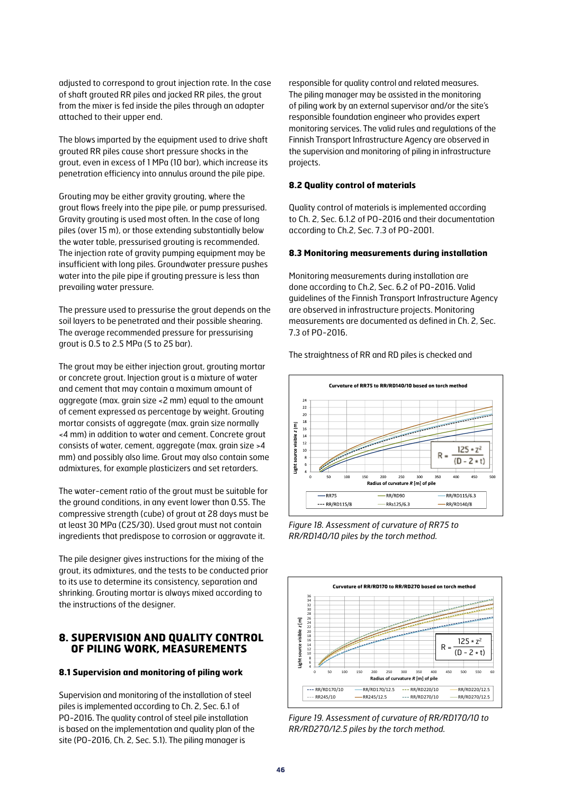adjusted to correspond to grout injection rate. In the case of shaft grouted RR piles and jacked RR piles, the grout from the mixer is fed inside the piles through an adapter attached to their upper end.

The blows imparted by the equipment used to drive shaft grouted RR piles cause short pressure shocks in the grout, even in excess of 1 MPa (10 bar), which increase its penetration efficiency into annulus around the pile pipe.

Grouting may be either gravity grouting, where the grout flows freely into the pipe pile, or pump pressurised. Gravity grouting is used most often. In the case of long piles (over 15 m), or those extending substantially below the water table, pressurised grouting is recommended. The injection rate of gravity pumping equipment may be insufficient with long piles. Groundwater pressure pushes water into the pile pipe if grouting pressure is less than prevailing water pressure.

The pressure used to pressurise the grout depends on the soil layers to be penetrated and their possible shearing. The average recommended pressure for pressurising grout is 0.5 to 2.5 MPa (5 to 25 bar).

The grout may be either injection grout, grouting mortar or concrete grout. Injection grout is a mixture of water and cement that may contain a maximum amount of aggregate (max. grain size <2 mm) equal to the amount of cement expressed as percentage by weight. Grouting mortar consists of aggregate (max. grain size normally <4 mm) in addition to water and cement. Concrete grout consists of water, cement, aggregate (max. grain size >4 mm) and possibly also lime. Grout may also contain some admixtures, for example plasticizers and set retarders.

The water-cement ratio of the grout must be suitable for the ground conditions, in any event lower than 0.55. The compressive strength (cube) of grout at 28 days must be at least 30 MPa (C25/30). Used grout must not contain ingredients that predispose to corrosion or aggravate it.

The pile designer gives instructions for the mixing of the grout, its admixtures, and the tests to be conducted prior to its use to determine its consistency, separation and shrinking. Grouting mortar is always mixed according to the instructions of the designer.

# **8. SUPERVISION AND QUALITY CONTROL OF PILING WORK, MEASUREMENTS**

#### **8.1 Supervision and monitoring of piling work**

Supervision and monitoring of the installation of steel piles is implemented according to Ch. 2, Sec. 6.1 of PO-2016. The quality control of steel pile installation is based on the implementation and quality plan of the site (PO-2016, Ch. 2, Sec. 5.1). The piling manager is

responsible for quality control and related measures. The piling manager may be assisted in the monitoring of piling work by an external supervisor and/or the site's responsible foundation engineer who provides expert monitoring services. The valid rules and regulations of the Finnish Transport Infrastructure Agency are observed in the supervision and monitoring of piling in infrastructure projects.

#### **8.2 Quality control of materials**

Quality control of materials is implemented according to Ch. 2, Sec. 6.1.2 of PO-2016 and their documentation according to Ch.2, Sec. 7.3 of PO-2001.

#### **8.3 Monitoring measurements during installation**

Monitoring measurements during installation are done according to Ch.2, Sec. 6.2 of PO-2016. Valid guidelines of the Finnish Transport Infrastructure Agency are observed in infrastructure projects. Monitoring measurements are documented as defined in Ch. 2, Sec. 7.3 of PO-2016.

The straightness of RR and RD piles is checked and



*Figure 18. Assessment of curvature of RR75 to RR/RD140/10 piles by the torch method.*



*Figure 19. Assessment of curvature of RR/RD170/10 to RR/RD270/12.5 piles by the torch method.*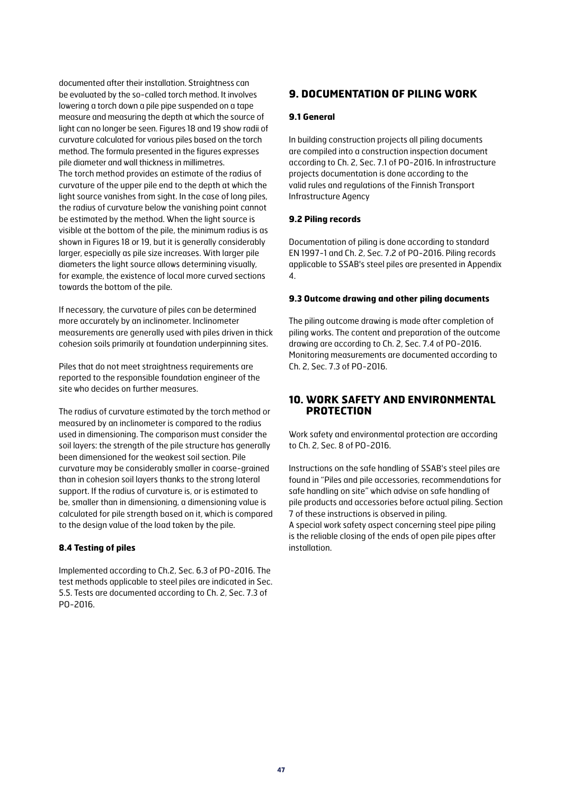documented after their installation. Straightness can be evaluated by the so-called torch method. It involves lowering a torch down a pile pipe suspended on a tape measure and measuring the depth at which the source of light can no longer be seen. Figures 18 and 19 show radii of curvature calculated for various piles based on the torch method. The formula presented in the figures expresses pile diameter and wall thickness in millimetres. The torch method provides an estimate of the radius of curvature of the upper pile end to the depth at which the light source vanishes from sight. In the case of long piles, the radius of curvature below the vanishing point cannot be estimated by the method. When the light source is visible at the bottom of the pile, the minimum radius is as shown in Figures 18 or 19, but it is generally considerably larger, especially as pile size increases. With larger pile diameters the light source allows determining visually, for example, the existence of local more curved sections towards the bottom of the pile.

If necessary, the curvature of piles can be determined more accurately by an inclinometer. Inclinometer measurements are generally used with piles driven in thick cohesion soils primarily at foundation underpinning sites.

Piles that do not meet straightness requirements are reported to the responsible foundation engineer of the site who decides on further measures.

The radius of curvature estimated by the torch method or measured by an inclinometer is compared to the radius used in dimensioning. The comparison must consider the soil layers: the strength of the pile structure has generally been dimensioned for the weakest soil section. Pile curvature may be considerably smaller in coarse-grained than in cohesion soil layers thanks to the strong lateral support. If the radius of curvature is, or is estimated to be, smaller than in dimensioning, a dimensioning value is calculated for pile strength based on it, which is compared to the design value of the load taken by the pile.

#### **8.4 Testing of piles**

Implemented according to Ch.2, Sec. 6.3 of PO-2016. The test methods applicable to steel piles are indicated in Sec. 5.5. Tests are documented according to Ch. 2, Sec. 7.3 of PO-2016.

# **9. DOCUMENTATION OF PILING WORK**

#### **9.1 General**

In building construction projects all piling documents are compiled into a construction inspection document according to Ch. 2, Sec. 7.1 of PO-2016. In infrastructure projects documentation is done according to the valid rules and regulations of the Finnish Transport Infrastructure Agency

#### **9.2 Piling records**

Documentation of piling is done according to standard EN 1997-1 and Ch. 2, Sec. 7.2 of PO-2016. Piling records applicable to SSAB's steel piles are presented in Appendix 4.

#### **9.3 Outcome drawing and other piling documents**

The piling outcome drawing is made after completion of piling works. The content and preparation of the outcome drawing are according to Ch. 2, Sec. 7.4 of PO-2016. Monitoring measurements are documented according to Ch. 2, Sec. 7.3 of PO-2016.

# **10. WORK SAFETY AND ENVIRONMENTAL PROTECTION**

Work safety and environmental protection are according to Ch. 2, Sec. 8 of PO-2016.

Instructions on the safe handling of SSAB's steel piles are found in "Piles and pile accessories, recommendations for safe handling on site" which advise on safe handling of pile products and accessories before actual piling. Section 7 of these instructions is observed in piling. A special work safety aspect concerning steel pipe piling is the reliable closing of the ends of open pile pipes after installation.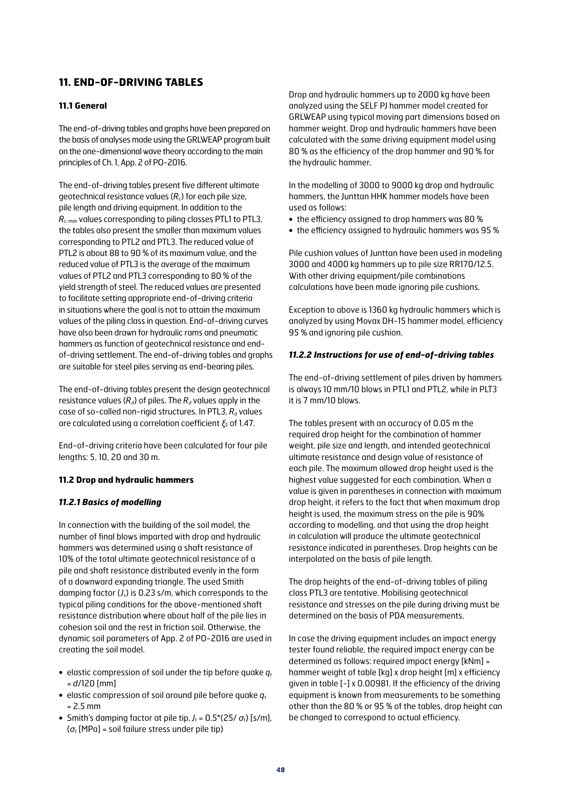# **11. END-OF-DRIVING TABLES**

#### **11.1 General**

The end-of-driving tables and graphs have been prepared on the basis of analyses made using the GRLWEAP program built on the one-dimensional wave theory according to the main principles of Ch. 1, App. 2 of PO-2016.

The end-of-driving tables present five different ultimate geotechnical resistance values (*Rc*) for each pile size, pile length and driving equipment. In addition to the *Rc, max* values corresponding to piling classes PTL1 to PTL3, the tables also present the smaller than maximum values corresponding to PTL2 and PTL3. The reduced value of PTL2 is about 88 to 90 % of its maximum value, and the reduced value of PTL3 is the average of the maximum values of PTL2 and PTL3 corresponding to 80 % of the yield strength of steel. The reduced values are presented to facilitate setting appropriate end-of-driving criteria in situations where the goal is not to attain the maximum values of the piling class in question. End-of-driving curves have also been drawn for hydraulic rams and pneumatic hammers as function of geotechnical resistance and endof-driving settlement. The end-of-driving tables and graphs are suitable for steel piles serving as end-bearing piles.

The end-of-driving tables present the design geotechnical resistance values  $(R_d)$  of piles. The  $R_d$  values apply in the case of so-called non-rigid structures. In PTL3,  $R_d$  values are calculated using a correlation coefficient *ξ5* of 1.47.

End-of-driving criteria have been calculated for four pile lengths: 5, 10, 20 and 30 m.

#### **11.2 Drop and hydraulic hammers**

#### *11.2.1 Basics of modelling*

In connection with the building of the soil model, the number of final blows imparted with drop and hydraulic hammers was determined using a shaft resistance of 10% of the total ultimate geotechnical resistance of a pile and shaft resistance distributed evenly in the form of a downward expanding triangle. The used Smith damping factor (*Js*) is 0.23 s/m, which corresponds to the typical piling conditions for the above-mentioned shaft resistance distribution where about half of the pile lies in cohesion soil and the rest in friction soil. Otherwise, the dynamic soil parameters of App. 2 of PO-2016 are used in creating the soil model.

- elastic compression of soil under the tip before quake  $q_t$ = *d*/120 [mm]
- **•** elastic compression of soil around pile before quake *qs*  $= 2.5$  mm
- Smith's damping factor at pile tip,  $J_t = 0.5^*(25/\sigma_t)$  [s/m], (*σt* [MPa] = soil failure stress under pile tip)

Drop and hydraulic hammers up to 2000 kg have been analyzed using the SELF PJ hammer model created for GRLWEAP using typical moving part dimensions based on hammer weight. Drop and hydraulic hammers have been calculated with the same driving equipment model using 80 % as the efficiency of the drop hammer and 90 % for the hydraulic hammer.

In the modelling of 3000 to 9000 kg drop and hydraulic hammers, the Junttan HHK hammer models have been used as follows:

- **•** the efficiency assigned to drop hammers was 80 %
- **•** the efficiency assigned to hydraulic hammers was 95 %

Pile cushion values of Junttan have been used in modeling 3000 and 4000 kg hammers up to pile size RR170/12.5. With other driving equipment/pile combinations calculations have been made ignoring pile cushions.

Exception to above is 1360 kg hydraulic hammers which is analyzed by using Movax DH-15 hammer model, efficiency 95 % and ignoring pile cushion.

#### *11.2.2 Instructions for use of end-of-driving tables*

The end-of-driving settlement of piles driven by hammers is always 10 mm/10 blows in PTL1 and PTL2, while in PLT3 it is 7 mm/10 blows.

The tables present with an accuracy of 0.05 m the required drop height for the combination of hammer weight, pile size and length, and intended geotechnical ultimate resistance and design value of resistance of each pile. The maximum allowed drop height used is the highest value suggested for each combination. When a value is given in parentheses in connection with maximum drop height, it refers to the fact that when maximum drop height is used, the maximum stress on the pile is 90% according to modelling, and that using the drop height in calculation will produce the ultimate geotechnical resistance indicated in parentheses. Drop heights can be interpolated on the basis of pile length.

The drop heights of the end-of-driving tables of piling class PTL3 are tentative. Mobilising geotechnical resistance and stresses on the pile during driving must be determined on the basis of PDA measurements.

In case the driving equipment includes an impact energy tester found reliable, the required impact energy can be determined as follows: required impact energy [kNm] = hammer weight of table [kg] x drop height [m] x efficiency given in table [-] x 0.00981. If the efficiency of the driving equipment is known from measurements to be something other than the 80 % or 95 % of the tables, drop height can be changed to correspond to actual efficiency.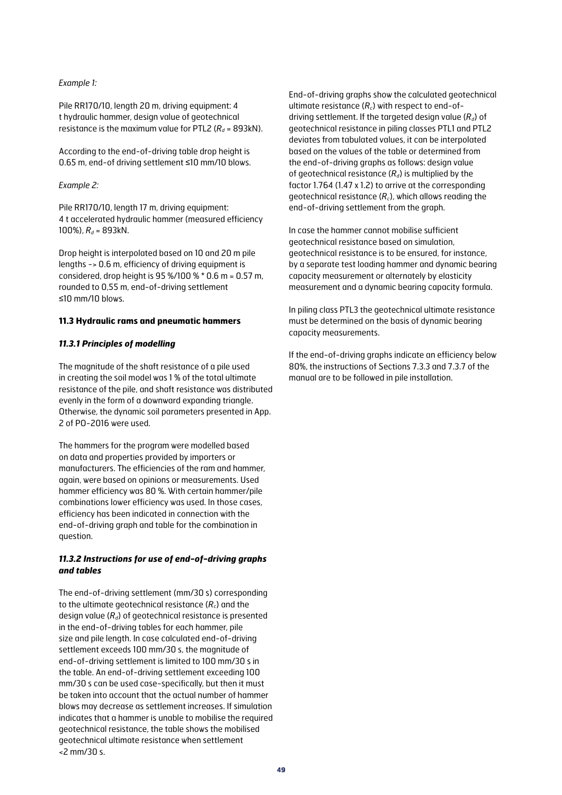#### *Example 1:*

Pile RR170/10, length 20 m, driving equipment: 4 t hydraulic hammer, design value of geotechnical resistance is the maximum value for PTL2 ( $R_d$  = 893kN).

According to the end-of-driving table drop height is 0.65 m, end-of driving settlement ≤10 mm/10 blows.

#### *Example 2:*

Pile RR170/10, length 17 m, driving equipment: 4 t accelerated hydraulic hammer (measured efficiency 100%),  $R_d$  = 893kN.

Drop height is interpolated based on 10 and 20 m pile lengths -> 0.6 m, efficiency of driving equipment is considered, drop height is 95 %/100 % \* 0.6 m = 0.57 m, rounded to 0,55 m, end-of-driving settlement ≤10 mm/10 blows.

#### **11.3 Hydraulic rams and pneumatic hammers**

#### *11.3.1 Principles of modelling*

The magnitude of the shaft resistance of a pile used in creating the soil model was 1 % of the total ultimate resistance of the pile, and shaft resistance was distributed evenly in the form of a downward expanding triangle. Otherwise, the dynamic soil parameters presented in App. 2 of PO-2016 were used.

The hammers for the program were modelled based on data and properties provided by importers or manufacturers. The efficiencies of the ram and hammer, again, were based on opinions or measurements. Used hammer efficiency was 80 %. With certain hammer/pile combinations lower efficiency was used. In those cases, efficiency has been indicated in connection with the end-of-driving graph and table for the combination in question.

#### *11.3.2 Instructions for use of end-of-driving graphs and tables*

The end-of-driving settlement (mm/30 s) corresponding to the ultimate geotechnical resistance (*Rc*) and the design value (*Rd*) of geotechnical resistance is presented in the end-of-driving tables for each hammer, pile size and pile length. In case calculated end-of-driving settlement exceeds 100 mm/30 s, the magnitude of end-of-driving settlement is limited to 100 mm/30 s in the table. An end-of-driving settlement exceeding 100 mm/30 s can be used case-specifically, but then it must be taken into account that the actual number of hammer blows may decrease as settlement increases. If simulation indicates that a hammer is unable to mobilise the required geotechnical resistance, the table shows the mobilised geotechnical ultimate resistance when settlement <2 mm/30 s.

End-of-driving graphs show the calculated geotechnical ultimate resistance (*Rc*) with respect to end-ofdriving settlement. If the targeted design value (*Rd*) of geotechnical resistance in piling classes PTL1 and PTL2 deviates from tabulated values, it can be interpolated based on the values of the table or determined from the end-of-driving graphs as follows: design value of geotechnical resistance (*Rd*) is multiplied by the factor 1.764 (1.47 x 1.2) to arrive at the corresponding geotechnical resistance (*Rc*), which allows reading the end-of-driving settlement from the graph.

In case the hammer cannot mobilise sufficient geotechnical resistance based on simulation, geotechnical resistance is to be ensured, for instance, by a separate test loading hammer and dynamic bearing capacity measurement or alternately by elasticity measurement and a dynamic bearing capacity formula.

In piling class PTL3 the geotechnical ultimate resistance must be determined on the basis of dynamic bearing capacity measurements.

If the end-of-driving graphs indicate an efficiency below 80%, the instructions of Sections 7.3.3 and 7.3.7 of the manual are to be followed in pile installation.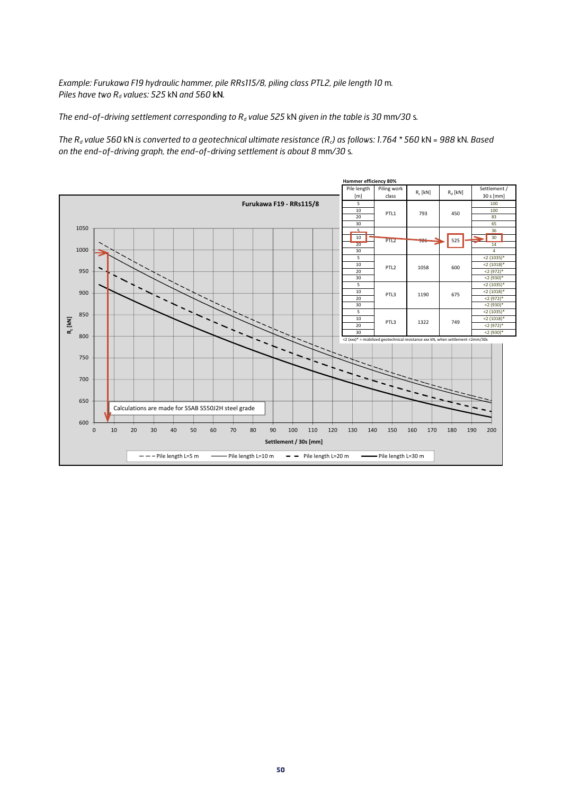*Example: Furukawa F19 hydraulic hammer, pile RRs115/8, piling class PTL2, pile length 10* m*. Piles have two Rd values: 525* kN *and 560* kN*.*

*The end-of-driving settlement corresponding to R<sub>d</sub> value 525 kN given in the table is 30 mm/30 s.* 

*The Rd value 560* kN *is converted to a geotechnical ultimate resistance (Rc) as follows: 1.764 \* 560* kN *= 988* kN*. Based on the end-of-driving graph, the end-of-driving settlement is about 8* mm*/30* s*.*

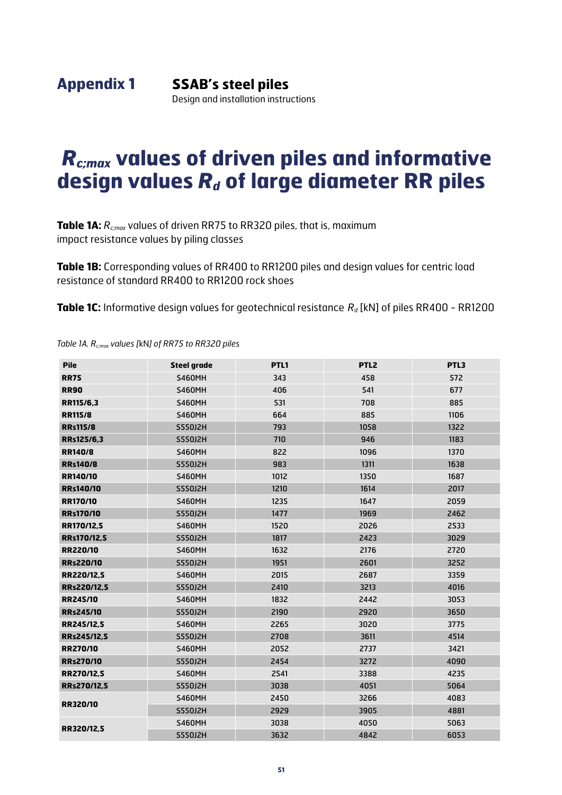# *Rc;max* **values of driven piles and informative**  design values  $R_d$  of large diameter RR piles

**Table 1A:**  $R_{cmax}$  values of driven RR75 to RR320 piles, that is, maximum impact resistance values by piling classes

**Table 1B:** Corresponding values of RR400 to RR1200 piles and design values for centric load resistance of standard RR400 to RR1200 rock shoes

**Table 1C:** Informative design values for geotechnical resistance  $R_d$  [kN] of piles RR400 - RR1200

| <b>Pile</b>      | <b>Steel grade</b> | PTL1 | PTL <sub>2</sub> | PTL3 |
|------------------|--------------------|------|------------------|------|
| <b>RR75</b>      | <b>S460MH</b>      | 343  | 458              | 572  |
| <b>RR90</b>      | <b>S460MH</b>      | 406  | 541              | 677  |
| RR115/6,3        | <b>S460MH</b>      | 531  | 708              | 885  |
| <b>RR115/8</b>   | <b>S460MH</b>      | 664  | 885              | 1106 |
| <b>RRs115/8</b>  | S550J2H            | 793  | 1058             | 1322 |
| RRs125/6,3       | S550J2H            | 710  | 946              | 1183 |
| <b>RR140/8</b>   | <b>S460MH</b>      | 822  | 1096             | 1370 |
| <b>RRs140/8</b>  | <b>S550J2H</b>     | 983  | 1311             | 1638 |
| RR140/10         | <b>S460MH</b>      | 1012 | 1350             | 1687 |
| <b>RRs140/10</b> | S550J2H            | 1210 | 1614             | 2017 |
| <b>RR170/10</b>  | <b>S460MH</b>      | 1235 | 1647             | 2059 |
| <b>RRs170/10</b> | S550J2H            | 1477 | 1969             | 2462 |
| RR170/12,5       | <b>S460MH</b>      | 1520 | 2026             | 2533 |
| RRs170/12,5      | S550J2H            | 1817 | 2423             | 3029 |
| <b>RR220/10</b>  | <b>S460MH</b>      | 1632 | 2176             | 2720 |
| <b>RRs220/10</b> | S550J2H            | 1951 | 2601             | 3252 |
| RR220/12,5       | <b>S460MH</b>      | 2015 | 2687             | 3359 |
| RRs220/12,5      | S550J2H            | 2410 | 3213             | 4016 |
| <b>RR245/10</b>  | <b>S460MH</b>      | 1832 | 2442             | 3053 |
| <b>RRs245/10</b> | S550J2H            | 2190 | 2920             | 3650 |
| RR245/12,5       | <b>S460MH</b>      | 2265 | 3020             | 3775 |
| RRs245/12.5      | <b>S550J2H</b>     | 2708 | 3611             | 4514 |
| <b>RR270/10</b>  | <b>S460MH</b>      | 2052 | 2737             | 3421 |
| <b>RRs270/10</b> | S550J2H            | 2454 | 3272             | 4090 |
| RR270/12,5       | <b>S460MH</b>      | 2541 | 3388             | 4235 |
| RRs270/12,5      | S550J2H            | 3038 | 4051             | 5064 |
| <b>RR320/10</b>  | <b>S460MH</b>      | 2450 | 3266             | 4083 |
|                  | S550J2H            | 2929 | 3905             | 4881 |
|                  | <b>S460MH</b>      | 3038 | 4050             | 5063 |
| RR320/12,5       | <b>S550J2H</b>     | 3632 | 4842             | 6053 |

*Table 1A. Rc;max values [*kN*] of RR75 to RR320 piles*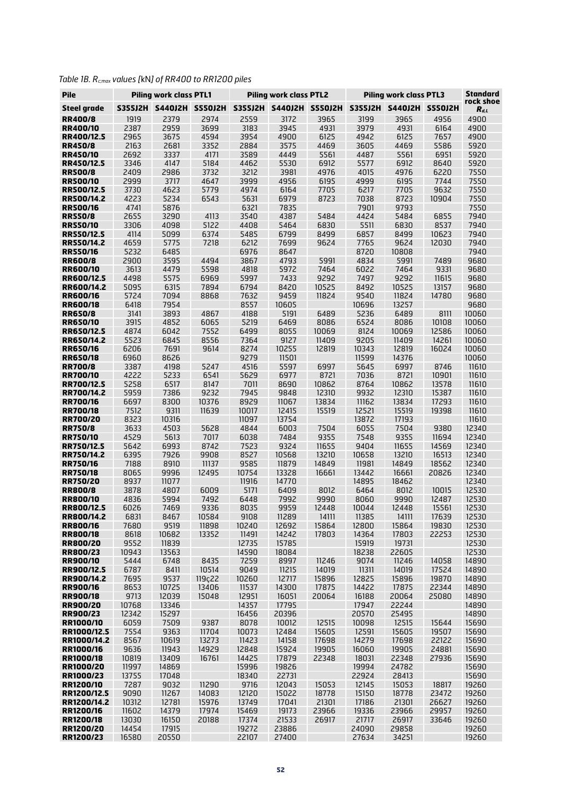|  | Table 1B. $R_{c;\textit{max}}$ values [kN] of RR400 to RR1200 piles |
|--|---------------------------------------------------------------------|
|--|---------------------------------------------------------------------|

| Pile                                 |              | <b>Piling work class PTL1</b> |                              |                | <b>Piling work class PTL2</b> |                | <b>Piling work class PTL3</b> | <b>Standard</b>         |                |                        |
|--------------------------------------|--------------|-------------------------------|------------------------------|----------------|-------------------------------|----------------|-------------------------------|-------------------------|----------------|------------------------|
| <b>Steel grade</b>                   |              | S355J2H S440J2H S550J2H       |                              |                | S355J2H S440J2H S550J2H       |                |                               | S355J2H S440J2H S550J2H |                | rock shoe<br>$R_{d,L}$ |
| <b>RR400/8</b>                       | 1919         | 2379                          | 2974                         | 2559           | 3172                          | 3965           | 3199                          | 3965                    | 4956           | 4900                   |
| <b>RR400/10</b>                      | 2387         | 2959                          | 3699                         | 3183           | 3945                          | 4931           | 3979                          | 4931                    | 6164           | 4900                   |
| RR400/12.5                           | 2965         | 3675                          | 4594                         | 3954           | 4900                          | 6125           | 4942                          | 6125                    | 7657           | 4900                   |
| <b>RR450/8</b><br><b>RR450/10</b>    | 2163<br>2692 | 2681<br>3337                  | 3352<br>4171                 | 2884<br>3589   | 3575<br>4449                  | 4469<br>5561   | 3605<br>4487                  | 4469<br>5561            | 5586<br>6951   | 5920<br>5920           |
| RR450/12.5                           | 3346         | 4147                          | 5184                         | 4462           | 5530                          | 6912           | 5577                          | 6912                    | 8640           | 5920                   |
| <b>RR500/8</b>                       | 2409         | 2986                          | 3732                         | 3212           | 3981                          | 4976           | 4015                          | 4976                    | 6220           | 7550                   |
| <b>RR500/10</b>                      | 2999         | 3717                          | 4647                         | 3999           | 4956                          | 6195           | 4999                          | 6195                    | 7744           | 7550                   |
| <b>RR500/12.5</b>                    | 3730         | 4623                          | 5779                         | 4974           | 6164                          | 7705           | 6217                          | 7705                    | 9632           | 7550                   |
| <b>RR500/14.2</b><br><b>RR500/16</b> | 4223<br>4741 | 5234<br>5876                  | 6543                         | 5631<br>6321   | 6979<br>7835                  | 8723           | 7038<br>7901                  | 8723<br>9793            | 10904          | 7550<br>7550           |
| <b>RR550/8</b>                       | 2655         | 3290                          | 4113                         | 3540           | 4387                          | 5484           | 4424                          | 5484                    | 6855           | 7940                   |
| <b>RR550/10</b>                      | 3306         | 4098                          | 5122                         | 4408           | 5464                          | 6830           | 5511                          | 6830                    | 8537           | 7940                   |
| <b>RR550/12.5</b>                    | 4114         | 5099                          | 6374                         | 5485           | 6799                          | 8499           | 6857                          | 8499                    | 10623          | 7940                   |
| <b>RR550/14.2</b>                    | 4659         | 5775                          | 7218                         | 6212           | 7699                          | 9624           | 7765                          | 9624                    | 12030          | 7940                   |
| <b>RR550/16</b><br><b>RR600/8</b>    | 5232<br>2900 | 6485<br>3595                  | 4494                         | 6976<br>3867   | 8647<br>4793                  | 5991           | 8720<br>4834                  | 10808<br>5991           | 7489           | 7940<br>9680           |
| <b>RR600/10</b>                      | 3613         | 4479                          | 5598                         | 4818           | 5972                          | 7464           | 6022                          | 7464                    | 9331           | 9680                   |
| RR600/12.5                           | 4498         | 5575                          | 6969                         | 5997           | 7433                          | 9292           | 7497                          | 9292                    | 11615          | 9680                   |
| RR600/14.2                           | 5095         | 6315                          | 7894                         | 6794           | 8420                          | 10525          | 8492                          | 10525                   | 13157          | 9680                   |
| <b>RR600/16</b>                      | 5724         | 7094                          | 8868                         | 7632           | 9459                          | 11824          | 9540                          | 11824                   | 14780          | 9680                   |
| <b>RR600/18</b>                      | 6418<br>3141 | 7954<br>3893                  |                              | 8557<br>4188   | 10605<br>5191                 | 6489           | 10696<br>5236                 | 13257<br>6489           |                | 9680<br>10060          |
| <b>RR650/8</b><br><b>RR650/10</b>    | 3915         | 4852                          | 4867<br>6065                 | 5219           | 6469                          | 8086           | 6524                          | 8086                    | 8111<br>10108  | 10060                  |
| RR650/12.5                           | 4874         | 6042                          | 7552                         | 6499           | 8055                          | 10069          | 8124                          | 10069                   | 12586          | 10060                  |
| RR650/14.2                           | 5523         | 6845                          | 8556                         | 7364           | 9127                          | 11409          | 9205                          | 11409                   | 14261          | 10060                  |
| <b>RR650/16</b>                      | 6206         | 7691                          | 9614                         | 8274           | 10255                         | 12819          | 10343                         | 12819                   | 16024          | 10060                  |
| <b>RR650/18</b>                      | 6960         | 8626                          |                              | 9279           | 11501                         |                | 11599                         | 14376                   |                | 10060                  |
| <b>RR700/8</b><br><b>RR700/10</b>    | 3387<br>4222 | 4198<br>5233                  | 5247<br>6541                 | 4516<br>5629   | 5597<br>6977                  | 6997<br>8721   | 5645<br>7036                  | 6997<br>8721            | 8746<br>10901  | 11610<br>11610         |
| RR700/12.5                           | 5258         | 6517                          | 8147                         | 7011           | 8690                          | 10862          | 8764                          | 10862                   | 13578          | 11610                  |
| RR700/14.2                           | 5959         | 7386                          | 9232                         | 7945           | 9848                          | 12310          | 9932                          | 12310                   | 15387          | 11610                  |
| <b>RR700/16</b>                      | 6697         | 8300                          | 10376                        | 8929           | 11067                         | 13834          | 11162                         | 13834                   | 17293          | 11610                  |
| <b>RR700/18</b>                      | 7512         | 9311                          | 11639                        | 10017          | 12415                         | 15519          | 12521                         | 15519                   | 19398          | 11610                  |
| <b>RR700/20</b><br><b>RR750/8</b>    | 8323<br>3633 | 10316<br>4503                 | 5628                         | 11097<br>4844  | 13754<br>6003                 | 7504           | 13872<br>6055                 | 17193<br>7504           | 9380           | 11610<br>12340         |
| <b>RR750/10</b>                      | 4529         | 5613                          | 7017                         | 6038           | 7484                          | 9355           | 7548                          | 9355                    | 11694          | 12340                  |
| RR750/12.5                           | 5642         | 6993                          | 8742                         | 7523           | 9324                          | 11655          | 9404                          | 11655                   | 14569          | 12340                  |
| <b>RR750/14.2</b>                    | 6395         | 7926                          | 9908                         | 8527           | 10568                         | 13210          | 10658                         | 13210                   | 16513          | 12340                  |
| <b>RR750/16</b>                      | 7188         | 8910                          | 11137                        | 9585           | 11879                         | 14849          | 11981                         | 14849                   | 18562          | 12340                  |
| <b>RR750/18</b><br><b>RR750/20</b>   | 8065<br>8937 | 9996<br>11077                 | 12495                        | 10754<br>11916 | 13328<br>14770                | 16661          | 13442<br>14895                | 16661<br>18462          | 20826          | 12340<br>12340         |
| <b>RR800/8</b>                       | 3878         | 4807                          | 6009                         | 5171           | 6409                          | 8012           | 6464                          | 8012                    | 10015          | 12530                  |
| <b>RR800/10</b>                      | 4836         | 5994                          | 7492                         | 6448           | 7992                          | 9990           | 8060                          | 9990                    | 12487          | 12530                  |
| <b>RR800/12.5</b>                    | 6026         | 7469                          | 9336                         | 8035           | 9959                          | 12448          | 10044                         | 12448                   | 15561          | 12530                  |
| RR800/14.2                           | 6831         | 8467                          | 10584                        | 9108           | 11289                         | 14111          | 11385                         | 14111                   | 17639          | 12530                  |
| <b>RR800/16</b><br><b>RR800/18</b>   | 7680<br>8618 | 9519<br>10682                 | 11898<br>13352               | 10240<br>11491 | 12692<br>14242                | 15864<br>17803 | 12800<br>14364                | 15864<br>17803          | 19830<br>22253 | 12530<br>12530         |
| <b>RR800/20</b>                      | 9552         | 11839                         |                              | 12735          | 15785                         |                | 15919                         | 19731                   |                | 12530                  |
| <b>RR800/23</b>                      | 10943        | 13563                         |                              | 14590          | 18084                         |                | 18238                         | 22605                   |                | 12530                  |
| <b>RR900/10</b>                      | 5444         | 6748                          | 8435                         | 7259           | 8997                          | 11246          | 9074                          | 11246                   | 14058          | 14890                  |
| RR900/12.5                           | 6787         | 8411                          | 10514                        | 9049           | 11215                         | 14019          | 11311                         | 14019                   | 17524          | 14890                  |
| RR900/14.2<br><b>RR900/16</b>        | 7695<br>8653 | 9537<br>10725                 | 119 <sub>c</sub> 22<br>13406 | 10260<br>11537 | 12717<br>14300                | 15896<br>17875 | 12825<br>14422                | 15896<br>17875          | 19870<br>22344 | 14890<br>14890         |
| <b>RR900/18</b>                      | 9713         | 12039                         | 15048                        | 12951          | 16051                         | 20064          | 16188                         | 20064                   | 25080          | 14890                  |
| <b>RR900/20</b>                      | 10768        | 13346                         |                              | 14357          | 17795                         |                | 17947                         | 22244                   |                | 14890                  |
| <b>RR900/23</b>                      | 12342        | 15297                         |                              | 16456          | 20396                         |                | 20570                         | 25495                   |                | 14890                  |
| RR1000/10<br>RR1000/12.5             | 6059<br>7554 | 7509                          | 9387                         | 8078<br>10073  | 10012<br>12484                | 12515<br>15605 | 10098<br>12591                | 12515                   | 15644          | 15690                  |
| RR1000/14.2                          | 8567         | 9363<br>10619                 | 11704<br>13273               | 11423          | 14158                         | 17698          | 14279                         | 15605<br>17698          | 19507<br>22122 | 15690<br>15690         |
| RR1000/16                            | 9636         | 11943                         | 14929                        | 12848          | 15924                         | 19905          | 16060                         | 19905                   | 24881          | 15690                  |
| RR1000/18                            | 10819        | 13409                         | 16761                        | 14425          | 17879                         | 22348          | 18031                         | 22348                   | 27936          | 15690                  |
| RR1000/20                            | 11997        | 14869                         |                              | 15996          | 19826                         |                | 19994                         | 24782                   |                | 15690                  |
| RR1000/23                            | 13755        | 17048                         |                              | 18340          | 22731                         |                | 22924                         | 28413                   |                | 15690                  |
| RR1200/10<br>RR1200/12.5             | 7287<br>9090 | 9032<br>11267                 | 11290<br>14083               | 9716<br>12120  | 12043<br>15022                | 15053<br>18778 | 12145<br>15150                | 15053<br>18778          | 18817<br>23472 | 19260<br>19260         |
| RR1200/14.2                          | 10312        | 12781                         | 15976                        | 13749          | 17041                         | 21301          | 17186                         | 21301                   | 26627          | 19260                  |
| RR1200/16                            | 11602        | 14379                         | 17974                        | 15469          | 19173                         | 23966          | 19336                         | 23966                   | 29957          | 19260                  |
| RR1200/18                            | 13030        | 16150                         | 20188                        | 17374          | 21533                         | 26917          | 21717                         | 26917                   | 33646          | 19260                  |
| RR1200/20                            | 14454        | 17915                         |                              | 19272          | 23886                         |                | 24090                         | 29858                   |                | 19260                  |
| RR1200/23                            | 16580        | 20550                         |                              | 22107          | 27400                         |                | 27634                         | 34251                   |                | 19260                  |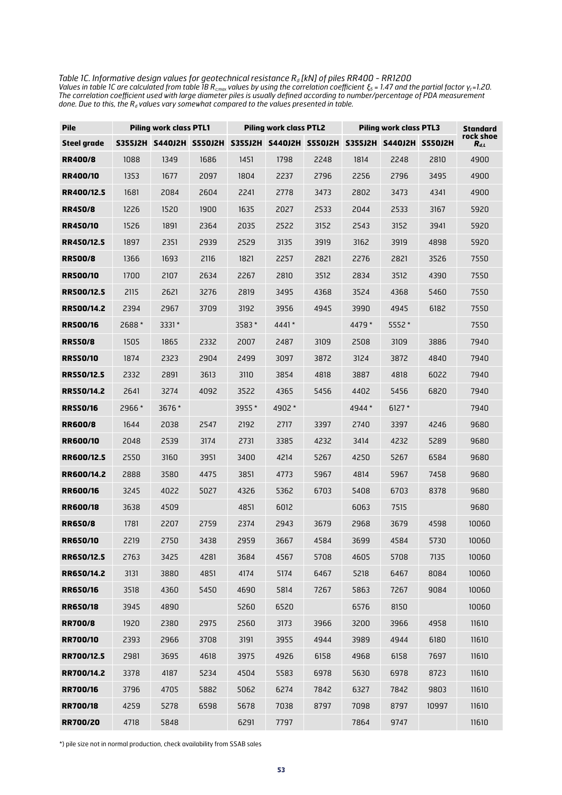*Table 1C. Informative design values for geotechnical resistance Rd [kN] of piles RR400 - RR1200 Values in table 1C are calculated from table 1B Rc;max values by using the correlation coefficient ξ<sup>5</sup> = 1.47 and the partial factor γt =1.20. The correlation coefficient used with large diameter piles is usually defined according to number/percentage of PDA measurement*   $\it done$  . Due to this, the  $R_d$  values vary somewhat compared to the values presented in table.

| <b>Pile</b>        |        | <b>Piling work class PTL1</b> |      |       | <b>Piling work class PTL2</b> |      | Piling work class PTL3 |                                                                         | <b>Standard</b><br>rock shoe |           |
|--------------------|--------|-------------------------------|------|-------|-------------------------------|------|------------------------|-------------------------------------------------------------------------|------------------------------|-----------|
| <b>Steel grade</b> |        |                               |      |       |                               |      |                        | S355J2H S440J2H S550J2H S355J2H S440J2H S550J2H S355J2H S440J2H S550J2H |                              | $R_{d,L}$ |
| <b>RR400/8</b>     | 1088   | 1349                          | 1686 | 1451  | 1798                          | 2248 | 1814                   | 2248                                                                    | 2810                         | 4900      |
| <b>RR400/10</b>    | 1353   | 1677                          | 2097 | 1804  | 2237                          | 2796 | 2256                   | 2796                                                                    | 3495                         | 4900      |
| RR400/12.5         | 1681   | 2084                          | 2604 | 2241  | 2778                          | 3473 | 2802                   | 3473                                                                    | 4341                         | 4900      |
| <b>RR450/8</b>     | 1226   | 1520                          | 1900 | 1635  | 2027                          | 2533 | 2044                   | 2533                                                                    | 3167                         | 5920      |
| <b>RR450/10</b>    | 1526   | 1891                          | 2364 | 2035  | 2522                          | 3152 | 2543                   | 3152                                                                    | 3941                         | 5920      |
| RR450/12.5         | 1897   | 2351                          | 2939 | 2529  | 3135                          | 3919 | 3162                   | 3919                                                                    | 4898                         | 5920      |
| <b>RR500/8</b>     | 1366   | 1693                          | 2116 | 1821  | 2257                          | 2821 | 2276                   | 2821                                                                    | 3526                         | 7550      |
| <b>RR500/10</b>    | 1700   | 2107                          | 2634 | 2267  | 2810                          | 3512 | 2834                   | 3512                                                                    | 4390                         | 7550      |
| <b>RR500/12.5</b>  | 2115   | 2621                          | 3276 | 2819  | 3495                          | 4368 | 3524                   | 4368                                                                    | 5460                         | 7550      |
| <b>RR500/14.2</b>  | 2394   | 2967                          | 3709 | 3192  | 3956                          | 4945 | 3990                   | 4945                                                                    | 6182                         | 7550      |
| <b>RR500/16</b>    | 2688*  | $3331*$                       |      | 3583* | $4441*$                       |      | 4479 *                 | 5552 *                                                                  |                              | 7550      |
| <b>RR550/8</b>     | 1505   | 1865                          | 2332 | 2007  | 2487                          | 3109 | 2508                   | 3109                                                                    | 3886                         | 7940      |
| <b>RR550/10</b>    | 1874   | 2323                          | 2904 | 2499  | 3097                          | 3872 | 3124                   | 3872                                                                    | 4840                         | 7940      |
| <b>RR550/12.5</b>  | 2332   | 2891                          | 3613 | 3110  | 3854                          | 4818 | 3887                   | 4818                                                                    | 6022                         | 7940      |
| <b>RR550/14.2</b>  | 2641   | 3274                          | 4092 | 3522  | 4365                          | 5456 | 4402                   | 5456                                                                    | 6820                         | 7940      |
| <b>RR550/16</b>    | 2966 * | 3676 *                        |      | 3955* | 4902 *                        |      | 4944 *                 | $6127*$                                                                 |                              | 7940      |
| <b>RR600/8</b>     | 1644   | 2038                          | 2547 | 2192  | 2717                          | 3397 | 2740                   | 3397                                                                    | 4246                         | 9680      |
| <b>RR600/10</b>    | 2048   | 2539                          | 3174 | 2731  | 3385                          | 4232 | 3414                   | 4232                                                                    | 5289                         | 9680      |
| RR600/12.5         | 2550   | 3160                          | 3951 | 3400  | 4214                          | 5267 | 4250                   | 5267                                                                    | 6584                         | 9680      |
| RR600/14.2         | 2888   | 3580                          | 4475 | 3851  | 4773                          | 5967 | 4814                   | 5967                                                                    | 7458                         | 9680      |
| <b>RR600/16</b>    | 3245   | 4022                          | 5027 | 4326  | 5362                          | 6703 | 5408                   | 6703                                                                    | 8378                         | 9680      |
| <b>RR600/18</b>    | 3638   | 4509                          |      | 4851  | 6012                          |      | 6063                   | 7515                                                                    |                              | 9680      |
| <b>RR650/8</b>     | 1781   | 2207                          | 2759 | 2374  | 2943                          | 3679 | 2968                   | 3679                                                                    | 4598                         | 10060     |
| <b>RR650/10</b>    | 2219   | 2750                          | 3438 | 2959  | 3667                          | 4584 | 3699                   | 4584                                                                    | 5730                         | 10060     |
| RR650/12.5         | 2763   | 3425                          | 4281 | 3684  | 4567                          | 5708 | 4605                   | 5708                                                                    | 7135                         | 10060     |
| RR650/14.2         | 3131   | 3880                          | 4851 | 4174  | 5174                          | 6467 | 5218                   | 6467                                                                    | 8084                         | 10060     |
| <b>RR650/16</b>    | 3518   | 4360                          | 5450 | 4690  | 5814                          | 7267 | 5863                   | 7267                                                                    | 9084                         | 10060     |
| <b>RR650/18</b>    | 3945   | 4890                          |      | 5260  | 6520                          |      | 6576                   | 8150                                                                    |                              | 10060     |
| <b>RR700/8</b>     | 1920   | 2380                          | 2975 | 2560  | 3173                          | 3966 | 3200                   | 3966                                                                    | 4958                         | 11610     |
| <b>RR700/10</b>    | 2393   | 2966                          | 3708 | 3191  | 3955                          | 4944 | 3989                   | 4944                                                                    | 6180                         | 11610     |
| RR700/12.5         | 2981   | 3695                          | 4618 | 3975  | 4926                          | 6158 | 4968                   | 6158                                                                    | 7697                         | 11610     |
| RR700/14.2         | 3378   | 4187                          | 5234 | 4504  | 5583                          | 6978 | 5630                   | 6978                                                                    | 8723                         | 11610     |
| <b>RR700/16</b>    | 3796   | 4705                          | 5882 | 5062  | 6274                          | 7842 | 6327                   | 7842                                                                    | 9803                         | 11610     |
| RR700/18           | 4259   | 5278                          | 6598 | 5678  | 7038                          | 8797 | 7098                   | 8797                                                                    | 10997                        | 11610     |
| RR700/20           | 4718   | 5848                          |      | 6291  | 7797                          |      | 7864                   | 9747                                                                    |                              | 11610     |

\*) pile size not in normal production, check availability from SSAB sales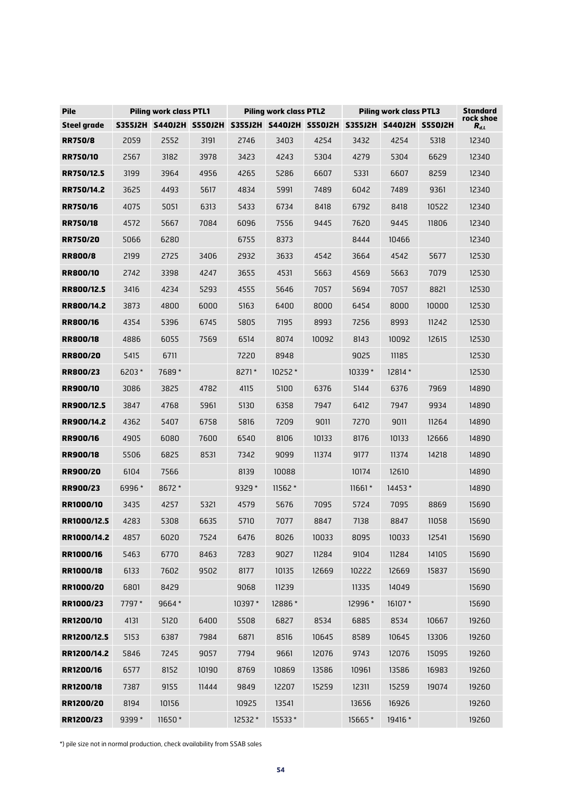| <b>Pile</b>        |        | <b>Piling work class PTL1</b>                                           |       |         | <b>Piling work class PTL2</b> |       | <b>Piling work class PTL3</b> | Standard |       |                        |
|--------------------|--------|-------------------------------------------------------------------------|-------|---------|-------------------------------|-------|-------------------------------|----------|-------|------------------------|
| <b>Steel grade</b> |        | S355J2H S440J2H S550J2H S355J2H S440J2H S550J2H S355J2H S440J2H S550J2H |       |         |                               |       |                               |          |       | rock shoe<br>$R_{d,L}$ |
| <b>RR750/8</b>     | 2059   | 2552                                                                    | 3191  | 2746    | 3403                          | 4254  | 3432                          | 4254     | 5318  | 12340                  |
| <b>RR750/10</b>    | 2567   | 3182                                                                    | 3978  | 3423    | 4243                          | 5304  | 4279                          | 5304     | 6629  | 12340                  |
| RR750/12.5         | 3199   | 3964                                                                    | 4956  | 4265    | 5286                          | 6607  | 5331                          | 6607     | 8259  | 12340                  |
| <b>RR750/14.2</b>  | 3625   | 4493                                                                    | 5617  | 4834    | 5991                          | 7489  | 6042                          | 7489     | 9361  | 12340                  |
| <b>RR750/16</b>    | 4075   | 5051                                                                    | 6313  | 5433    | 6734                          | 8418  | 6792                          | 8418     | 10522 | 12340                  |
| <b>RR750/18</b>    | 4572   | 5667                                                                    | 7084  | 6096    | 7556                          | 9445  | 7620                          | 9445     | 11806 | 12340                  |
| <b>RR750/20</b>    | 5066   | 6280                                                                    |       | 6755    | 8373                          |       | 8444                          | 10466    |       | 12340                  |
| <b>RR800/8</b>     | 2199   | 2725                                                                    | 3406  | 2932    | 3633                          | 4542  | 3664                          | 4542     | 5677  | 12530                  |
| <b>RR800/10</b>    | 2742   | 3398                                                                    | 4247  | 3655    | 4531                          | 5663  | 4569                          | 5663     | 7079  | 12530                  |
| RR800/12.5         | 3416   | 4234                                                                    | 5293  | 4555    | 5646                          | 7057  | 5694                          | 7057     | 8821  | 12530                  |
| RR800/14.2         | 3873   | 4800                                                                    | 6000  | 5163    | 6400                          | 8000  | 6454                          | 8000     | 10000 | 12530                  |
| <b>RR800/16</b>    | 4354   | 5396                                                                    | 6745  | 5805    | 7195                          | 8993  | 7256                          | 8993     | 11242 | 12530                  |
| <b>RR800/18</b>    | 4886   | 6055                                                                    | 7569  | 6514    | 8074                          | 10092 | 8143                          | 10092    | 12615 | 12530                  |
| <b>RR800/20</b>    | 5415   | 6711                                                                    |       | 7220    | 8948                          |       | 9025                          | 11185    |       | 12530                  |
| <b>RR800/23</b>    | 6203*  | 7689*                                                                   |       | 8271*   | $10252*$                      |       | $10339*$                      | 12814 *  |       | 12530                  |
| <b>RR900/10</b>    | 3086   | 3825                                                                    | 4782  | 4115    | 5100                          | 6376  | 5144                          | 6376     | 7969  | 14890                  |
| RR900/12.5         | 3847   | 4768                                                                    | 5961  | 5130    | 6358                          | 7947  | 6412                          | 7947     | 9934  | 14890                  |
| RR900/14.2         | 4362   | 5407                                                                    | 6758  | 5816    | 7209                          | 9011  | 7270                          | 9011     | 11264 | 14890                  |
| <b>RR900/16</b>    | 4905   | 6080                                                                    | 7600  | 6540    | 8106                          | 10133 | 8176                          | 10133    | 12666 | 14890                  |
| <b>RR900/18</b>    | 5506   | 6825                                                                    | 8531  | 7342    | 9099                          | 11374 | 9177                          | 11374    | 14218 | 14890                  |
| <b>RR900/20</b>    | 6104   | 7566                                                                    |       | 8139    | 10088                         |       | 10174                         | 12610    |       | 14890                  |
| <b>RR900/23</b>    | 6996 * | 8672 *                                                                  |       | 9329 *  | $11562*$                      |       | $11661*$                      | $14453*$ |       | 14890                  |
| <b>RR1000/10</b>   | 3435   | 4257                                                                    | 5321  | 4579    | 5676                          | 7095  | 5724                          | 7095     | 8869  | 15690                  |
| RR1000/12.5        | 4283   | 5308                                                                    | 6635  | 5710    | 7077                          | 8847  | 7138                          | 8847     | 11058 | 15690                  |
| RR1000/14.2        | 4857   | 6020                                                                    | 7524  | 6476    | 8026                          | 10033 | 8095                          | 10033    | 12541 | 15690                  |
| RR1000/16          | 5463   | 6770                                                                    | 8463  | 7283    | 9027                          | 11284 | 9104                          | 11284    | 14105 | 15690                  |
| RR1000/18          | 6133   | 7602                                                                    | 9502  | 8177    | 10135                         | 12669 | 10222                         | 12669    | 15837 | 15690                  |
| RR1000/20          | 6801   | 8429                                                                    |       | 9068    | 11239                         |       | 11335                         | 14049    |       | 15690                  |
| RR1000/23          | 7797 * | 9664*                                                                   |       | 10397 * | 12886*                        |       | 12996 *                       | 16107 *  |       | 15690                  |
| RR1200/10          | 4131   | 5120                                                                    | 6400  | 5508    | 6827                          | 8534  | 6885                          | 8534     | 10667 | 19260                  |
| RR1200/12.5        | 5153   | 6387                                                                    | 7984  | 6871    | 8516                          | 10645 | 8589                          | 10645    | 13306 | 19260                  |
| RR1200/14.2        | 5846   | 7245                                                                    | 9057  | 7794    | 9661                          | 12076 | 9743                          | 12076    | 15095 | 19260                  |
| RR1200/16          | 6577   | 8152                                                                    | 10190 | 8769    | 10869                         | 13586 | 10961                         | 13586    | 16983 | 19260                  |
| RR1200/18          | 7387   | 9155                                                                    | 11444 | 9849    | 12207                         | 15259 | 12311                         | 15259    | 19074 | 19260                  |
| RR1200/20          | 8194   | 10156                                                                   |       | 10925   | 13541                         |       | 13656                         | 16926    |       | 19260                  |
| RR1200/23          | 9399 * | 11650*                                                                  |       | 12532 * | 15533*                        |       | 15665*                        | 19416 *  |       | 19260                  |

\*) pile size not in normal production, check availability from SSAB sales